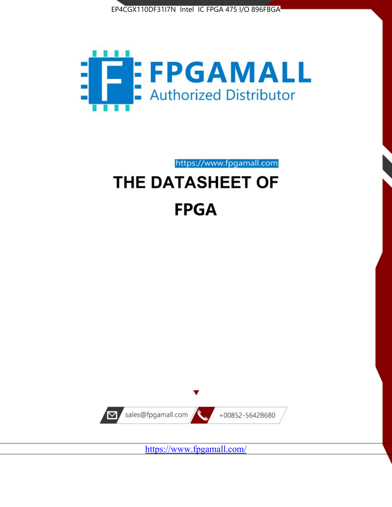



https://www.fpgamall.com

# THE DATASHEET OF **FPGA**



<https://www.fpgamall.com/>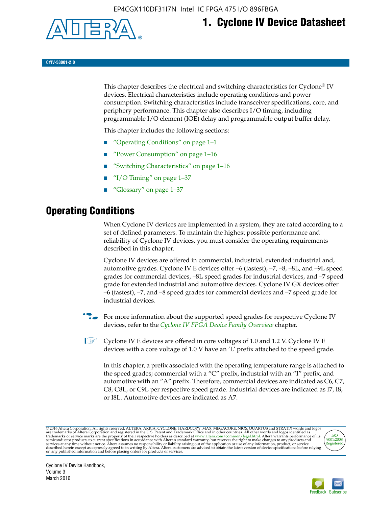

# **1. Cyclone IV Device Datasheet**

**CYIV-53001-2.0**

This chapter describes the electrical and switching characteristics for Cyclone<sup>®</sup> IV devices. Electrical characteristics include operating conditions and power consumption. Switching characteristics include transceiver specifications, core, and periphery performance. This chapter also describes I/O timing, including programmable I/O element (IOE) delay and programmable output buffer delay.

This chapter includes the following sections:

- "Operating Conditions" on page 1–1
- "Power Consumption" on page 1–16
- "Switching Characteristics" on page 1–16
- " $I/O$  Timing" on page  $1-37$
- "Glossary" on page 1–37

# **Operating Conditions**

When Cyclone IV devices are implemented in a system, they are rated according to a set of defined parameters. To maintain the highest possible performance and reliability of Cyclone IV devices, you must consider the operating requirements described in this chapter.

Cyclone IV devices are offered in commercial, industrial, extended industrial and, automotive grades. Cyclone IV E devices offer –6 (fastest), –7, –8, –8L, and –9L speed grades for commercial devices, –8L speed grades for industrial devices, and –7 speed grade for extended industrial and automotive devices. Cyclone IV GX devices offer –6 (fastest), –7, and –8 speed grades for commercial devices and –7 speed grade for industrial devices.

**For more information about the supported speed grades for respective Cyclone IV** devices, refer to the *[Cyclone IV FPGA Device Family Overview](http://www.altera.com/literature/hb/cyclone-iv/cyiv-51001.pdf)* chapter.

**1** Cyclone IV E devices are offered in core voltages of 1.0 and 1.2 V. Cyclone IV E devices with a core voltage of 1.0 V have an 'L' prefix attached to the speed grade.

In this chapter, a prefix associated with the operating temperature range is attached to the speed grades; commercial with a "C" prefix, industrial with an "I" prefix, and automotive with an "A" prefix. Therefore, commercial devices are indicated as C6, C7, C8, C8L, or C9L per respective speed grade. Industrial devices are indicated as I7, I8, or I8L. Automotive devices are indicated as A7.

@2016 Altera Corporation. All rights reserved. ALTERA, ARRIA, CYCLONE, HARDCOPY, MAX, MEGACORE, NIOS, QUARTUS and STRATIX words and logos are trademarks of Altera Corporation and registered in the U.S. Patent and Trademark



Cyclone IV Device Handbook, Volume 3 March 2016

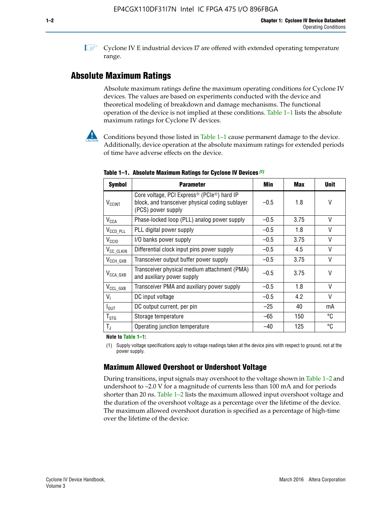**1 Cyclone IV E industrial devices I7 are offered with extended operating temperature** range.

# **Absolute Maximum Ratings**

Absolute maximum ratings define the maximum operating conditions for Cyclone IV devices. The values are based on experiments conducted with the device and theoretical modeling of breakdown and damage mechanisms. The functional operation of the device is not implied at these conditions. Table 1–1 lists the absolute maximum ratings for Cyclone IV devices.



**Conditions beyond those listed in Table 1–1 cause permanent damage to the device.** Additionally, device operation at the absolute maximum ratings for extended periods of time have adverse effects on the device.

| <b>Symbol</b>            | <b>Parameter</b>                                                                                                                | Min    | Max  | <b>Unit</b> |
|--------------------------|---------------------------------------------------------------------------------------------------------------------------------|--------|------|-------------|
| <b>V<sub>CCINT</sub></b> | Core voltage, PCI Express <sup>®</sup> (PCIe®) hard IP<br>block, and transceiver physical coding sublayer<br>(PCS) power supply | $-0.5$ | 1.8  | V           |
| $V_{CCA}$                | Phase-locked loop (PLL) analog power supply                                                                                     | $-0.5$ | 3.75 | $\vee$      |
| $V_{\text{CCD\_PLL}}$    | PLL digital power supply                                                                                                        | $-0.5$ | 1.8  | $\vee$      |
| V <sub>CCIO</sub>        | I/O banks power supply                                                                                                          | $-0.5$ | 3.75 | $\vee$      |
| V <sub>CC_CLKIN</sub>    | Differential clock input pins power supply                                                                                      | $-0.5$ | 4.5  | $\vee$      |
| $V_{\text{CCH_GXB}}$     | Transceiver output buffer power supply                                                                                          | $-0.5$ | 3.75 | V           |
| $V_{\text{CCA\_GXB}}$    | Transceiver physical medium attachment (PMA)<br>and auxiliary power supply                                                      | $-0.5$ | 3.75 | $\vee$      |
| $V_{CCL_GXB}$            | Transceiver PMA and auxiliary power supply                                                                                      | $-0.5$ | 1.8  | $\vee$      |
| $V_{1}$                  | DC input voltage                                                                                                                | $-0.5$ | 4.2  | $\vee$      |
| $I_{\text{OUT}}$         | DC output current, per pin                                                                                                      | $-25$  | 40   | mA          |
| $T_{\mathtt{STG}}$       | Storage temperature                                                                                                             | $-65$  | 150  | °C          |
| $T_{\rm J}$              | Operating junction temperature                                                                                                  | $-40$  | 125  | °C          |

**Table 1–1. Absolute Maximum Ratings for Cyclone IV Devices** *(1)*

**Note to Table 1–1:**

(1) Supply voltage specifications apply to voltage readings taken at the device pins with respect to ground, not at the power supply.

# **Maximum Allowed Overshoot or Undershoot Voltage**

During transitions, input signals may overshoot to the voltage shown in Table 1–2 and undershoot to –2.0 V for a magnitude of currents less than 100 mA and for periods shorter than 20 ns. Table 1–2 lists the maximum allowed input overshoot voltage and the duration of the overshoot voltage as a percentage over the lifetime of the device. The maximum allowed overshoot duration is specified as a percentage of high-time over the lifetime of the device.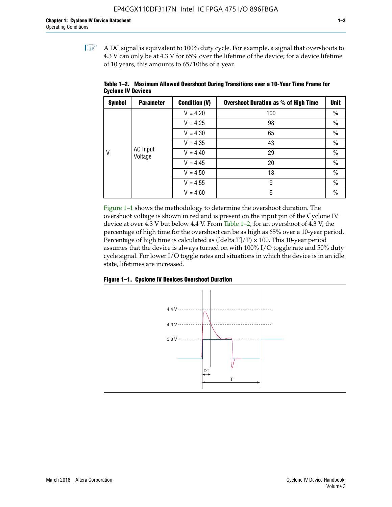$\mathbb{I}$  A DC signal is equivalent to 100% duty cycle. For example, a signal that overshoots to 4.3 V can only be at 4.3 V for 65% over the lifetime of the device; for a device lifetime of 10 years, this amounts to 65/10ths of a year.

| <b>Symbol</b> | <b>Parameter</b>           | <b>Condition (V)</b> | <b>Overshoot Duration as % of High Time</b> | <b>Unit</b>   |      |  |  |              |    |
|---------------|----------------------------|----------------------|---------------------------------------------|---------------|------|--|--|--------------|----|
|               |                            | $V_1 = 4.20$         | 100                                         | $\%$          |      |  |  |              |    |
|               |                            | $V_1 = 4.25$         | 98                                          | $\%$          |      |  |  |              |    |
|               | <b>AC</b> Input<br>Voltage | $V_1 = 4.30$         | 65                                          | $\%$          |      |  |  |              |    |
|               |                            |                      | $V_1 = 4.35$                                | 43            | $\%$ |  |  |              |    |
| $V_i$         |                            |                      |                                             |               |      |  |  | $V_1 = 4.40$ | 29 |
|               |                            | $V_1 = 4.45$         | 20                                          | $\%$          |      |  |  |              |    |
|               |                            | $V_1 = 4.50$         | 13                                          | $\%$          |      |  |  |              |    |
|               |                            | $V_1 = 4.55$         | 9                                           | $\frac{0}{0}$ |      |  |  |              |    |
|               |                            | $V_1 = 4.60$         | 6                                           | $\frac{0}{0}$ |      |  |  |              |    |

**Table 1–2. Maximum Allowed Overshoot During Transitions over a 10**-**Year Time Frame for Cyclone IV Devices**

Figure 1–1 shows the methodology to determine the overshoot duration. The overshoot voltage is shown in red and is present on the input pin of the Cyclone IV device at over 4.3 V but below 4.4 V. From Table 1–2, for an overshoot of 4.3 V, the percentage of high time for the overshoot can be as high as 65% over a 10-year period. Percentage of high time is calculated as ([delta  $T$ ]/T)  $\times$  100. This 10-year period assumes that the device is always turned on with 100% I/O toggle rate and 50% duty cycle signal. For lower I/O toggle rates and situations in which the device is in an idle state, lifetimes are increased.



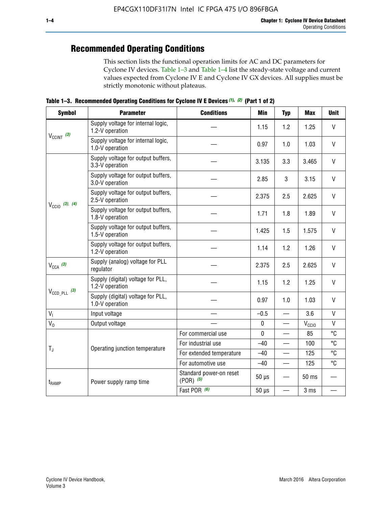# **Recommended Operating Conditions**

This section lists the functional operation limits for AC and DC parameters for Cyclone IV devices. Table 1–3 and Table 1–4 list the steady-state voltage and current values expected from Cyclone IV E and Cyclone IV GX devices. All supplies must be strictly monotonic without plateaus.

**Table 1–3. Recommended Operating Conditions for Cyclone IV E Devices** *(1)***,** *(2)* **(Part 1 of 2)**

| <b>Symbol</b>              | <b>Parameter</b>                                      | <b>Conditions</b>                        | <b>Min</b>  | <b>Typ</b>               | <b>Max</b>                                                                | <b>Unit</b>  |
|----------------------------|-------------------------------------------------------|------------------------------------------|-------------|--------------------------|---------------------------------------------------------------------------|--------------|
|                            | Supply voltage for internal logic,<br>1.2-V operation |                                          | 1.15        | 1.2                      | 1.25                                                                      | $\mathsf{V}$ |
| $V_{CClNT}$ (3)            | Supply voltage for internal logic,<br>1.0-V operation |                                          | 0.97        | 1.0                      | 1.03                                                                      | $\mathsf{V}$ |
|                            | Supply voltage for output buffers,<br>3.3-V operation |                                          | 3.135       | 3.3                      | 3.465                                                                     | $\vee$       |
|                            | Supply voltage for output buffers,<br>3.0-V operation |                                          | 2.85        | 3                        | 3.15                                                                      | V            |
| $V_{\text{CC10}}$ (3), (4) | Supply voltage for output buffers,<br>2.5-V operation |                                          | 2.375       | 2.5                      | 2.625                                                                     | $\vee$       |
|                            | Supply voltage for output buffers,<br>1.8-V operation |                                          | 1.71        | 1.8                      | 1.89                                                                      | V            |
|                            | Supply voltage for output buffers,<br>1.5-V operation |                                          | 1.425       | 1.5                      | 1.575                                                                     | $\vee$       |
|                            | Supply voltage for output buffers,<br>1.2-V operation |                                          | 1.14        | 1.2                      | 1.26                                                                      | $\mathsf{V}$ |
| $V_{CCA}$ (3)              | Supply (analog) voltage for PLL<br>regulator          |                                          | 2.375       | 2.5                      | 2.625                                                                     | $\vee$       |
|                            | Supply (digital) voltage for PLL,<br>1.2-V operation  |                                          | 1.15        | 1.2                      | 1.25                                                                      | V            |
| $V_{\text{CCD\_PLL}}$ (3)  | Supply (digital) voltage for PLL,<br>1.0-V operation  |                                          | 0.97        | 1.0                      | 1.03<br>3.6<br>$V_{\rm CClO}$<br>85<br>100<br>125<br>125<br>50 ms<br>3 ms | $\vee$       |
| V <sub>1</sub>             | Input voltage                                         |                                          | $-0.5$      | $\overline{\phantom{0}}$ |                                                                           | $\mathsf{V}$ |
| $V_0$                      | Output voltage                                        |                                          | $\pmb{0}$   | —                        |                                                                           | $\mathsf{V}$ |
|                            |                                                       | For commercial use                       | $\mathbf 0$ |                          |                                                                           | °C           |
| $T_{\rm J}$                | Operating junction temperature                        | For industrial use                       | $-40$       |                          |                                                                           | °C           |
|                            |                                                       | For extended temperature                 | $-40$       |                          |                                                                           | °C           |
|                            |                                                       | For automotive use                       | $-40$       | $\qquad \qquad$          |                                                                           | °C           |
| $t_{\rm{RAMP}}$            | Power supply ramp time                                | Standard power-on reset<br>$(POR)$ $(5)$ | $50 \mu s$  |                          |                                                                           |              |
|                            |                                                       | Fast POR (6)                             | $50 \mu s$  | $\overline{\phantom{0}}$ |                                                                           |              |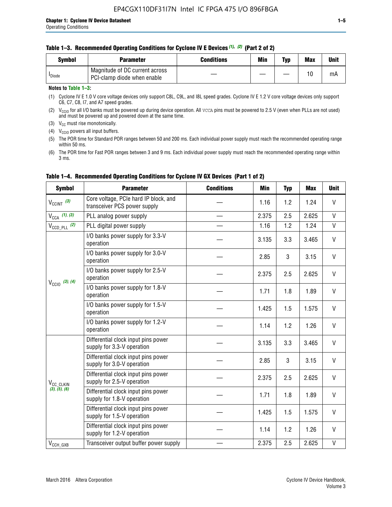#### **Table 1–3. Recommended Operating Conditions for Cyclone IV E Devices** *(1)***,** *(2)* **(Part 2 of 2)**

| Svmbol             | <b>Parameter</b>                                              | <b>Conditions</b> | Min | Typ | <b>Max</b> | Unit |
|--------------------|---------------------------------------------------------------|-------------------|-----|-----|------------|------|
| <sup>I</sup> Diode | Magnitude of DC current across<br>PCI-clamp diode when enable |                   |     |     | 10         | mA   |

### **Notes to Table 1–3:**

(1) Cyclone IV E 1.0 V core voltage devices only support C8L, C9L, and I8L speed grades. Cyclone IV E 1.2 V core voltage devices only support C6, C7, C8, I7, and A7 speed grades.

(2)  $V_{CCIO}$  for all I/O banks must be powered up during device operation. All vcca pins must be powered to 2.5 V (even when PLLs are not used) and must be powered up and powered down at the same time.

(3)  $V_{CC}$  must rise monotonically.

(4)  $V_{\text{CCIO}}$  powers all input buffers.

(5) The POR time for Standard POR ranges between 50 and 200 ms. Each individual power supply must reach the recommended operating range within 50 ms.

(6) The POR time for Fast POR ranges between 3 and 9 ms. Each individual power supply must reach the recommended operating range within 3 ms.

| <b>Symbol</b>                | <b>Parameter</b>                                                      | <b>Conditions</b> | <b>Min</b> | <b>Typ</b> | <b>Max</b> | <b>Unit</b>  |
|------------------------------|-----------------------------------------------------------------------|-------------------|------------|------------|------------|--------------|
| $V_{\text{CCINT}}$ (3)       | Core voltage, PCIe hard IP block, and<br>transceiver PCS power supply |                   | 1.16       | 1.2        | 1.24       | V            |
| $V_{CCA}$ (1), (3)           | PLL analog power supply                                               |                   | 2.375      | 2.5        | 2.625      | V            |
| $V_{CCD\ PLL}$ (2)           | PLL digital power supply                                              |                   | 1.16       | 1.2        | 1.24       | V            |
|                              | I/O banks power supply for 3.3-V<br>operation                         |                   | 3.135      | 3.3        | 3.465      | V            |
|                              | I/O banks power supply for 3.0-V<br>operation                         |                   | 2.85       | 3          | 3.15       | V            |
| $V_{\text{CC10}}$ (3), (4)   | I/O banks power supply for 2.5-V<br>operation                         |                   | 2.375      | 2.5        | 2.625      | V            |
|                              | I/O banks power supply for 1.8-V<br>operation                         |                   | 1.71       | 1.8        | 1.89       | V            |
|                              | I/O banks power supply for 1.5-V<br>operation                         |                   | 1.425      | 1.5        | 1.575      | V            |
|                              | I/O banks power supply for 1.2-V<br>operation                         |                   | 1.14       | 1.2        | 1.26       | V            |
|                              | Differential clock input pins power<br>supply for 3.3-V operation     |                   | 3.135      | 3.3        | 3.465      | V            |
|                              | Differential clock input pins power<br>supply for 3.0-V operation     |                   | 2.85       | 3          | 3.15       | $\mathsf{V}$ |
| V <sub>CC_CLKIN</sub>        | Differential clock input pins power<br>supply for 2.5-V operation     |                   | 2.375      | 2.5        | 2.625      | V            |
| (3), (5), (6)                | Differential clock input pins power<br>supply for 1.8-V operation     |                   | 1.71       | 1.8        | 1.89       | V            |
|                              | Differential clock input pins power<br>supply for 1.5-V operation     |                   | 1.425      | 1.5        | 1.575      | V            |
|                              | Differential clock input pins power<br>supply for 1.2-V operation     |                   | 1.14       | 1.2        | 1.26       | V            |
| $V_{\text{CCH}\_\text{GXB}}$ | Transceiver output buffer power supply                                |                   | 2.375      | 2.5        | 2.625      | $\mathsf{V}$ |

# **Table 1–4. Recommended Operating Conditions for Cyclone IV GX Devices (Part 1 of 2)**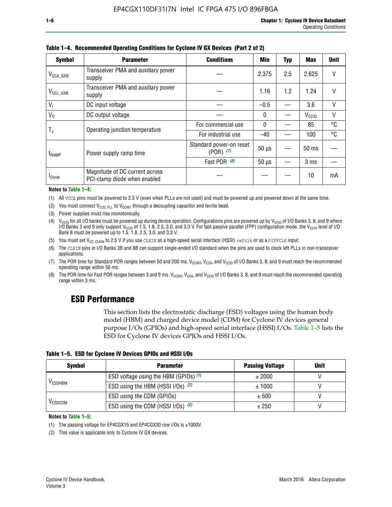| <b>Symbol</b>         | <b>Parameter</b>                                               | <b>Conditions</b>                        | <b>Min</b>   | <b>Typ</b> | <b>Max</b>        | <b>Unit</b>  |
|-----------------------|----------------------------------------------------------------|------------------------------------------|--------------|------------|-------------------|--------------|
| $V_{\text{CCA\_GXB}}$ | Transceiver PMA and auxiliary power<br>supply                  |                                          | 2.375        | 2.5        | 2.625             |              |
| $V_{CCL_GXB}$         | Transceiver PMA and auxiliary power<br>supply                  |                                          | 1.16         | 1.2        | 1.24              |              |
| $V_1$                 | DC input voltage                                               |                                          | $-0.5$       |            | 3.6               | $\vee$       |
| $V_0$                 | DC output voltage                                              |                                          | 0            |            | V <sub>CCIO</sub> | $\mathsf{V}$ |
|                       | Operating junction temperature                                 | For commercial use                       | $\mathbf{0}$ |            | 85                | °C           |
| T,                    |                                                                | For industrial use                       | $-40$        |            | 100               | °C           |
| $t_{\rm{RAMP}}$       | Power supply ramp time                                         | Standard power-on reset<br>$(POR)$ $(7)$ | $50 \mu s$   |            | 50 ms             |              |
|                       |                                                                | Fast POR (8)                             | $50 \mu s$   |            | 3 <sub>ms</sub>   |              |
| <b>I</b> Diode        | Magnitude of DC current across<br>PCI-clamp diode when enabled |                                          |              |            | 10                | mA           |

**Table 1–4. Recommended Operating Conditions for Cyclone IV GX Devices (Part 2 of 2)**

**Notes to Table 1–4:**

- (1) All VCCA pins must be powered to 2.5 V (even when PLLs are not used) and must be powered up and powered down at the same time.
- (2) You must connect  $V_{CCD-PLL}$  to  $V_{CCINT}$  through a decoupling capacitor and ferrite bead.
- (3) Power supplies must rise monotonically.
- (4)  $V_{\text{CCIO}}$  for all I/O banks must be powered up during device operation. Configurations pins are powered up by V<sub>CCIO</sub> of I/O Banks 3, 8, and 9 where I/O Banks 3 and 9 only support V<sub>CCIO</sub> of 1.5, 1.8, 2.5, 3.0, and 3.3 V. For fast passive parallel (FPP) configuration mode, the V<sub>CCIO</sub> level of I/O<br>Bank 8 must be powered up to 1.5, 1.8, 2.5, 3.0, and 3.3 V.
- (5) You must set  $V_{CC_CCLKIN}$  to 2.5 V if you use CLKIN as a high-speed serial interface (HSSI) refclk or as a DIFFCLK input.
- (6) The CLKIN pins in I/O Banks 3B and 8B can support single-ended I/O standard when the pins are used to clock left PLLs in non-transceiver applications.
- (7) The POR time for Standard POR ranges between 50 and 200 ms.  $V_{\text{CCIA}}$ ,  $V_{\text{CCIA}}$ , and  $V_{\text{CCIO}}$  of I/O Banks 3, 8, and 9 must reach the recommended operating range within 50 ms.
- (8) The POR time for Fast POR ranges between 3 and 9 ms.  $V_{\text{CCH},T}$ ,  $V_{\text{CCA}}$ , and  $V_{\text{CCI}}$  of I/O Banks 3, 8, and 9 must reach the recommended operating range within 3 ms.

# **ESD Performance**

This section lists the electrostatic discharge (ESD) voltages using the human body model (HBM) and charged device model (CDM) for Cyclone IV devices general purpose I/Os (GPIOs) and high-speed serial interface (HSSI) I/Os. Table 1–5 lists the ESD for Cyclone IV devices GPIOs and HSSI I/Os.

| Table 1–5. ESD for Cyclone IV Devices GPIOs and HSSI I/Os |
|-----------------------------------------------------------|
|-----------------------------------------------------------|

| <b>Symbol</b>  | <b>Parameter</b>                      | <b>Passing Voltage</b> | <b>Unit</b> |
|----------------|---------------------------------------|------------------------|-------------|
|                | ESD voltage using the HBM (GPIOs) (1) | ± 2000                 |             |
| <b>VESDHBM</b> | ESD using the HBM (HSSI I/Os) (2)     | ± 1000                 |             |
|                | ESD using the CDM (GPIOs)             | ± 500                  |             |
| <b>VESDCDM</b> | ESD using the CDM (HSSI I/Os) (2)     | ± 250                  |             |

#### **Notes to Table 1–5:**

(1) The passing voltage for EP4CGX15 and EP4CGX30 row I/Os is ±1000V.

(2) This value is applicable only to Cyclone IV GX devices.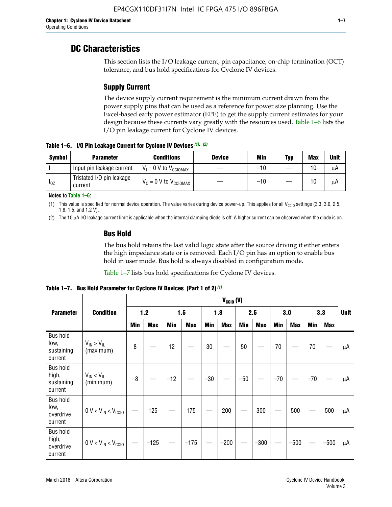# **DC Characteristics**

This section lists the I/O leakage current, pin capacitance, on-chip termination (OCT) tolerance, and bus hold specifications for Cyclone IV devices.

# **Supply Current**

The device supply current requirement is the minimum current drawn from the power supply pins that can be used as a reference for power size planning. Use the Excel-based early power estimator (EPE) to get the supply current estimates for your design because these currents vary greatly with the resources used. Table 1–6 lists the I/O pin leakage current for Cyclone IV devices.

**Table 1–6. I/O Pin Leakage Current for Cyclone IV Devices** *(1)***,** *(2)*

| <b>Symbol</b> | <b>Parameter</b>                     | <b>Conditions</b><br><b>Device</b>    |  | Min   | Typ | <b>Max</b> | <b>Unit</b> |
|---------------|--------------------------------------|---------------------------------------|--|-------|-----|------------|-------------|
| -lı           | Input pin leakage current            | $V_1 = 0$ V to $V_{\text{CCIOMAX}}$   |  | $-10$ |     | 10         | μA          |
| $I_{0Z}$      | Tristated I/O pin leakage<br>current | $V_0 = 0 V$ to $V_{\text{CCIOMAX}}$ I |  | $-10$ |     | 10         | μA          |

**Notes to Table 1–6:**

(1) This value is specified for normal device operation. The value varies during device power-up. This applies for all V<sub>CCIO</sub> settings (3.3, 3.0, 2.5, 1.8, 1.5, and 1.2 V).

(2) The 10 µA I/O leakage current limit is applicable when the internal clamping diode is off. A higher current can be observed when the diode is on.

# **Bus Hold**

The bus hold retains the last valid logic state after the source driving it either enters the high impedance state or is removed. Each I/O pin has an option to enable bus hold in user mode. Bus hold is always disabled in configuration mode.

Table 1–7 lists bus hold specifications for Cyclone IV devices.

**Table 1–7. Bus Hold Parameter for Cyclone IV Devices (Part 1 of 2)** *(1)*

|                                                   |                                  | $V_{CClO}$ (V) |            |       |            |            |            |       |            |       |            |            |            |             |
|---------------------------------------------------|----------------------------------|----------------|------------|-------|------------|------------|------------|-------|------------|-------|------------|------------|------------|-------------|
| <b>Parameter</b>                                  | <b>Condition</b>                 | 1.2            |            | 1.5   |            | 1.8        |            | 2.5   |            | 3.0   |            | 3.3        |            | <b>Unit</b> |
|                                                   |                                  | <b>Min</b>     | <b>Max</b> | Min   | <b>Max</b> | <b>Min</b> | <b>Max</b> | Min   | <b>Max</b> | Min   | <b>Max</b> | <b>Min</b> | <b>Max</b> |             |
| <b>Bus hold</b><br>low.<br>sustaining<br>current  | $V_{IN}$ > $V_{IL}$<br>(maximum) | 8              |            | 12    |            | 30         |            | 50    |            | 70    |            | 70         |            | μA          |
| <b>Bus hold</b><br>high,<br>sustaining<br>current | $V_{IN}$ < $V_{IL}$<br>(minimum) | $-8$           |            | $-12$ |            | $-30$      |            | $-50$ |            | $-70$ |            | $-70$      |            | μA          |
| <b>Bus hold</b><br>low,<br>overdrive<br>current   | $0 V < V_{IN} < V_{CC10}$        |                | 125        |       | 175        |            | 200        |       | 300        |       | 500        |            | 500        | μA          |
| <b>Bus hold</b><br>high,<br>overdrive<br>current  | $0 V < V_{IN} < V_{CG10}$        |                | $-125$     |       | $-175$     |            | $-200$     |       | $-300$     |       | $-500$     |            | $-500$     | μA          |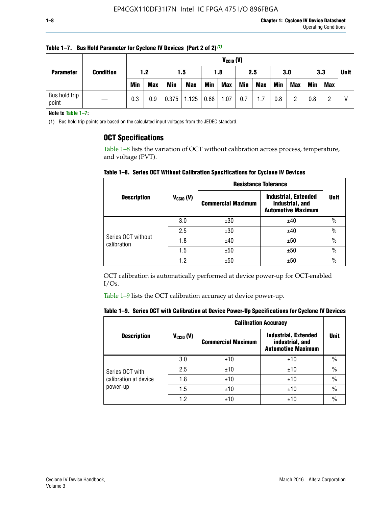| <b>Parameter</b> |                        |     |            | $V_{CGI0} (V)$ |            |            |      |            |     |            |            |            |            |            |  |
|------------------|------------------------|-----|------------|----------------|------------|------------|------|------------|-----|------------|------------|------------|------------|------------|--|
|                  | <b>Condition</b>       | 1.2 |            |                | 1.5        |            | 1.8  |            | 2.5 |            | 3.0        |            | 3.3        |            |  |
|                  |                        |     | <b>Min</b> | <b>Max</b>     | <b>Min</b> | <b>Max</b> | Min  | <b>Max</b> | Min | <b>Max</b> | <b>Min</b> | <b>Max</b> | <b>Min</b> | <b>Max</b> |  |
|                  | Bus hold trip<br>point |     | 0.3        | 0.9            | 0.375      | 1.125      | 0.68 | 1.07       | 0.7 | 1.7        | 0.8        |            | 0.8        |            |  |

**Table 1–7. Bus Hold Parameter for Cyclone IV Devices (Part 2 of 2)** *(1)*

**Note to Table 1–7:**

(1) Bus hold trip points are based on the calculated input voltages from the JEDEC standard.

# **OCT Specifications**

Table 1–8 lists the variation of OCT without calibration across process, temperature, and voltage (PVT).

**Table 1–8. Series OCT Without Calibration Specifications for Cyclone IV Devices**

|                                   |                      | <b>Resistance Tolerance</b> |                                                                             |               |
|-----------------------------------|----------------------|-----------------------------|-----------------------------------------------------------------------------|---------------|
| <b>Description</b>                | $V_{\text{CCIO}}(V)$ | <b>Commercial Maximum</b>   | <b>Industrial, Extended</b><br>industrial, and<br><b>Automotive Maximum</b> | <b>Unit</b>   |
|                                   | 3.0                  | ±30                         | ±40                                                                         | $\frac{0}{0}$ |
|                                   | 2.5                  | ±30                         | ±40                                                                         | $\frac{0}{0}$ |
| Series OCT without<br>calibration | 1.8                  | ±40                         | ±50                                                                         | $\frac{0}{0}$ |
|                                   | 1.5                  | ±50                         | ±50                                                                         | $\frac{0}{0}$ |
|                                   | 1.2                  | ±50                         | ±50                                                                         | $\frac{0}{0}$ |

OCT calibration is automatically performed at device power-up for OCT-enabled I/Os.

Table 1–9 lists the OCT calibration accuracy at device power-up.

|  | Table 1–9.  Series OCT with Calibration at Device Power-Up Specifications for Cyclone IV Devices |  |  |  |
|--|--------------------------------------------------------------------------------------------------|--|--|--|
|--|--------------------------------------------------------------------------------------------------|--|--|--|

|                       |                | <b>Calibration Accuracy</b> |                                                                             |               |
|-----------------------|----------------|-----------------------------|-----------------------------------------------------------------------------|---------------|
| <b>Description</b>    | $V_{CGI0} (V)$ | <b>Commercial Maximum</b>   | <b>Industrial, Extended</b><br>industrial, and<br><b>Automotive Maximum</b> | Unit          |
|                       | 3.0            | ±10                         | ±10                                                                         | $\%$          |
| Series OCT with       | 2.5            | ±10                         | ±10                                                                         | $\%$          |
| calibration at device | 1.8            | ±10                         | ±10                                                                         | $\frac{0}{0}$ |
| power-up              | 1.5            | ±10                         | ±10                                                                         | $\frac{0}{0}$ |
|                       | 1.2            | ±10                         | ±10                                                                         | $\frac{0}{0}$ |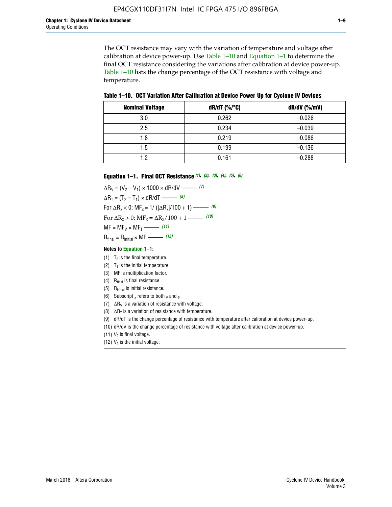The OCT resistance may vary with the variation of temperature and voltage after calibration at device power-up. Use Table 1–10 and Equation 1–1 to determine the final OCT resistance considering the variations after calibration at device power-up. Table 1–10 lists the change percentage of the OCT resistance with voltage and temperature.

**Table 1–10. OCT Variation After Calibration at Device Power**-**Up for Cyclone IV Devices**

| <b>Nominal Voltage</b> | $dR/dT$ (%/°C) | $dR/dV$ (%/mV) |
|------------------------|----------------|----------------|
| 3.0                    | 0.262          | $-0.026$       |
| 2.5                    | 0.234          | $-0.039$       |
| 1.8                    | 0.219          | $-0.086$       |
| 1.5                    | 0.199          | $-0.136$       |
| 1.2                    | 0.161          | $-0.288$       |

#### **Equation 1–1. Final OCT Resistance** *(1)***,** *(2)***,** *(3)***,** *(4)***,** *(5)***,** *(6)*

 $\Delta R_V = (V_2 - V_1) \times 1000 \times dR/dV$  ––––––––––––(7)  $\Delta R_T = (T_2 - T_1) \times dR/dT$  ––––––– (8) For  $\Delta R_x < 0$ ; MF<sub>x</sub> = 1/ ( $|\Delta R_x|/100 + 1$ ) –––––– (9) For  $\Delta R_x > 0$ ;  $\text{MF}_x = \Delta R_x / 100 + 1$  ——– (10)  $MF = MF_V \times MF_T$  –––––––––––(11) Rfinal = Rinitial × MF ––––– *(12)*

#### **Notes to Equation 1–1:**

- (1)  $T_2$  is the final temperature.
- (2)  $T_1$  is the initial temperature.
- (3) MF is multiplication factor.
- (4)  $R<sub>final</sub>$  is final resistance.
- (5) Rinitial is initial resistance.
- (6) Subscript x refers to both  $\sqrt{v}$  and  $\sqrt{v}$ .
- (7)  $\Delta R_V$  is a variation of resistance with voltage.
- (8)  $\Delta R_T$  is a variation of resistance with temperature.
- (9) dR/dT is the change percentage of resistance with temperature after calibration at device power-up.
- (10) dR/dV is the change percentage of resistance with voltage after calibration at device power-up.
- (11)  $V_2$  is final voltage.
- (12)  $V_1$  is the initial voltage.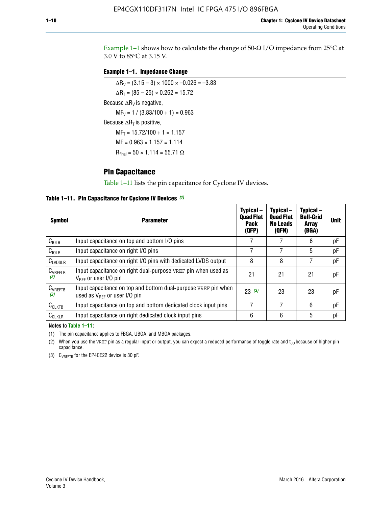Example 1-1 shows how to calculate the change of  $50$ - $\Omega$  I/O impedance from 25°C at 3.0 V to 85°C at 3.15 V.

### **Example 1–1. Impedance Change**

 $\Delta R_V = (3.15 - 3) \times 1000 \times -0.026 = -3.83$  $\Delta R_T = (85 - 25) \times 0.262 = 15.72$ Because  $\Delta R_V$  is negative,  $MF_V = 1 / (3.83/100 + 1) = 0.963$ Because  $\Delta R_T$  is positive,  $MF_T = 15.72/100 + 1 = 1.157$  $MF = 0.963 \times 1.157 = 1.114$  $R_{final} = 50 \times 1.114 = 55.71 \Omega$ 

# **Pin Capacitance**

Table 1–11 lists the pin capacitance for Cyclone IV devices.

**Table 1–11. Pin Capacitance for Cyclone IV Devices** *(1)*

| <b>Symbol</b>       | <b>Parameter</b>                                                                                    | Typical-<br><b>Quad Flat</b><br><b>Pack</b><br>(QFP) | Typical-<br><b>Quad Flat</b><br><b>No Leads</b><br>(QFN) | Typical-<br><b>Ball-Grid</b><br><b>Array</b><br>(BGA) | <b>Unit</b> |
|---------------------|-----------------------------------------------------------------------------------------------------|------------------------------------------------------|----------------------------------------------------------|-------------------------------------------------------|-------------|
| C <sub>IOTB</sub>   | Input capacitance on top and bottom I/O pins                                                        |                                                      |                                                          | 6                                                     | рF          |
| $C_{IOLR}$          | Input capacitance on right I/O pins                                                                 |                                                      |                                                          | 5                                                     | pF          |
| $C_{LVDSLR}$        | Input capacitance on right I/O pins with dedicated LVDS output                                      | 8                                                    | 8                                                        | 7                                                     | рF          |
| $C_{VREFLR}$<br>(2) | Input capacitance on right dual-purpose VREF pin when used as<br>$V_{BFF}$ or user I/O pin          | 21                                                   | 21                                                       | 21                                                    | pF          |
| $C_{VREFTB}$<br>(2) | Input capacitance on top and bottom dual-purpose VREF pin when<br>used as $V_{BFF}$ or user I/O pin | 23(3)                                                | 23                                                       | 23                                                    | рF          |
| $C_{CLKTB}$         | Input capacitance on top and bottom dedicated clock input pins                                      |                                                      | 7                                                        | 6                                                     | рF          |
| $C_{CLKLR}$         | Input capacitance on right dedicated clock input pins                                               | 6                                                    | 6                                                        | 5                                                     | рF          |

#### **Notes to Table 1–11:**

(1) The pin capacitance applies to FBGA, UBGA, and MBGA packages.

(2) When you use the VREF pin as a regular input or output, you can expect a reduced performance of toggle rate and  $t_{\rm CO}$  because of higher pin capacitance.

(3) CVREFTB for the EP4CE22 device is 30 pF.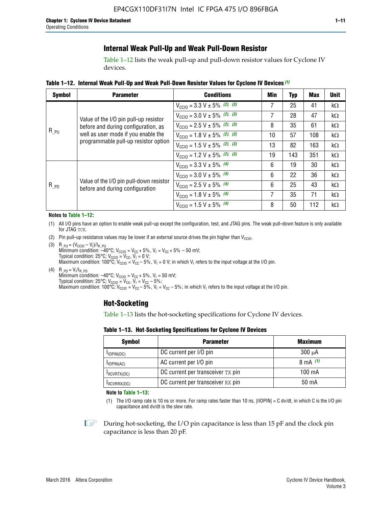# **Internal Weak Pull-Up and Weak Pull-Down Resistor**

Table 1–12 lists the weak pull-up and pull-down resistor values for Cyclone IV devices.

**Table 1–12. Internal Weak Pull**-**Up and Weak Pull**-**Down Resistor Values for Cyclone IV Devices** *(1)*

| <b>Symbol</b> | <b>Parameter</b>                                                                                                   | <b>Conditions</b>                                  | Min | <b>Typ</b> | <b>Max</b> | <b>Unit</b> |
|---------------|--------------------------------------------------------------------------------------------------------------------|----------------------------------------------------|-----|------------|------------|-------------|
|               |                                                                                                                    | $V_{\text{CC10}} = 3.3 \text{ V} \pm 5\%$ (2), (3) | 7   | 25         | 41         | $k\Omega$   |
| $R_{PU}$      | Value of the I/O pin pull-up resistor                                                                              | $V_{\text{CC10}} = 3.0 \text{ V} \pm 5\%$ (2), (3) | 7   | 28         | 47         | kΩ          |
|               | before and during configuration, as<br>well as user mode if you enable the<br>programmable pull-up resistor option | $V_{\text{CC10}} = 2.5 V \pm 5\%$ (2), (3)         | 8   | 35         | 61         | kΩ          |
|               |                                                                                                                    | $V_{\text{CGI0}} = 1.8 V \pm 5\%$ (2), (3)         | 10  | 57         | 108        | $k\Omega$   |
|               |                                                                                                                    | $V_{\text{CC10}} = 1.5 V \pm 5\%$ (2), (3)         | 13  | 82         | 163        | $k\Omega$   |
|               |                                                                                                                    | $V_{\text{CC10}} = 1.2 V \pm 5\%$ (2), (3)         | 19  | 143        | 351        | kΩ          |
|               |                                                                                                                    | $V_{\text{CC10}} = 3.3 V \pm 5\%$ (4)              | 6   | 19         | 30         | kΩ          |
|               |                                                                                                                    | $V_{\text{CC10}} = 3.0 V \pm 5\%$ (4)              | 6   | 22         | 36         | $k\Omega$   |
| $R_{PD}$      | Value of the I/O pin pull-down resistor<br>before and during configuration                                         | $V_{\text{CC10}} = 2.5 V \pm 5\%$ (4)              | 6   | 25         | 43         | kΩ          |
|               |                                                                                                                    | $V_{\text{CC10}} = 1.8 V \pm 5\%$ (4)              | 7   | 35         | 71         | $k\Omega$   |
|               |                                                                                                                    | $V_{\text{CC10}} = 1.5 V \pm 5\%$ (4)              | 8   | 50         | 112        | kΩ          |

#### **Notes to Table 1–12:**

- (1) All I/O pins have an option to enable weak pull-up except the configuration, test, and JTAG pins. The weak pull-down feature is only available for JTAG TCK.
- (2) Pin pull-up resistance values may be lower if an external source drives the pin higher than  $V_{\text{CCIO}}$ .
- (3)  $R_{PU} = (V_{CC10} V_1)/I_{R_PU}$ Minimum condition: –40°C; V<sub>CCIO</sub> = V<sub>CC</sub> + 5%, V<sub>I</sub> = V<sub>CC</sub> + 5% – 50 mV; Typical condition: 25°C; V<sub>CCIO</sub> = V<sub>CC</sub>, V<sub>I</sub> = 0 V; Maximum condition: 100°C;  $V_{\text{CCIO}} = V_{\text{CC}} - 5\%$ ,  $V_1 = 0$  V; in which  $V_1$  refers to the input voltage at the I/O pin.
- (4)  $R_{PD} = V_I/I_{R_PD}$ Minimum condition:  $-40^{\circ}$ C; V<sub>CCIO</sub> = V<sub>CC</sub> + 5%, V<sub>I</sub> = 50 mV; Typical condition: 25°C;  $V_{\text{CCIO}} = V_{\text{CC}}$ ,  $V_{\text{I}} = V_{\text{CC}} - 5\%$ ; Maximum condition: 100°C; V<sub>CClO</sub> = V<sub>CC</sub> – 5%, V<sub>I</sub> = V<sub>CC</sub> – 5%; in which V<sub>I</sub> refers to the input voltage at the I/O pin.

# **Hot-Socketing**

Table 1–13 lists the hot-socketing specifications for Cyclone IV devices.

**Table 1–13. Hot**-**Socketing Specifications for Cyclone IV Devices**

| <b>Symbol</b> | <b>Parameter</b>                  | <b>Maximum</b> |
|---------------|-----------------------------------|----------------|
| $I$ IOPIN(DC) | DC current per I/O pin            | $300 \mu A$    |
| $I$ IOPIN(AC) | AC current per I/O pin            | 8 mA $(1)$     |
| IXCVRTX(DC)   | DC current per transceiver TX pin | 100 mA         |
| IXCVRRX(DC)   | DC current per transceiver RX pin | 50 mA          |

**Note to Table 1–13:**

(1) The I/O ramp rate is 10 ns or more. For ramp rates faster than 10 ns, |IIOPIN| = C dv/dt, in which C is the I/O pin capacitance and dv/dt is the slew rate.

 $\mathbb{I} \rightarrow \mathbb{I}$  During hot-socketing, the I/O pin capacitance is less than 15 pF and the clock pin capacitance is less than 20 pF.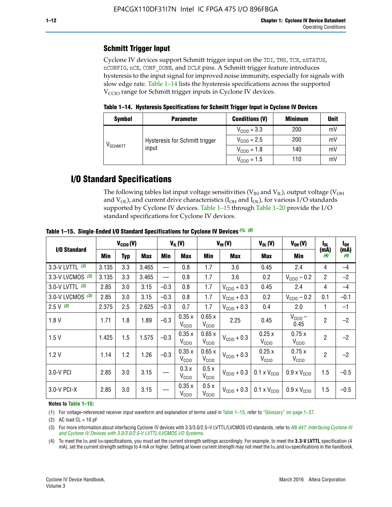# **Schmitt Trigger Input**

Cyclone IV devices support Schmitt trigger input on the TDI, TMS, TCK, nSTATUS, nCONFIG, nCE, CONF\_DONE, and DCLK pins. A Schmitt trigger feature introduces hysteresis to the input signal for improved noise immunity, especially for signals with slow edge rate. Table 1–14 lists the hysteresis specifications across the supported  $V<sub>CCIO</sub>$  range for Schmitt trigger inputs in Cyclone IV devices.

**Table 1–14. Hysteresis Specifications for Schmitt Trigger Input in Cyclone IV Devices**

| <b>Symbol</b> | <b>Parameter</b>                                                                                                                                                            | <b>Conditions (V)</b> | <b>Minimum</b> | <b>Unit</b> |
|---------------|-----------------------------------------------------------------------------------------------------------------------------------------------------------------------------|-----------------------|----------------|-------------|
|               | $V_{\text{CCIO}} = 3.3$<br>$V_{\text{CGI0}} = 2.5$<br>Hysteresis for Schmitt trigger<br>V <sub>SCHMITT</sub><br>input<br>$V_{\text{CCIO}} = 1.8$<br>$V_{\text{CCIO}} = 1.5$ | 200                   | mV             |             |
|               |                                                                                                                                                                             |                       | 200            | mV          |
|               |                                                                                                                                                                             | 140                   |                | mV          |
|               |                                                                                                                                                                             |                       | 110            | mV          |

# **I/O Standard Specifications**

The following tables list input voltage sensitivities ( $V<sub>IH</sub>$  and  $V<sub>II</sub>$ ), output voltage ( $V<sub>OH</sub>$ and  $V_{OL}$ ), and current drive characteristics ( $I_{OH}$  and  $I_{OL}$ ), for various I/O standards supported by Cyclone IV devices. Table 1–15 through Table 1–20 provide the I/O standard specifications for Cyclone IV devices.

|                   | $V_{CClO}(V)$ |            | $V_{IL}(V)$ |        | $V_{IH} (V)$               |                            | $V_{OL}(V)$             | $V_{OH} (V)$                 | l <sub>OL</sub>              | $I_{0H}$       |             |
|-------------------|---------------|------------|-------------|--------|----------------------------|----------------------------|-------------------------|------------------------------|------------------------------|----------------|-------------|
| I/O Standard      | Min           | <b>Typ</b> | Max         | Min    | Max                        | Min                        | <b>Max</b>              | Max                          | Min                          | (mA)<br>(4)    | (mA)<br>(4) |
| 3.3-V LVTTL (3)   | 3.135         | 3.3        | 3.465       |        | 0.8                        | 1.7                        | 3.6                     | 0.45                         | 2.4                          | 4              | $-4$        |
| 3.3-V LVCMOS (3)  | 3.135         | 3.3        | 3.465       |        | 0.8                        | 1.7                        | 3.6                     | 0.2                          | $V_{\text{CCIO}} - 0.2$      | $\overline{2}$ | $-2$        |
| 3.0-V LVTTL $(3)$ | 2.85          | 3.0        | 3.15        | $-0.3$ | 0.8                        | 1.7                        | $V_{\text{CC10}} + 0.3$ | 0.45                         | 2.4                          | $\overline{4}$ | $-4$        |
| 3.0-V LVCMOS (3)  | 2.85          | 3.0        | 3.15        | $-0.3$ | 0.8                        | 1.7                        | $V_{\text{CCI}0}$ + 0.3 | 0.2                          | $V_{\text{CC10}} - 0.2$      | 0.1            | $-0.1$      |
| $2.5 V$ (3)       | 2.375         | 2.5        | 2.625       | $-0.3$ | 0.7                        | 1.7                        | $V_{\text{CCI}0}$ + 0.3 | 0.4                          | 2.0                          | 1              | $-1$        |
| 1.8V              | 1.71          | 1.8        | 1.89        | $-0.3$ | 0.35x<br>V <sub>CCIO</sub> | 0.65x<br>V <sub>CCIO</sub> | 2.25                    | 0.45                         | $V_{\text{CCIO}}$ –<br>0.45  | $\overline{2}$ | $-2$        |
| 1.5V              | 1.425         | 1.5        | 1.575       | $-0.3$ | 0.35x<br>V <sub>CCIO</sub> | 0.65x<br>V <sub>CCIO</sub> | $V_{\text{CGI0}} + 0.3$ | 0.25x<br>V <sub>CCIO</sub>   | 0.75x<br>V <sub>CCIO</sub>   | $\overline{2}$ | $-2$        |
| 1.2V              | 1.14          | 1.2        | 1.26        | $-0.3$ | 0.35x<br>V <sub>CCIO</sub> | 0.65x<br>V <sub>CCIO</sub> | $V_{\text{CGI0}} + 0.3$ | 0.25x<br>V <sub>CCIO</sub>   | 0.75x<br>V <sub>CCIO</sub>   | $\overline{2}$ | $-2$        |
| 3.0-V PCI         | 2.85          | 3.0        | 3.15        |        | 0.3x<br>V <sub>CCIO</sub>  | 0.5x<br>V <sub>CCIO</sub>  | $V_{\text{CC10}} + 0.3$ | $0.1 \times V_{CC10}$        | $0.9 \times V_{\text{CC10}}$ | 1.5            | $-0.5$      |
| 3.0-V PCI-X       | 2.85          | 3.0        | 3.15        |        | 0.35x<br>V <sub>CCIO</sub> | 0.5x<br>V <sub>CCIO</sub>  | $V_{\text{CC10}} + 0.3$ | $0.1 \times V_{\text{CCIO}}$ | $0.9 \times V_{\text{CC10}}$ | 1.5            | $-0.5$      |

**Table 1–15. Single**-**Ended I/O Standard Specifications for Cyclone IV Devices** *(1)***,** *(2)*

#### **Notes to Table 1–15:**

(1) For voltage-referenced receiver input waveform and explanation of terms used in Table 1–15, refer to "Glossary" on page 1–37.

(2) AC load  $CL = 10$  pF

(3) For more information about interfacing Cyclone IV devices with 3.3/3.0/2.5-V LVTTL/LVCMOS I/O standards, refer to *[AN 447: Interfacing Cyclone III](http://www.altera.com/literature/an/an447.pdf)  [and Cyclone IV Devices with 3.3/3.0/2.5-V LVTTL/LVCMOS I/O Systems](http://www.altera.com/literature/an/an447.pdf)*.

(4) To meet the IOL and IOH specifications, you must set the current strength settings accordingly. For example, to meet the **3.3-V LVTTL** specification (4 mA), set the current strength settings to 4 mA or higher. Setting at lower current strength may not meet the lou and lon specifications in the handbook.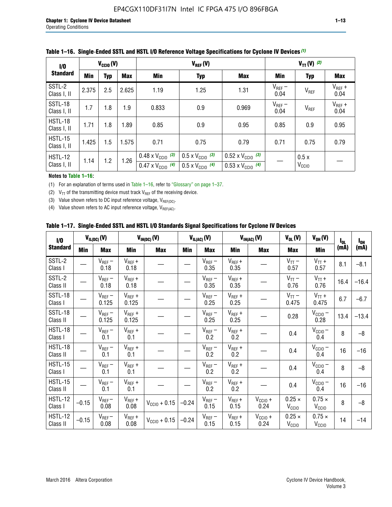| 1/0                           | $V_{\text{CC10}}(V)$ |            |       |                                                                        | $V_{TT} (V)$ (2)                                                     |                                                                        |                     |                           |                     |
|-------------------------------|----------------------|------------|-------|------------------------------------------------------------------------|----------------------------------------------------------------------|------------------------------------------------------------------------|---------------------|---------------------------|---------------------|
| <b>Standard</b>               | Min                  | <b>Typ</b> | Max   | Min                                                                    | <b>Typ</b>                                                           | Max                                                                    | Min                 | <b>Typ</b>                | <b>Max</b>          |
| SSTL-2<br>Class I, II         | 2.375                | 2.5        | 2.625 | 1.19                                                                   | 1.25                                                                 | 1.31                                                                   | $V_{REF}$ –<br>0.04 | $V_{REF}$                 | $V_{REF}$ +<br>0.04 |
| SSTL-18<br>Class I, II        | 1.7                  | 1.8        | 1.9   | 0.833                                                                  | 0.9                                                                  | 0.969                                                                  | $V_{REF}$ –<br>0.04 | V <sub>REF</sub>          | $V_{REF}$ +<br>0.04 |
| HSTL-18<br>Class I, II        | 1.71                 | 1.8        | 1.89  | 0.85                                                                   | 0.9                                                                  | 0.95                                                                   | 0.85                | 0.9                       | 0.95                |
| <b>HSTL-15</b><br>Class I, II | 1.425                | 1.5        | 1.575 | 0.71                                                                   | 0.75                                                                 | 0.79                                                                   | 0.71                | 0.75                      | 0.79                |
| HSTL-12<br>Class I, II        | 1.14                 | 1.2        | 1.26  | $0.48 \times V_{\text{CC10}}$ (3)<br>$0.47 \times V_{\text{CC10}}$ (4) | $0.5 \times V_{\text{CC10}}$ (3)<br>$0.5 \times V_{\text{CC10}}$ (4) | $0.52 \times V_{\text{CC10}}$ (3)<br>$0.53 \times V_{\text{CC10}}$ (4) |                     | 0.5x<br>V <sub>CCIO</sub> |                     |

|  |  |  |  | Table 1–16. Single-Ended SSTL and HSTL I/O Reference Voltage Specifications for Cyclone IV Devices (1) |
|--|--|--|--|--------------------------------------------------------------------------------------------------------|
|--|--|--|--|--------------------------------------------------------------------------------------------------------|

### **Notes to Table 1–16:**

(1) For an explanation of terms used in Table 1–16, refer to "Glossary" on page 1–37.

(2)  $V_{TT}$  of the transmitting device must track  $V_{REF}$  of the receiving device.

(3) Value shown refers to DC input reference voltage,  $V_{REF(DC)}$ .

(4) Value shown refers to AC input reference voltage,  $V_{REF(AC)}$ .

|  |  |  |  |  | Table 1–17.  Single-Ended SSTL and HSTL I/O Standards Signal Specifications for Cyclone IV Devices |
|--|--|--|--|--|----------------------------------------------------------------------------------------------------|
|--|--|--|--|--|----------------------------------------------------------------------------------------------------|

| I/O                        |            | $V_{IL(DC)}(V)$      |                      | $V_{IH(DC)}(V)$   |         | $V_{IL(AC)}(V)$     |                     | $V_{IH(AC)}(V)$      |                                    | $V_{OH} (V)$                       | $I_{0L}$ | $I_{0H}$ |
|----------------------------|------------|----------------------|----------------------|-------------------|---------|---------------------|---------------------|----------------------|------------------------------------|------------------------------------|----------|----------|
| <b>Standard</b>            | <b>Min</b> | Max                  | Min                  | <b>Max</b>        | Min     | Max                 | Min                 | <b>Max</b>           | <b>Max</b>                         | Min                                | (mA)     | (mA)     |
| SSTL-2<br>Class I          |            | $V_{REF}$ –<br>0.18  | $V_{REF} +$<br>0.18  |                   |         | $V_{REF}-$<br>0.35  | $V_{REF} +$<br>0.35 |                      | $V_{TT}$ –<br>0.57                 | $V_{TT}$ +<br>0.57                 | 8.1      | $-8.1$   |
| SSTL-2<br>Class II         |            | $V_{REF}$ –<br>0.18  | $V_{REF} +$<br>0.18  |                   |         | $V_{REF}$ –<br>0.35 | $V_{REF} +$<br>0.35 |                      | $V_{TT}$ –<br>0.76                 | $V_{TT}$ +<br>0.76                 | 16.4     | $-16.4$  |
| <b>SSTL-18</b><br>Class I  |            | $V_{REF}$ –<br>0.125 | $V_{REF}$ +<br>0.125 |                   |         | $V_{REF}$ –<br>0.25 | $V_{REF}$ +<br>0.25 |                      | $V_{TT}$ –<br>0.475                | $V_{TT}$ +<br>0.475                | 6.7      | $-6.7$   |
| <b>SSTL-18</b><br>Class II |            | $V_{REF}$ –<br>0.125 | $V_{REF}$ +<br>0.125 |                   |         | $V_{REF}$ –<br>0.25 | $V_{REF}$ +<br>0.25 |                      | 0.28                               | $V_{CC10}$ –<br>0.28               | 13.4     | $-13.4$  |
| HSTL-18<br>Class I         |            | $V_{REF}$ –<br>0.1   | $V_{REF}$ +<br>0.1   |                   |         | $V_{REF}$ –<br>0.2  | $V_{REF}$ +<br>0.2  |                      | 0.4                                | $V_{CCIO}$ –<br>0.4                | 8        | $-8$     |
| HSTL-18<br>Class II        |            | $V_{REF}$ –<br>0.1   | $V_{REF}$ +<br>0.1   |                   |         | $V_{REF}$ –<br>0.2  | $V_{REF}$ +<br>0.2  |                      | 0.4                                | $V_{CC10}$ –<br>0.4                | 16       | $-16$    |
| HSTL-15<br>Class I         |            | $V_{REF}$ –<br>0.1   | $V_{REF}$ +<br>0.1   |                   |         | $V_{REF}$ –<br>0.2  | $V_{REF}$ +<br>0.2  |                      | 0.4                                | $V_{\text{CC10}} -$<br>0.4         | 8        | $-8$     |
| HSTL-15<br>Class II        |            | $V_{REF}$ –<br>0.1   | $V_{REF} +$<br>0.1   |                   |         | $V_{REF}$ –<br>0.2  | $V_{REF} +$<br>0.2  |                      | 0.4                                | $V_{CC10}$ –<br>0.4                | 16       | $-16$    |
| <b>HSTL-12</b><br>Class I  | $-0.15$    | $V_{REF}-$<br>0.08   | $V_{REF} +$<br>0.08  | $V_{CGI0} + 0.15$ | $-0.24$ | $V_{REF}$ –<br>0.15 | $V_{REF} +$<br>0.15 | $V_{CC10}$ +<br>0.24 | $0.25 \times$<br>V <sub>CCIO</sub> | $0.75 \times$<br>V <sub>CCIO</sub> | 8        | $-8$     |
| <b>HSTL-12</b><br>Class II | $-0.15$    | $V_{REF}$ –<br>0.08  | $V_{REF} +$<br>0.08  | $V_{CGI0} + 0.15$ | $-0.24$ | $V_{REF}$ –<br>0.15 | $V_{REF} +$<br>0.15 | $V_{CC10}$ +<br>0.24 | $0.25 \times$<br>V <sub>CCIO</sub> | $0.75 \times$<br>V <sub>CCIO</sub> | 14       | $-14$    |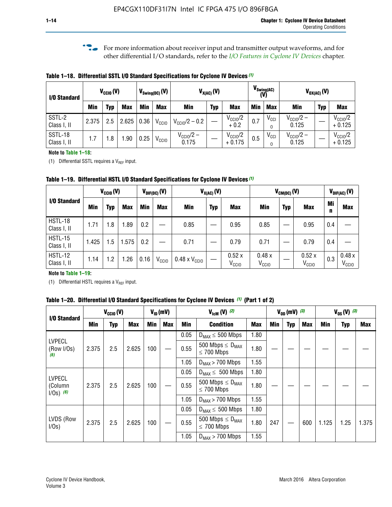**f For more information about receiver input and transmitter output waveforms, and for** other differential I/O standards, refer to the *[I/O Features in Cyclone IV Devices](http://www.altera.com/literature/hb/cyclone-iv/cyiv-51006.pdf)* chapter*.*

**Table 1–18. Differential SSTL I/O Standard Specifications for Cyclone IV Devices** *(1)*

| I/O Standard           |       | $V_{\text{CCIO}}(V)$ |            |      | $V_{\text{Swing(DC)}}(V)$ |                           | $V_{X(AC)}(V)$ |                                 |            | $V_{\text{Swing}(AC)}$<br>(V) | $V_{OX(AC)}(V)$                |            |                                 |  |
|------------------------|-------|----------------------|------------|------|---------------------------|---------------------------|----------------|---------------------------------|------------|-------------------------------|--------------------------------|------------|---------------------------------|--|
|                        | Min   | Typ                  | <b>Max</b> | Min  | <b>Max</b>                | <b>Min</b>                | <b>Typ</b>     | <b>Max</b>                      | <b>Min</b> | <b>Max</b>                    | Min                            | <b>Typ</b> | <b>Max</b>                      |  |
| SSTL-2<br>Class I, II  | 2.375 | 2.5                  | 2.625      | 0.36 | V <sub>CCIO</sub>         | $V_{\text{CC10}}/2 - 0.2$ |                | $V_{\text{CC10}}/2$<br>$+0.2$   | 0.7        | $V_{\text{CCI}}$              | $V_{CClO}/2 -$<br>0.125        |            | $V_{\text{CC10}}/2$<br>$+0.125$ |  |
| SSTL-18<br>Class I, II | 1.7   | .8                   | .90        | 0.25 | V <sub>CCIO</sub>         | $V_{CC10}/2 -$<br>0.175   |                | $V_{\text{CC10}}/2$<br>$+0.175$ | 0.5        | $V_{\text{CCI}}$<br>0         | $V_{\text{CC10}}/2 -$<br>0.125 |            | $V_{\text{CC10}}/2$<br>$+0.125$ |  |

#### **Note to Table 1–18:**

(1) Differential SSTL requires a  $V_{REF}$  input.

**Table 1–19. Differential HSTL I/O Standard Specifications for Cyclone IV Devices** *(1)*

|                               | $V_{\text{CCIO}}(V)$ |      |            | $V_{\text{DIF(DC)}}(V)$ |                   | $V_{X(AC)}(V)$                |            |                            |                            | $V_{CM(DC)}(V)$ | $V_{DIF(AC)}(V)$        |         |                            |
|-------------------------------|----------------------|------|------------|-------------------------|-------------------|-------------------------------|------------|----------------------------|----------------------------|-----------------|-------------------------|---------|----------------------------|
| I/O Standard                  | <b>Min</b>           | Typ  | <b>Max</b> | <b>Min</b>              | <b>Max</b>        | <b>Min</b>                    | <b>Typ</b> | <b>Max</b>                 | Min                        | <b>Typ</b>      | <b>Max</b>              | Mi<br>n | <b>Max</b>                 |
| HSTL-18<br>Class I, II        | 1.71                 | 1.8  | .89        | 0.2                     |                   | 0.85                          |            | 0.95                       | 0.85                       |                 | 0.95                    | 0.4     |                            |
| <b>HSTL-15</b><br>Class I, II | 1.425                | .5   | 1.575      | 0.2                     |                   | 0.71                          |            | 0.79                       | 0.71                       |                 | 0.79                    | 0.4     |                            |
| <b>HSTL-12</b><br>Class I, II | 1.14                 | 2. ا | .26        | 0.16                    | V <sub>CCIO</sub> | $0.48 \times V_{\text{CGI}0}$ |            | 0.52x<br>V <sub>CCIO</sub> | 0.48x<br>V <sub>CCIO</sub> |                 | 0.52x<br>$V_{\rm CCIO}$ | 0.3     | 0.48x<br>V <sub>CCIO</sub> |

### **Note to Table 1–19:**

(1) Differential HSTL requires a  $V_{REF}$  input.

**Table 1–20. Differential I/O Standard Specifications for Cyclone IV Devices** *(1)* **(Part 1 of 2)**

| I/O Standard                            |       | $V_{CCl0} (V)$ |            | $V_{ID}$ (mV) |            |      | $V_{\text{lcm}}(V)^{(2)}$                           |            | $V_{0D}$ (mV) $(3)$ |     |     | $V_{0S} (V)^{(3)}$ |            |       |
|-----------------------------------------|-------|----------------|------------|---------------|------------|------|-----------------------------------------------------|------------|---------------------|-----|-----|--------------------|------------|-------|
|                                         | Min   | Typ            | <b>Max</b> | <b>Min</b>    | <b>Max</b> | Min  | <b>Condition</b>                                    | <b>Max</b> | Min                 | Typ | Max | Min                | <b>Typ</b> | Max   |
|                                         |       |                |            |               |            | 0.05 | $D_{MAX} \leq 500$ Mbps                             | 1.80       |                     |     |     |                    |            |       |
| <b>LVPECL</b><br>(Row I/Os)<br>(6)      | 2.375 | 2.5            | 2.625      | 100           |            | 0.55 | 500 Mbps $\leq$ D <sub>MAX</sub><br>$\leq$ 700 Mbps | 1.80       |                     |     |     |                    |            |       |
|                                         |       |                |            |               |            | 1.05 | $D_{MAX}$ > 700 Mbps                                | 1.55       |                     |     |     |                    |            |       |
|                                         |       |                |            |               |            | 0.05 | $D_{MAX} \leq 500$ Mbps                             | 1.80       |                     |     |     |                    |            |       |
| <b>LVPECL</b><br>(Column<br>$1/Os)$ (6) | 2.375 | 2.5            | 2.625      | 100           |            | 0.55 | 500 Mbps $\leq D_{MAX}$<br>$\leq$ 700 Mbps          | 1.80       |                     |     |     |                    |            |       |
|                                         |       |                |            |               |            | 1.05 | $D_{MAX}$ > 700 Mbps                                | 1.55       |                     |     |     |                    |            |       |
|                                         |       |                |            |               |            | 0.05 | $D_{MAX} \leq 500$ Mbps                             | 1.80       |                     |     |     |                    |            |       |
| LVDS (Row<br>I/Os)                      | 2.375 | 2.5            | 2.625      | 100           |            | 0.55 | 500 Mbps $\leq D_{MAX}$<br>$\leq 700$ Mbps          | 1.80       | 247                 |     | 600 | 1.125              | 1.25       | 1.375 |
|                                         |       |                |            |               |            | 1.05 | $D_{MAX}$ > 700 Mbps                                | 1.55       |                     |     |     |                    |            |       |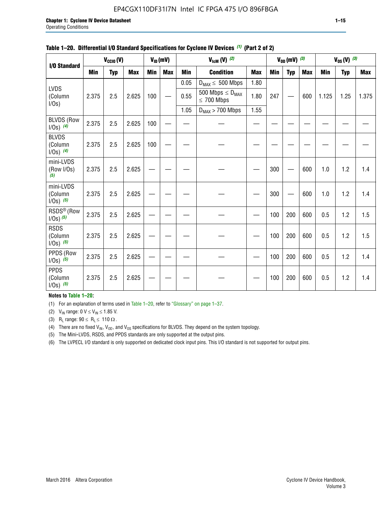# EP4CGX110DF31I7N Intel IC FPGA 475 I/O 896FBGA

| I/O Standard                             |            | $V_{CClO}(V)$ |            |            | $V_{ID}(mV)$ |            | $V_{\text{lcm}}(V)^{(2)}$                  |            |            | $V_{0D}$ (mV) $(3)$ |            |            | $V_{0S} (V)$ (3) |       |
|------------------------------------------|------------|---------------|------------|------------|--------------|------------|--------------------------------------------|------------|------------|---------------------|------------|------------|------------------|-------|
|                                          | <b>Min</b> | <b>Typ</b>    | <b>Max</b> | <b>Min</b> | <b>Max</b>   | <b>Min</b> | <b>Condition</b>                           | <b>Max</b> | <b>Min</b> | <b>Typ</b>          | <b>Max</b> | <b>Min</b> | <b>Typ</b>       | Max   |
|                                          |            |               |            |            |              | 0.05       | $D_{MAX} \leq 500$ Mbps                    | 1.80       |            |                     |            |            |                  |       |
| <b>LVDS</b><br>(Column<br>$I/Os$ )       | 2.375      | 2.5           | 2.625      | 100        |              | 0.55       | 500 Mbps $\leq D_{MAX}$<br>$\leq 700$ Mbps | 1.80       | 247        |                     | 600        | 1.125      | 1.25             | 1.375 |
|                                          |            |               |            |            |              | 1.05       | $D_{MAX}$ > 700 Mbps                       | 1.55       |            |                     |            |            |                  |       |
| <b>BLVDS (Row</b><br>$1/0s)$ (4)         | 2.375      | 2.5           | 2.625      | 100        |              |            |                                            |            |            |                     |            |            |                  |       |
| <b>BLVDS</b><br>(Column<br>$1/0s)$ (4)   | 2.375      | 2.5           | 2.625      | 100        |              |            |                                            |            |            |                     |            |            |                  |       |
| mini-LVDS<br>(Row I/Os)<br>(5)           | 2.375      | 2.5           | 2.625      |            |              |            |                                            |            | 300        |                     | 600        | 1.0        | 1.2              | 1.4   |
| mini-LVDS<br>(Column<br>$1/0s)$ (5)      | 2.375      | 2.5           | 2.625      |            |              |            |                                            |            | 300        |                     | 600        | 1.0        | 1.2              | 1.4   |
| RSDS <sup>®</sup> (Row<br>$1/0s$ ) $(5)$ | 2.375      | 2.5           | 2.625      |            |              |            |                                            |            | 100        | 200                 | 600        | 0.5        | 1.2              | 1.5   |
| <b>RSDS</b><br>(Column<br>$1/0s)$ (5)    | 2.375      | 2.5           | 2.625      |            |              |            |                                            |            | 100        | 200                 | 600        | 0.5        | 1.2              | 1.5   |
| PPDS (Row<br>$1/Os)$ (5)                 | 2.375      | 2.5           | 2.625      |            |              |            |                                            |            | 100        | 200                 | 600        | 0.5        | 1.2              | 1.4   |
| <b>PPDS</b><br>(Column<br>$1/0s)$ (5)    | 2.375      | 2.5           | 2.625      |            |              |            |                                            |            | 100        | 200                 | 600        | 0.5        | 1.2              | 1.4   |

### **Table 1–20. Differential I/O Standard Specifications for Cyclone IV Devices** *(1)* **(Part 2 of 2)**

### **Notes to Table 1–20:**

(1) For an explanation of terms used in Table 1–20, refer to "Glossary" on page 1–37.

(2)  $V_{IN}$  range: 0  $V \le V_{IN} \le 1.85$  V.

(3) R<sub>L</sub> range:  $90 \le R_L \le 110 \Omega$ .

(4) There are no fixed  $V_{IN}$ ,  $V_{OD}$ , and  $V_{OS}$  specifications for BLVDS. They depend on the system topology.

(5) The Mini-LVDS, RSDS, and PPDS standards are only supported at the output pins.

(6) The LVPECL I/O standard is only supported on dedicated clock input pins. This I/O standard is not supported for output pins.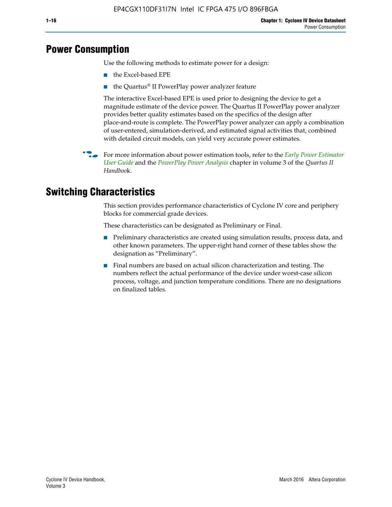# **Power Consumption**

Use the following methods to estimate power for a design:

- the Excel-based EPE
- the Quartus® II PowerPlay power analyzer feature

The interactive Excel-based EPE is used prior to designing the device to get a magnitude estimate of the device power. The Quartus II PowerPlay power analyzer provides better quality estimates based on the specifics of the design after place-and-route is complete. The PowerPlay power analyzer can apply a combination of user-entered, simulation-derived, and estimated signal activities that, combined with detailed circuit models, can yield very accurate power estimates.

f For more information about power estimation tools, refer to the *[Early Power Estimator](http://www.altera.com/literature/ug/ug_epe.pdf
)  [User Guide](http://www.altera.com/literature/ug/ug_epe.pdf
)* and the *[PowerPlay Power Analysis](http://www.altera.com/literature/hb/qts/qts_qii53013.pdf)* chapter in volume 3 of the *Quartus II Handboo*k.

# **Switching Characteristics**

This section provides performance characteristics of Cyclone IV core and periphery blocks for commercial grade devices.

These characteristics can be designated as Preliminary or Final.

- Preliminary characteristics are created using simulation results, process data, and other known parameters. The upper-right hand corner of these tables show the designation as "Preliminary".
- Final numbers are based on actual silicon characterization and testing. The numbers reflect the actual performance of the device under worst-case silicon process, voltage, and junction temperature conditions. There are no designations on finalized tables.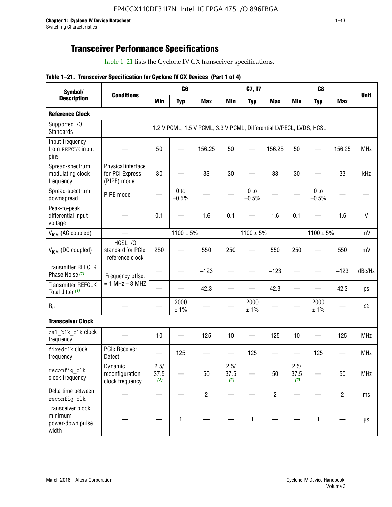# **Transceiver Performance Specifications**

Table 1–21 lists the Cyclone IV GX transceiver specifications.

|  |  |  |  | Table 1-21. Transceiver Specification for Cyclone IV GX Devices (Part 1 of 4) |  |
|--|--|--|--|-------------------------------------------------------------------------------|--|
|--|--|--|--|-------------------------------------------------------------------------------|--|

| Symbol/                                                   |                                                      |                     | C <sub>6</sub>             |                                                                     |                     | C7, I7                     |                   |                     | C <sub>8</sub>             |                |              |
|-----------------------------------------------------------|------------------------------------------------------|---------------------|----------------------------|---------------------------------------------------------------------|---------------------|----------------------------|-------------------|---------------------|----------------------------|----------------|--------------|
| <b>Description</b>                                        | <b>Conditions</b>                                    | <b>Min</b>          | <b>Typ</b>                 | <b>Max</b>                                                          | <b>Min</b>          | <b>Typ</b>                 | <b>Max</b>        | <b>Min</b>          | <b>Typ</b>                 | <b>Max</b>     | <b>Unit</b>  |
| <b>Reference Clock</b>                                    |                                                      |                     |                            |                                                                     |                     |                            |                   |                     |                            |                |              |
| Supported I/O<br><b>Standards</b>                         |                                                      |                     |                            | 1.2 V PCML, 1.5 V PCML, 3.3 V PCML, Differential LVPECL, LVDS, HCSL |                     |                            |                   |                     |                            |                |              |
| Input frequency<br>from REFCLK input<br>pins              |                                                      | 50                  |                            | 156.25                                                              | 50                  |                            | 156.25            | 50                  |                            | 156.25         | <b>MHz</b>   |
| Spread-spectrum<br>modulating clock<br>frequency          | Physical interface<br>for PCI Express<br>(PIPE) mode | 30                  |                            | 33                                                                  | 30                  |                            | 33                | 30                  |                            | 33             | kHz          |
| Spread-spectrum<br>downspread                             | PIPE mode                                            |                     | 0 <sub>to</sub><br>$-0.5%$ |                                                                     |                     | 0 <sub>to</sub><br>$-0.5%$ |                   |                     | 0 <sub>to</sub><br>$-0.5%$ |                |              |
| Peak-to-peak<br>differential input<br>voltage             |                                                      | 0.1                 |                            | 1.6                                                                 | 0.1                 |                            | 1.6               | 0.1                 |                            | 1.6            | $\mathsf{V}$ |
| V <sub>ICM</sub> (AC coupled)                             |                                                      |                     | $1100 \pm 5\%$             |                                                                     |                     | $1100 \pm 5\%$             |                   |                     | $1100 \pm 5\%$             |                | mV           |
| $V_{ICM}$ (DC coupled)                                    | HCSL I/O<br>standard for PCIe<br>reference clock     | 250                 |                            | 550                                                                 | 250                 |                            | 550               | 250                 |                            | 550            | mV           |
| <b>Transmitter REFCLK</b><br>Phase Noise (1)              | Frequency offset                                     |                     |                            | $-123$                                                              |                     |                            | $-123$            |                     |                            | $-123$         | dBc/Hz       |
| <b>Transmitter REFCLK</b><br>Total Jitter (1)             | $= 1$ MHz $- 8$ MHZ                                  |                     |                            | 42.3                                                                |                     |                            | 42.3              |                     |                            | 42.3           | ps           |
| $\mathsf{R}_{\mathsf{ref}}$                               |                                                      |                     | 2000<br>± 1%               |                                                                     |                     | 2000<br>± 1%               |                   |                     | 2000<br>± 1%               |                | Ω            |
| <b>Transceiver Clock</b>                                  |                                                      |                     |                            |                                                                     |                     |                            |                   |                     |                            |                |              |
| cal blk clk clock<br>frequency                            |                                                      | 10                  |                            | 125                                                                 | 10                  |                            | 125               | 10                  | $\overline{\phantom{0}}$   | 125            | MHz          |
| fixedclk clock<br>frequency                               | <b>PCIe Receiver</b><br>Detect                       | $\hspace{0.05cm}$   | 125                        |                                                                     |                     | 125                        | $\hspace{0.05cm}$ | —                   | 125                        |                | <b>MHz</b>   |
| reconfig_clk<br>clock frequency                           | Dynamic<br>reconfiguration<br>clock frequency        | 2.5/<br>37.5<br>(2) |                            | 50                                                                  | 2.5/<br>37.5<br>(2) |                            | 50                | 2.5/<br>37.5<br>(2) |                            | 50             | <b>MHz</b>   |
| Delta time between<br>reconfig clk                        |                                                      |                     |                            | $\overline{2}$                                                      |                     |                            | $\overline{2}$    |                     |                            | $\overline{2}$ | ms           |
| Transceiver block<br>minimum<br>power-down pulse<br>width |                                                      |                     | $\mathbf{1}$               |                                                                     |                     | 1                          |                   |                     | $\mathbf{1}$               |                | $\mu s$      |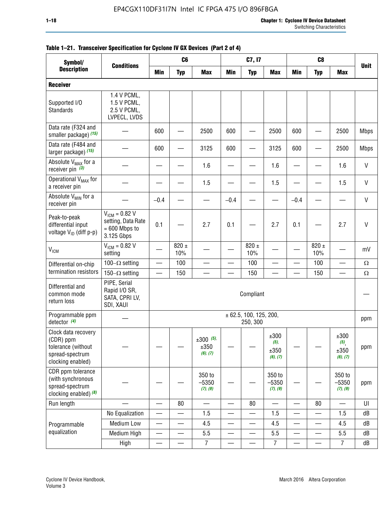| Symbol/                                                                                        |                                                                           |                          | C <sub>6</sub>   |                                 |                          | C7, I7                             |                                     |                          | C <sub>8</sub>           |                                               |              |
|------------------------------------------------------------------------------------------------|---------------------------------------------------------------------------|--------------------------|------------------|---------------------------------|--------------------------|------------------------------------|-------------------------------------|--------------------------|--------------------------|-----------------------------------------------|--------------|
| <b>Description</b>                                                                             | <b>Conditions</b>                                                         | <b>Min</b>               | <b>Typ</b>       | <b>Max</b>                      | <b>Min</b>               | <b>Typ</b>                         | <b>Max</b>                          | <b>Min</b>               | <b>Typ</b>               | <b>Max</b>                                    | <b>Unit</b>  |
| <b>Receiver</b>                                                                                |                                                                           |                          |                  |                                 |                          |                                    |                                     |                          |                          |                                               |              |
| Supported I/O<br><b>Standards</b>                                                              | 1.4 V PCML,<br>1.5 V PCML,<br>2.5 V PCML,<br>LVPECL, LVDS                 |                          |                  |                                 |                          |                                    |                                     |                          |                          |                                               |              |
| Data rate (F324 and<br>smaller package) (15)                                                   |                                                                           | 600                      |                  | 2500                            | 600                      |                                    | 2500                                | 600                      |                          | 2500                                          | <b>Mbps</b>  |
| Data rate (F484 and<br>larger package) (15)                                                    |                                                                           | 600                      |                  | 3125                            | 600                      |                                    | 3125                                | 600                      |                          | 2500                                          | <b>Mbps</b>  |
| Absolute V <sub>MAX</sub> for a<br>receiver pin $(3)$                                          |                                                                           |                          |                  | 1.6                             |                          |                                    | 1.6                                 |                          |                          | 1.6                                           | V            |
| Operational V <sub>MAX</sub> for<br>a receiver pin                                             |                                                                           |                          |                  | 1.5                             |                          |                                    | 1.5                                 |                          |                          | 1.5                                           | V            |
| Absolute V <sub>MIN</sub> for a<br>receiver pin                                                |                                                                           | $-0.4$                   |                  |                                 | $-0.4$                   |                                    | $\equiv$                            | $-0.4$                   |                          |                                               | $\mathsf{V}$ |
| Peak-to-peak<br>differential input<br>voltage $V_{1D}$ (diff p-p)                              | $V_{ICM} = 0.82 V$<br>setting, Data Rate<br>$= 600$ Mbps to<br>3.125 Gbps | 0.1                      |                  | 2.7                             | 0.1                      |                                    | 2.7                                 | 0.1                      |                          | 2.7                                           | $\mathsf{V}$ |
| V <sub>ICM</sub>                                                                               | $V_{ICM} = 0.82 V$<br>setting                                             |                          | $820 \pm$<br>10% |                                 |                          | 820 $\pm$<br>10%                   |                                     |                          | $820 \pm$<br>10%         |                                               | mV           |
| Differential on-chip                                                                           | 100 $-\Omega$ setting                                                     | $\overline{\phantom{0}}$ | 100              |                                 |                          | 100                                |                                     |                          | 100                      |                                               | $\Omega$     |
| termination resistors                                                                          | 150 $-\Omega$ setting                                                     |                          | 150              |                                 |                          | 150                                |                                     |                          | 150                      | $\overline{\phantom{0}}$                      | $\Omega$     |
| Differential and<br>common mode<br>return loss                                                 | PIPE, Serial<br>Rapid I/O SR,<br>SATA, CPRI LV,<br>SDI, XAUI              |                          |                  |                                 |                          | Compliant                          |                                     |                          |                          |                                               |              |
| Programmable ppm<br>detector $(4)$                                                             |                                                                           |                          |                  |                                 |                          | ± 62.5, 100, 125, 200,<br>250, 300 |                                     |                          |                          |                                               | ppm          |
| Clock data recovery<br>(CDR) ppm<br>tolerance (without<br>spread-spectrum<br>clocking enabled) |                                                                           |                          |                  | $±300$ (5),<br>±350<br>(6), (7) |                          |                                    | ±300<br>$(5)$ ,<br>±350<br>(6), (7) |                          |                          | ±300<br>$\left( 5\right)$<br>±350<br>(6), (7) | ppm          |
| CDR ppm tolerance<br>(with synchronous<br>spread-spectrum<br>clocking enabled) (8)             |                                                                           |                          |                  | 350 to<br>$-5350$<br>(7), (9)   |                          |                                    | 350 to<br>$-5350$<br>(7), (9)       |                          |                          | 350 to<br>$-5350$<br>(7), (9)                 | ppm          |
| Run length                                                                                     |                                                                           |                          | 80               |                                 |                          | 80                                 |                                     |                          | 80                       |                                               | UI           |
|                                                                                                | No Equalization                                                           |                          |                  | 1.5                             |                          |                                    | 1.5                                 |                          |                          | 1.5                                           | dB           |
| Programmable                                                                                   | <b>Medium Low</b>                                                         | —                        |                  | 4.5                             | —                        | —                                  | 4.5                                 | $\overline{\phantom{0}}$ | $\overline{\phantom{0}}$ | 4.5                                           | dB           |
| equalization                                                                                   | Medium High                                                               |                          |                  | 5.5                             |                          |                                    | 5.5                                 |                          |                          | 5.5                                           | dB           |
|                                                                                                | High                                                                      |                          |                  | $\overline{7}$                  | $\overline{\phantom{0}}$ |                                    | $\overline{7}$                      | -                        |                          | $\overline{7}$                                | dB           |

# **Table 1–21. Transceiver Specification for Cyclone IV GX Devices (Part 2 of 4)**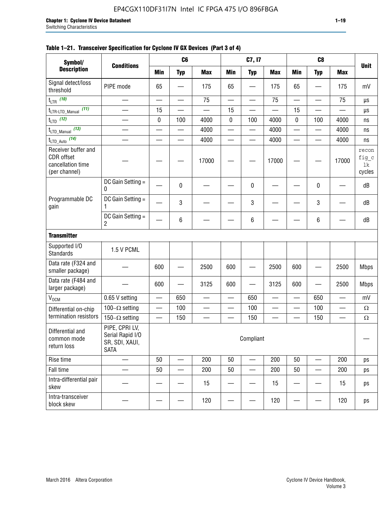### **Table 1–21. Transceiver Specification for Cyclone IV GX Devices (Part 3 of 4)**

| Symbol/                                                                 |                                                                     |                          | C <sub>6</sub>           |                          |                          | C7, I7                   |                          |                          | C <sub>8</sub>           |                          |                                |
|-------------------------------------------------------------------------|---------------------------------------------------------------------|--------------------------|--------------------------|--------------------------|--------------------------|--------------------------|--------------------------|--------------------------|--------------------------|--------------------------|--------------------------------|
| <b>Description</b>                                                      | <b>Conditions</b>                                                   | <b>Min</b>               | <b>Typ</b>               | <b>Max</b>               | <b>Min</b>               | <b>Typ</b>               | <b>Max</b>               | <b>Min</b>               | <b>Typ</b>               | <b>Max</b>               | <b>Unit</b>                    |
| Signal detect/loss<br>threshold                                         | PIPE mode                                                           | 65                       |                          | 175                      | 65                       |                          | 175                      | 65                       | $\overline{\phantom{0}}$ | 175                      | mV                             |
| $t_{LTR}$ (10)                                                          | $\overline{\phantom{0}}$                                            | $\overline{\phantom{0}}$ | $\overline{\phantom{0}}$ | 75                       | $\overline{\phantom{0}}$ |                          | 75                       | $\overline{\phantom{0}}$ | $\qquad \qquad$          | 75                       | μs                             |
| (11)<br>$t_{\text{LTR-LTD\_Manual}}$                                    |                                                                     | 15                       |                          |                          | 15                       |                          |                          | 15                       | $\overline{\phantom{0}}$ |                          | μs                             |
| $t_{LTD}$ (12)                                                          |                                                                     | 0                        | 100                      | 4000                     | $\mathbf 0$              | 100                      | 4000                     | 0                        | 100                      | 4000                     | ns                             |
| $t_{\text{LTD\_Manual}}$ (13)                                           | $\overline{\phantom{0}}$                                            | $\overline{\phantom{0}}$ | $\overline{\phantom{0}}$ | 4000                     | $\overline{\phantom{0}}$ |                          | 4000                     | $\overline{\phantom{0}}$ | $\overline{\phantom{0}}$ | 4000                     | ns                             |
| $t_{\text{LTD\_Auto}}$ (14)                                             |                                                                     |                          |                          | 4000                     |                          |                          | 4000                     | $\overline{\phantom{0}}$ | $\overline{\phantom{0}}$ | 4000                     | ns                             |
| Receiver buffer and<br>CDR offset<br>cancellation time<br>(per channel) |                                                                     |                          |                          | 17000                    |                          |                          | 17000                    |                          |                          | 17000                    | recon<br>fig_c<br>lk<br>cycles |
|                                                                         | DC Gain Setting =<br>0                                              |                          | 0                        |                          |                          | 0                        |                          |                          | 0                        |                          | dB                             |
| Programmable DC<br>gain                                                 | DC Gain Setting =<br>1                                              |                          | 3                        |                          |                          | 3                        |                          |                          | $\mathbf 3$              |                          | dB                             |
|                                                                         | DC Gain Setting =<br>$\overline{2}$                                 |                          | $\,6\,$                  |                          |                          | 6                        |                          |                          | 6                        |                          | dB                             |
| <b>Transmitter</b>                                                      |                                                                     |                          |                          |                          |                          |                          |                          |                          |                          |                          |                                |
| Supported I/O<br><b>Standards</b>                                       | 1.5 V PCML                                                          |                          |                          |                          |                          |                          |                          |                          |                          |                          |                                |
| Data rate (F324 and<br>smaller package)                                 |                                                                     | 600                      |                          | 2500                     | 600                      |                          | 2500                     | 600                      | $\overline{\phantom{0}}$ | 2500                     | <b>Mbps</b>                    |
| Data rate (F484 and<br>larger package)                                  |                                                                     | 600                      | —                        | 3125                     | 600                      | —                        | 3125                     | 600                      | —                        | 2500                     | <b>Mbps</b>                    |
| $\rm V_{\rm OCM}$                                                       | 0.65 V setting                                                      |                          | 650                      | $\overline{\phantom{0}}$ | $\overline{\phantom{0}}$ | 650                      | $\overline{\phantom{0}}$ | $\overline{\phantom{0}}$ | 650                      | $\overline{\phantom{0}}$ | mV                             |
| Differential on-chip                                                    | 100 $-\Omega$ setting                                               |                          | 100                      | $\overline{\phantom{0}}$ | $\overline{\phantom{0}}$ | 100                      | $\overline{\phantom{0}}$ | $\overline{\phantom{0}}$ | 100                      | $\overline{\phantom{0}}$ | $\Omega$                       |
| termination resistors                                                   | 150 $-\Omega$ setting                                               | $\qquad \qquad -$        | 150                      | $\overline{\phantom{0}}$ | —                        | 150                      | $\overline{\phantom{0}}$ | $\qquad \qquad$          | 150                      |                          | $\Omega$                       |
| Differential and<br>common mode<br>return loss                          | PIPE, CPRI LV,<br>Serial Rapid I/O<br>SR, SDI, XAUI,<br><b>SATA</b> |                          |                          |                          |                          | Compliant                |                          |                          |                          |                          |                                |
| Rise time                                                               | $\qquad \qquad$                                                     | 50                       | $\overline{\phantom{0}}$ | 200                      | 50                       | $\overline{\phantom{0}}$ | 200                      | 50                       | $\overline{\phantom{0}}$ | 200                      | ps                             |
| Fall time                                                               | $\overline{\phantom{0}}$                                            | 50                       | $\overline{\phantom{0}}$ | 200                      | 50                       | $\qquad \qquad$          | 200                      | 50                       | $\overline{\phantom{0}}$ | 200                      | ps                             |
| Intra-differential pair<br>skew                                         |                                                                     |                          |                          | 15                       |                          |                          | 15                       | —                        | $\qquad \qquad -$        | 15                       | ps                             |
| Intra-transceiver<br>block skew                                         |                                                                     |                          |                          | 120                      |                          |                          | 120                      |                          | —                        | 120                      | ps                             |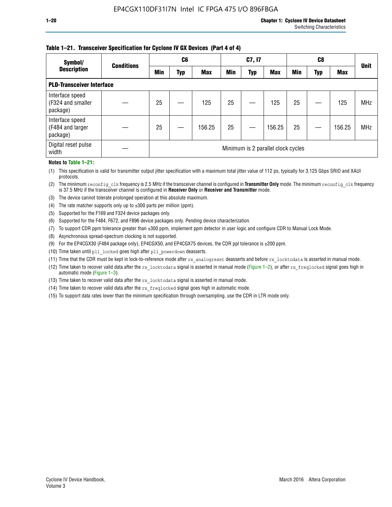### **Table 1–21. Transceiver Specification for Cyclone IV GX Devices (Part 4 of 4)**

| Symbol/                                          | <b>Conditions</b> | C <sub>6</sub>                     |     |            | C7, I7     |            |            | C8         |     |            | <b>Unit</b> |
|--------------------------------------------------|-------------------|------------------------------------|-----|------------|------------|------------|------------|------------|-----|------------|-------------|
| <b>Description</b>                               |                   | <b>Min</b>                         | Typ | <b>Max</b> | <b>Min</b> | <b>Typ</b> | <b>Max</b> | <b>Min</b> | Typ | <b>Max</b> |             |
| <b>PLD-Transceiver Interface</b>                 |                   |                                    |     |            |            |            |            |            |     |            |             |
| Interface speed<br>(F324 and smaller<br>package) |                   | 25                                 |     | 125        | 25         |            | 125        | 25         |     | 125        | <b>MHz</b>  |
| Interface speed<br>(F484 and larger<br>package)  |                   | 25                                 |     | 156.25     | 25         |            | 156.25     | 25         |     | 156.25     | <b>MHz</b>  |
| Digital reset pulse<br>width                     |                   | Minimum is 2 parallel clock cycles |     |            |            |            |            |            |     |            |             |

#### **Notes to Table 1–21:**

(1) This specification is valid for transmitter output jitter specification with a maximum total jitter value of 112 ps, typically for 3.125 Gbps SRIO and XAUI protocols.

(2) The minimum reconfig\_clk frequency is 2.5 MHz if the transceiver channel is configured in **Transmitter Only** mode. The minimum reconfig\_clk frequency is 37.5 MHz if the transceiver channel is configured in **Receiver Only** or **Receiver and Transmitter** mode.

- (3) The device cannot tolerate prolonged operation at this absolute maximum.
- (4) The rate matcher supports only up to  $\pm 300$  parts per million (ppm).
- (5) Supported for the F169 and F324 device packages only.
- (6) Supported for the F484, F672, and F896 device packages only. Pending device characterization.
- (7) To support CDR ppm tolerance greater than ±300 ppm, implement ppm detector in user logic and configure CDR to Manual Lock Mode.
- (8) Asynchronous spread-spectrum clocking is not supported.
- (9) For the EP4CGX30 (F484 package only), EP4CGX50, and EP4CGX75 devices, the CDR ppl tolerance is ±200 ppm.
- (10) Time taken until pll\_locked goes high after pll\_powerdown deasserts.
- (11) Time that the CDR must be kept in lock-to-reference mode after rx analogreset deasserts and before rx locktodata is asserted in manual mode.

(12) Time taken to recover valid data after the rx locktodata signal is asserted in manual mode (Figure 1–2), or after rx freqlocked signal goes high in automatic mode (Figure 1–3).

(13) Time taken to recover valid data after the rx locktodata signal is asserted in manual mode.

- (14) Time taken to recover valid data after the rx freqlocked signal goes high in automatic mode.
- (15) To support data rates lower than the minimum specification through oversampling, use the CDR in LTR mode only.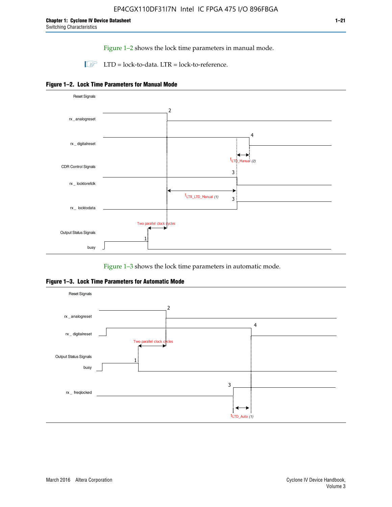Figure 1–2 shows the lock time parameters in manual mode.

 $\Box$  LTD = lock-to-data. LTR = lock-to-reference.





Figure 1–3 shows the lock time parameters in automatic mode.

**Figure 1–3. Lock Time Parameters for Automatic Mode**

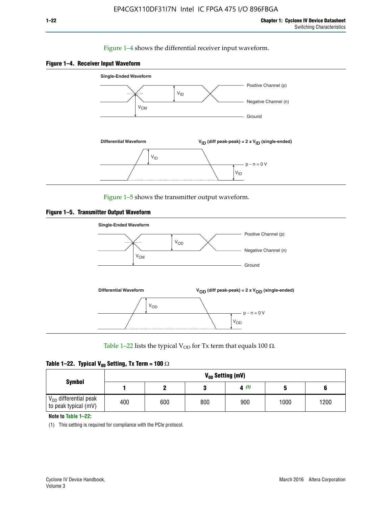### Figure 1–4 shows the differential receiver input waveform.





Figure 1–5 shows the transmitter output waveform.





Table 1–22 lists the typical V<sub>OD</sub> for Tx term that equals 100  $\Omega$ .

| Table 1–22. Typical V <sub>0D</sub> Setting, Tx Term = 100 $\Omega$ |  |  |  |  |  |  |  |
|---------------------------------------------------------------------|--|--|--|--|--|--|--|
|---------------------------------------------------------------------|--|--|--|--|--|--|--|

|                                                        |     |     |     | V <sub>op</sub> Setting (mV) |      |      |
|--------------------------------------------------------|-----|-----|-----|------------------------------|------|------|
| <b>Symbol</b>                                          |     |     |     | 4(1)                         |      |      |
| $\rm V_{OD}$ differential peak<br>to peak typical (mV) | 400 | 600 | 800 | 900                          | 1000 | 1200 |

**Note to Table 1–22:**

(1) This setting is required for compliance with the PCIe protocol.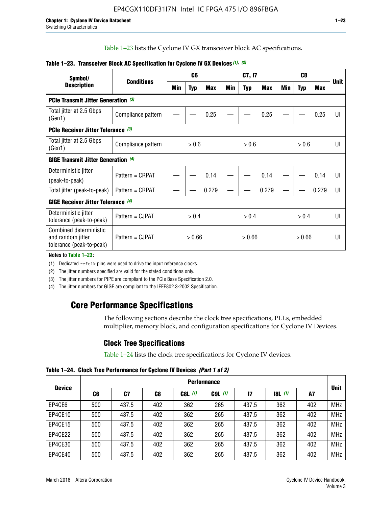Table 1–23 lists the Cyclone IV GX transceiver block AC specifications.

| Symbol/                                                                 |                    |        | C <sub>6</sub> |            | C7, I7 |            |        | C <sub>8</sub> |            |            | <b>Unit</b> |
|-------------------------------------------------------------------------|--------------------|--------|----------------|------------|--------|------------|--------|----------------|------------|------------|-------------|
| <b>Description</b>                                                      | <b>Conditions</b>  | Min    | <b>Typ</b>     | <b>Max</b> | Min    | <b>Typ</b> | Max    | Min            | <b>Typ</b> | <b>Max</b> |             |
| <b>PCIe Transmit Jitter Generation</b> (3)                              |                    |        |                |            |        |            |        |                |            |            |             |
| Total jitter at 2.5 Gbps<br>(Gen1)                                      | Compliance pattern |        |                | 0.25       |        |            | 0.25   |                |            | 0.25       | UI          |
| <b>PCIe Receiver Jitter Tolerance</b> (3)                               |                    |        |                |            |        |            |        |                |            |            |             |
| Total jitter at 2.5 Gbps<br>(Gen1)                                      | Compliance pattern |        | > 0.6          |            |        | > 0.6      |        |                | > 0.6      |            | UI          |
| <b>GIGE Transmit Jitter Generation (4)</b>                              |                    |        |                |            |        |            |        |                |            |            |             |
| Deterministic jitter                                                    | Pattern = CRPAT    |        |                | 0.14       |        |            | 0.14   |                |            | 0.14       | UI          |
| (peak-to-peak)                                                          |                    |        |                |            |        |            |        |                |            |            |             |
| Total jitter (peak-to-peak)                                             | Pattern = CRPAT    |        |                | 0.279      |        |            | 0.279  |                |            | 0.279      | UI          |
| <b>GIGE Receiver Jitter Tolerance (4)</b>                               |                    |        |                |            |        |            |        |                |            |            |             |
| Deterministic jitter<br>tolerance (peak-to-peak)                        | Pattern = CJPAT    |        | > 0.4          |            | > 0.4  |            |        | > 0.4          |            |            | U           |
| Combined deterministic<br>and random jitter<br>tolerance (peak-to-peak) | Pattern = CJPAT    | > 0.66 |                | > 0.66     |        |            | > 0.66 |                |            | UI         |             |

### **Table 1–23. Transceiver Block AC Specification for Cyclone IV GX Devices** *(1)***,** *(2)*

**Notes to Table 1–23:**

(1) Dedicated refclk pins were used to drive the input reference clocks.

(2) The jitter numbers specified are valid for the stated conditions only.

(3) The jitter numbers for PIPE are compliant to the PCIe Base Specification 2.0.

(4) The jitter numbers for GIGE are compliant to the IEEE802.3-2002 Specification.

# **Core Performance Specifications**

The following sections describe the clock tree specifications, PLLs, embedded multiplier, memory block, and configuration specifications for Cyclone IV Devices.

# **Clock Tree Specifications**

Table 1–24 lists the clock tree specifications for Cyclone IV devices.

**Table 1–24. Clock Tree Performance for Cyclone IV Devices** *(Part 1 of 2)*

|               |     |       |     |           | <b>Performance</b> |       |                  |     |             |
|---------------|-----|-------|-----|-----------|--------------------|-------|------------------|-----|-------------|
| <b>Device</b> | C6  | C7    | C8  | $C8L$ (1) | $C9L$ $(1)$        | 17    | <b>18L</b> $(1)$ | A7  | <b>Unit</b> |
| EP4CE6        | 500 | 437.5 | 402 | 362       | 265                | 437.5 | 362              | 402 | <b>MHz</b>  |
| EP4CE10       | 500 | 437.5 | 402 | 362       | 265                | 437.5 | 362              | 402 | <b>MHz</b>  |
| EP4CE15       | 500 | 437.5 | 402 | 362       | 265                | 437.5 | 362              | 402 | <b>MHz</b>  |
| EP4CE22       | 500 | 437.5 | 402 | 362       | 265                | 437.5 | 362              | 402 | <b>MHz</b>  |
| EP4CE30       | 500 | 437.5 | 402 | 362       | 265                | 437.5 | 362              | 402 | <b>MHz</b>  |
| EP4CE40       | 500 | 437.5 | 402 | 362       | 265                | 437.5 | 362              | 402 | <b>MHz</b>  |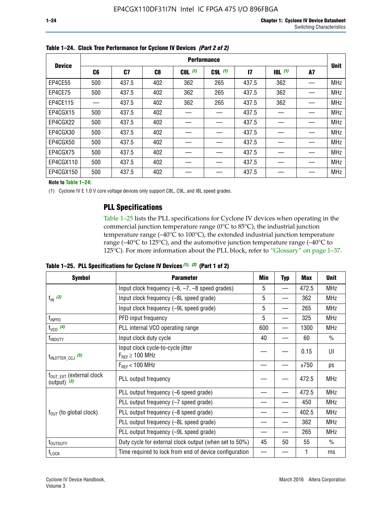|               |     |       |     |           | <b>Performance</b> |              |       |    |             |
|---------------|-----|-------|-----|-----------|--------------------|--------------|-------|----|-------------|
| <b>Device</b> | C6  | C7    | C8  | $C8L$ (1) | $C9L$ $(1)$        | $\mathbf{I}$ | 8L(1) | A7 | <b>Unit</b> |
| EP4CE55       | 500 | 437.5 | 402 | 362       | 265                | 437.5        | 362   |    | <b>MHz</b>  |
| EP4CE75       | 500 | 437.5 | 402 | 362       | 265                | 437.5        | 362   |    | <b>MHz</b>  |
| EP4CE115      |     | 437.5 | 402 | 362       | 265                | 437.5        | 362   |    | <b>MHz</b>  |
| EP4CGX15      | 500 | 437.5 | 402 |           |                    | 437.5        |       |    | <b>MHz</b>  |
| EP4CGX22      | 500 | 437.5 | 402 |           |                    | 437.5        |       |    | <b>MHz</b>  |
| EP4CGX30      | 500 | 437.5 | 402 |           |                    | 437.5        |       |    | <b>MHz</b>  |
| EP4CGX50      | 500 | 437.5 | 402 |           |                    | 437.5        |       |    | <b>MHz</b>  |
| EP4CGX75      | 500 | 437.5 | 402 |           |                    | 437.5        |       |    | <b>MHz</b>  |
| EP4CGX110     | 500 | 437.5 | 402 |           |                    | 437.5        |       |    | <b>MHz</b>  |
| EP4CGX150     | 500 | 437.5 | 402 |           |                    | 437.5        |       |    | <b>MHz</b>  |

**Table 1–24. Clock Tree Performance for Cyclone IV Devices** *(Part 2 of 2)*

**Note to Table 1–24:**

(1) Cyclone IV E 1.0 V core voltage devices only support C8L, C9L, and I8L speed grades.

# **PLL Specifications**

Table 1–25 lists the PLL specifications for Cyclone IV devices when operating in the commercial junction temperature range (0°C to 85°C), the industrial junction temperature range (–40°C to 100°C), the extended industrial junction temperature range (–40°C to 125°C), and the automotive junction temperature range (–40°C to 125°C). For more information about the PLL block, refer to "Glossary" on page 1–37.

|  |  | Table 1–25. PLL Specifications for Cyclone IV Devices $(1)$ , $(2)$ (Part 1 of 2) |  |
|--|--|-----------------------------------------------------------------------------------|--|
|--|--|-----------------------------------------------------------------------------------|--|

| <b>Symbol</b>                                         | <b>Parameter</b>                                            | Min | <b>Typ</b>               | Max   | <b>Unit</b>   |
|-------------------------------------------------------|-------------------------------------------------------------|-----|--------------------------|-------|---------------|
|                                                       | Input clock frequency $(-6, -7, -8)$ speed grades)          | 5   | —                        | 472.5 | <b>MHz</b>    |
| $f_{\text{IN}}$ (3)                                   | Input clock frequency (-8L speed grade)                     | 5   |                          | 362   | <b>MHz</b>    |
|                                                       | Input clock frequency (-9L speed grade)                     | 5   |                          | 265   | <b>MHz</b>    |
| f <sub>INPFD</sub>                                    | PFD input frequency                                         | 5   |                          | 325   | <b>MHz</b>    |
| $f_{VCO}$ (4)                                         | PLL internal VCO operating range                            | 600 | $\overline{\phantom{0}}$ | 1300  | <b>MHz</b>    |
| f <sub>INDUTY</sub>                                   | Input clock duty cycle                                      | 40  |                          | 60    | $\frac{0}{0}$ |
| $t_{\text{INJITTER\_CCJ}}$ (5)                        | Input clock cycle-to-cycle jitter<br>$F_{REF} \geq 100$ MHz |     |                          | 0.15  | UI            |
|                                                       | $F_{RFF}$ < 100 MHz                                         |     |                          | ±750  | ps            |
| $f_{\text{OUT EXT}}$ (external clock<br>output) $(3)$ | PLL output frequency                                        |     |                          | 472.5 | <b>MHz</b>    |
|                                                       | PLL output frequency (-6 speed grade)                       |     |                          | 472.5 | <b>MHz</b>    |
|                                                       | PLL output frequency (-7 speed grade)                       |     |                          | 450   | <b>MHz</b>    |
| $f_{OUT}$ (to global clock)                           | PLL output frequency (-8 speed grade)                       |     |                          | 402.5 | <b>MHz</b>    |
|                                                       | PLL output frequency (-8L speed grade)                      |     |                          | 362   | <b>MHz</b>    |
|                                                       | PLL output frequency (-9L speed grade)                      |     |                          | 265   | <b>MHz</b>    |
| $t_{\mbox{\scriptsize{OUTDUTY}}}$                     | Duty cycle for external clock output (when set to 50%)      | 45  | 50                       | 55    | $\frac{0}{0}$ |
| $t_{\textrm{LOCK}}$                                   | Time required to lock from end of device configuration      |     |                          |       | ms            |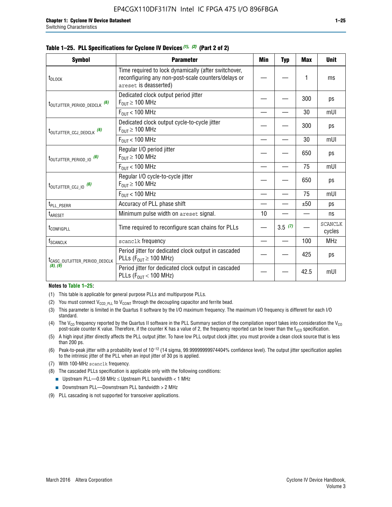|  |  | Table 1–25. PLL Specifications for Cyclone IV Devices (1), (2) (Part 2 of 2) |  |
|--|--|------------------------------------------------------------------------------|--|
|--|--|------------------------------------------------------------------------------|--|

| <b>Symbol</b>                             | <b>Parameter</b>                                                                                                                     | Min | <b>Typ</b> | <b>Max</b> | <b>Unit</b>              |
|-------------------------------------------|--------------------------------------------------------------------------------------------------------------------------------------|-----|------------|------------|--------------------------|
| t <sub>DLOCK</sub>                        | Time required to lock dynamically (after switchover,<br>reconfiguring any non-post-scale counters/delays or<br>areset is deasserted) |     |            | 1          | ms                       |
| t <sub>outjitter_period_dedclk</sub> (6)  | Dedicated clock output period jitter<br>$F_{OIII} \geq 100$ MHz                                                                      |     |            | 300        | ps                       |
|                                           | $F_{\text{OUT}}$ < 100 MHz                                                                                                           |     |            | 30         | mUI                      |
| t <sub>outjitter_ccj_dedclk</sub> (6)     | Dedicated clock output cycle-to-cycle jitter<br>$F_{\text{OUT}} \geq 100 \text{ MHz}$                                                |     |            | 300        | ps                       |
|                                           | $F_{\text{OUT}}$ < 100 MHz                                                                                                           |     |            | 30         | mUI                      |
| t <sub>outjitter_period_io</sub> (6)      | Regular I/O period jitter<br>$F_{OIII} \geq 100$ MHz                                                                                 |     |            | 650        | ps                       |
|                                           | $F_{OUT}$ < 100 MHz                                                                                                                  |     |            | 75         | mUI                      |
| $t_{\text{OUTJITTER\_CCJ\_IO}}$ (6)       | Regular I/O cycle-to-cycle jitter<br>$F_{OUT} \geq 100$ MHz                                                                          |     |            | 650        | ps                       |
|                                           | $F_{\text{OUT}}$ < 100 MHz                                                                                                           |     |            | 75         | mUI                      |
| t <sub>PLL_PSERR</sub>                    | Accuracy of PLL phase shift                                                                                                          |     |            | ±50        | ps                       |
| t <sub>ARESET</sub>                       | Minimum pulse width on areset signal.                                                                                                | 10  |            |            | ns                       |
| t <sub>configpll</sub>                    | Time required to reconfigure scan chains for PLLs                                                                                    |     | 3.5(7)     |            | <b>SCANCLK</b><br>cycles |
| f <sub>SCANCLK</sub>                      | scanclk frequency                                                                                                                    |     |            | 100        | <b>MHz</b>               |
| t <sub>CASC_OUTJITTER_PERIOD_DEDCLK</sub> | Period jitter for dedicated clock output in cascaded<br>PLLs ( $F_{OUT} \ge 100$ MHz)                                                |     |            | 425        | ps                       |
| (8), (9)                                  | Period jitter for dedicated clock output in cascaded<br>PLLs ( $F_{OUT}$ < 100 MHz)                                                  |     |            | 42.5       | mUI                      |

#### **Notes to Table 1–25:**

- (1) This table is applicable for general purpose PLLs and multipurpose PLLs.
- (2) You must connect  $V_{CCD-PLL}$  to  $V_{CCINT}$  through the decoupling capacitor and ferrite bead.
- (3) This parameter is limited in the Quartus II software by the I/O maximum frequency. The maximum I/O frequency is different for each I/O standard.
- (4) The  $V_{CO}$  frequency reported by the Quartus II software in the PLL Summary section of the compilation report takes into consideration the  $V_{CO}$ post-scale counter K value. Therefore, if the counter K has a value of 2, the frequency reported can be lower than the f<sub>VCO</sub> specification.
- (5) A high input jitter directly affects the PLL output jitter. To have low PLL output clock jitter, you must provide a clean clock source that is less than 200 ps.
- (6) Peak-to-peak jitter with a probability level of 10–12 (14 sigma, 99.99999999974404% confidence level). The output jitter specification applies to the intrinsic jitter of the PLL when an input jitter of 30 ps is applied.
- (7) With 100-MHz scanclk frequency.
- (8) The cascaded PLLs specification is applicable only with the following conditions:
	- **■** Upstream PLL—0.59 MHz  $\leq$  Upstream PLL bandwidth  $<$  1 MHz
	- Downstream PLL—Downstream PLL bandwidth > 2 MHz
- (9) PLL cascading is not supported for transceiver applications.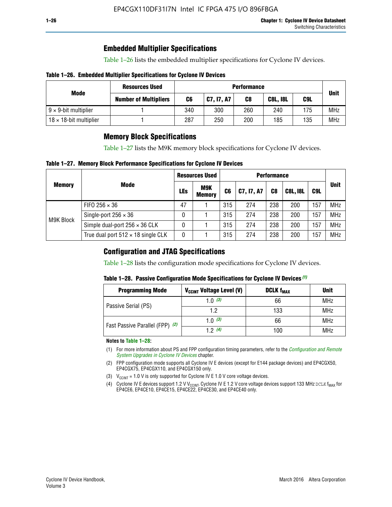# **Embedded Multiplier Specifications**

Table 1–26 lists the embedded multiplier specifications for Cyclone IV devices.

### **Table 1–26. Embedded Multiplier Specifications for Cyclone IV Devices**

|                                | <b>Resources Used</b>        |     |            | <b>Performance</b> |                 |     |             |
|--------------------------------|------------------------------|-----|------------|--------------------|-----------------|-----|-------------|
| Mode                           | <b>Number of Multipliers</b> | C6  | C7, I7, A7 | C8                 | <b>C8L, I8L</b> | C9L | <b>Unit</b> |
| $9 \times 9$ -bit multiplier   |                              | 340 | 300        | 260                | 240             | 175 | <b>MHz</b>  |
| $18 \times 18$ -bit multiplier |                              | 287 | 250        | 200                | 185             | 135 | <b>MHz</b>  |

# **Memory Block Specifications**

Table 1–27 lists the M9K memory block specifications for Cyclone IV devices.

### **Table 1–27. Memory Block Performance Specifications for Cyclone IV Devices**

|               |                                           | <b>Resources Used</b> |                             | <b>Performance</b> |            |                |                 |     |             |
|---------------|-------------------------------------------|-----------------------|-----------------------------|--------------------|------------|----------------|-----------------|-----|-------------|
| <b>Memory</b> | <b>Mode</b>                               | LEs                   | <b>M9K</b><br><b>Memory</b> | C <sub>6</sub>     | C7, I7, A7 | C <sub>8</sub> | <b>C8L, I8L</b> | C9L | <b>Unit</b> |
|               | FIFO 256 $\times$ 36                      | 47                    |                             | 315                | 274        | 238            | 200             | 157 | <b>MHz</b>  |
| M9K Block     | Single-port $256 \times 36$               | 0                     |                             | 315                | 274        | 238            | 200             | 157 | <b>MHz</b>  |
|               | Simple dual-port $256 \times 36$ CLK      | 0                     |                             | 315                | 274        | 238            | 200             | 157 | <b>MHz</b>  |
|               | True dual port $512 \times 18$ single CLK | 0                     |                             | 315                | 274        | 238            | 200             | 157 | <b>MHz</b>  |

# **Configuration and JTAG Specifications**

Table 1–28 lists the configuration mode specifications for Cyclone IV devices.

### **Table 1–28. Passive Configuration Mode Specifications for Cyclone IV Devices** *(1)*

| <b>Programming Mode</b>         | V <sub>CCINT</sub> Voltage Level (V) | <b>DCLK f<sub>MAX</sub></b> | <b>Unit</b> |
|---------------------------------|--------------------------------------|-----------------------------|-------------|
| Passive Serial (PS)             | 1.0 $(3)$                            | 66                          | MHz         |
|                                 | 1.2                                  | 133                         | MHz         |
| Fast Passive Parallel (FPP) (2) | 1.0 $(3)$                            | 66                          | MHz         |
|                                 | 12(4)                                | 100                         | <b>MHz</b>  |

#### **Notes to Table 1–28:**

- (1) For more information about PS and FPP configuration timing parameters, refer to the *[Configuration and Remote](http://www.altera.com/literature/hb/cyclone-iv/cyiv-51008.pdf)  [System Upgrades in Cyclone IV Devices](http://www.altera.com/literature/hb/cyclone-iv/cyiv-51008.pdf)* chapter.
- (2) FPP configuration mode supports all Cyclone IV E devices (except for E144 package devices) and EP4CGX50, EP4CGX75, EP4CGX110, and EP4CGX150 only.
- (3)  $V_{CCMT}$  = 1.0 V is only supported for Cyclone IV E 1.0 V core voltage devices.
- (4) Cyclone IV E devices support 1.2 V V<sub>CCINT</sub>. Cyclone IV E 1.2 V core voltage devices support 133 MHz DCLK f<sub>MAX</sub> for EP4CE6, EP4CE10, EP4CE15, EP4CE22, EP4CE30, and EP4CE40 only.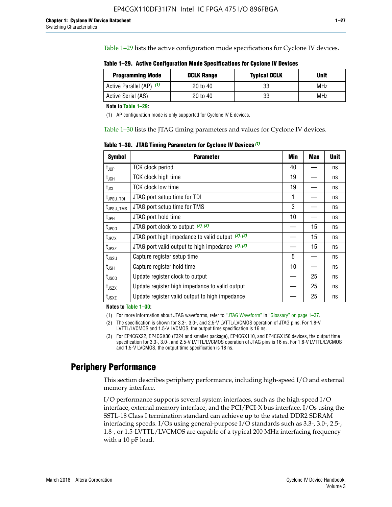Table 1–29 lists the active configuration mode specifications for Cyclone IV devices.

| Table 1–29. Active Configuration Mode Specifications for Cyclone IV Devices |  |  |  |
|-----------------------------------------------------------------------------|--|--|--|
|-----------------------------------------------------------------------------|--|--|--|

| <b>Programming Mode</b>  | <b>DCLK Range</b> | <b>Typical DCLK</b> | Unit |
|--------------------------|-------------------|---------------------|------|
| Active Parallel (AP) (1) | 20 to 40          | 33                  | MHz  |
| Active Serial (AS)       | 20 to 40          | 33                  | MHz  |

**Note to Table 1–29:**

(1) AP configuration mode is only supported for Cyclone IV E devices.

Table 1–30 lists the JTAG timing parameters and values for Cyclone IV devices.

**Table 1–30. JTAG Timing Parameters for Cyclone IV Devices** *(1)*

| <b>Symbol</b>         | <b>Parameter</b>                                       | Min | <b>Max</b> | <b>Unit</b> |
|-----------------------|--------------------------------------------------------|-----|------------|-------------|
| $t_{\mathsf{JCP}}$    | <b>TCK clock period</b>                                | 40  |            | ns          |
| $t_{JCH}$             | <b>TCK clock high time</b>                             | 19  |            | ns          |
| $t_{JCL}$             | TCK clock low time                                     | 19  |            | ns          |
| t <sub>JPSU_TDI</sub> | JTAG port setup time for TDI                           | 1   |            | ns          |
| t <sub>JPSU_TMS</sub> | JTAG port setup time for TMS                           | 3   |            | ns          |
| $t_{\sf JPH}$         | JTAG port hold time                                    | 10  |            | ns          |
| t <sub>JPCO</sub>     | JTAG port clock to output (2), (3)                     |     | 15         | ns          |
| t <sub>JPZX</sub>     | JTAG port high impedance to valid output $(2)$ , $(3)$ |     | 15         | ns          |
| t <sub>JPXZ</sub>     | JTAG port valid output to high impedance $(2)$ , $(3)$ |     | 15         | ns          |
| $t_{\rm JSSU}$        | Capture register setup time                            | 5   |            | ns          |
| $t_{\mathsf{JSH}}$    | Capture register hold time                             | 10  |            | ns          |
| $t_{\rm JSCO}$        | Update register clock to output                        |     | 25         | ns          |
| t <sub>JSZX</sub>     | Update register high impedance to valid output         |     | 25         | ns          |
| $t_{JSXZ}$            | Update register valid output to high impedance         |     | 25         | ns          |

**Notes to Table 1–30:**

(1) For more information about JTAG waveforms, refer to "JTAG Waveform" in "Glossary" on page 1–37.

(2) The specification is shown for 3.3-, 3.0-, and 2.5-V LVTTL/LVCMOS operation of JTAG pins. For 1.8-V LVTTL/LVCMOS and 1.5-V LVCMOS, the output time specification is 16 ns.

(3) For EP4CGX22, EP4CGX30 (F324 and smaller package), EP4CGX110, and EP4CGX150 devices, the output time specification for 3.3-, 3.0-, and 2.5-V LVTTL/LVCMOS operation of JTAG pins is 16 ns. For 1.8-V LVTTL/LVCMOS and 1.5-V LVCMOS, the output time specification is 18 ns.

# **Periphery Performance**

This section describes periphery performance, including high-speed I/O and external memory interface.

I/O performance supports several system interfaces, such as the high-speed I/O interface, external memory interface, and the PCI/PCI-X bus interface. I/Os using the SSTL-18 Class I termination standard can achieve up to the stated DDR2 SDRAM interfacing speeds. I/Os using general-purpose I/O standards such as 3.3-, 3.0-, 2.5-, 1.8-, or 1.5-LVTTL/LVCMOS are capable of a typical 200 MHz interfacing frequency with a 10 pF load.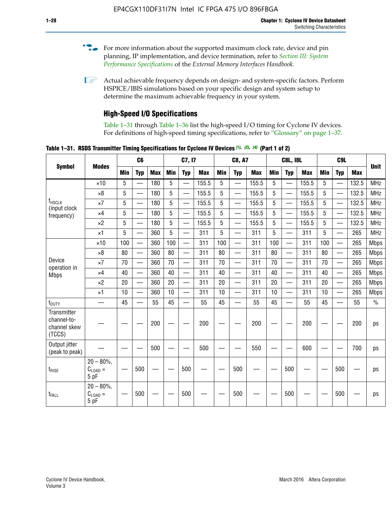- For more information about the supported maximum clock rate, device and pin planning, IP implementation, and device termination, refer to *[Section III: System](http://www.altera.com/literature/hb/external-memory/emi_intro_specs.pdf)  [Performance Specifications](http://www.altera.com/literature/hb/external-memory/emi_intro_specs.pdf)* of the *External Memory Interfaces Handbook*.
- **1 Actual achievable frequency depends on design- and system-specific factors. Perform** HSPICE/IBIS simulations based on your specific design and system setup to determine the maximum achievable frequency in your system.

# **High-Speed I/O Specifications**

Table 1–31 through Table 1–36 list the high-speed I/O timing for Cyclone IV devices. For definitions of high-speed timing specifications, refer to "Glossary" on page 1–37.

**Table 1–31. RSDS Transmitter Timing Specifications for Cyclone IV Devices** *(1)***,** *(2)***,** *(4)* **(Part 1 of 2)**

| <b>Symbol</b>                                        |                                     |     | C6                       |            |            | C7, I7                   |            |                 | <b>C8, A7</b>            |            |            | <b>C8L, I8L</b>          |            |     | C <sub>9</sub> L         |            |             |
|------------------------------------------------------|-------------------------------------|-----|--------------------------|------------|------------|--------------------------|------------|-----------------|--------------------------|------------|------------|--------------------------|------------|-----|--------------------------|------------|-------------|
|                                                      | <b>Modes</b>                        | Min | <b>Typ</b>               | <b>Max</b> | <b>Min</b> | <b>Typ</b>               | <b>Max</b> | <b>Min</b>      | <b>Typ</b>               | <b>Max</b> | <b>Min</b> | <b>Typ</b>               | <b>Max</b> | Min | <b>Typ</b>               | <b>Max</b> | <b>Unit</b> |
|                                                      | $\times$ 10                         | 5   | $\overline{\phantom{0}}$ | 180        | 5          | —                        | 155.5      | 5               | $\overline{\phantom{0}}$ | 155.5      | 5          |                          | 155.5      | 5   |                          | 132.5      | <b>MHz</b>  |
|                                                      | $\times 8$                          | 5   |                          | 180        | 5          |                          | 155.5      | $5\phantom{.0}$ | $\overline{\phantom{0}}$ | 155.5      | 5          |                          | 155.5      | 5   |                          | 132.5      | <b>MHz</b>  |
| f <sub>HSCLK</sub><br>(input clock                   | $\times 7$                          | 5   | $\overline{\phantom{0}}$ | 180        | 5          |                          | 155.5      | 5               | $\overline{\phantom{0}}$ | 155.5      | 5          |                          | 155.5      | 5   |                          | 132.5      | <b>MHz</b>  |
| frequency)                                           | $\times$ 4                          | 5   | $\overline{\phantom{0}}$ | 180        | 5          | $\overline{\phantom{0}}$ | 155.5      | 5               | $\equiv$                 | 155.5      | 5          | $\overline{\phantom{0}}$ | 155.5      | 5   | $\overline{\phantom{0}}$ | 132.5      | <b>MHz</b>  |
|                                                      | $\times 2$                          | 5   | $\equiv$                 | 180        | 5          |                          | 155.5      | 5               | $\equiv$                 | 155.5      | 5          | $\equiv$                 | 155.5      | 5   | $\overline{\phantom{0}}$ | 132.5      | <b>MHz</b>  |
|                                                      | $\times$ 1                          | 5   |                          | 360        | 5          |                          | 311        | 5               | $\overline{\phantom{0}}$ | 311        | 5          | $\overline{\phantom{0}}$ | 311        | 5   |                          | 265        | <b>MHz</b>  |
|                                                      | $\times$ 10                         | 100 | $\overline{\phantom{0}}$ | 360        | 100        |                          | 311        | 100             | $\overline{\phantom{0}}$ | 311        | 100        | $\overline{\phantom{0}}$ | 311        | 100 |                          | 265        | <b>Mbps</b> |
|                                                      | $\times 8$                          | 80  |                          | 360        | 80         |                          | 311        | 80              | $\overline{\phantom{0}}$ | 311        | 80         | $\overline{\phantom{0}}$ | 311        | 80  | $\overline{\phantom{0}}$ | 265        | <b>Mbps</b> |
| Device<br>operation in                               | $\times 7$                          | 70  |                          | 360        | 70         |                          | 311        | 70              | $\overline{\phantom{0}}$ | 311        | 70         | $\overline{\phantom{0}}$ | 311        | 70  | $\overline{\phantom{0}}$ | 265        | <b>Mbps</b> |
| <b>Mbps</b>                                          | $\times$ 4                          | 40  |                          | 360        | 40         |                          | 311        | 40              |                          | 311        | 40         |                          | 311        | 40  | $\overline{\phantom{0}}$ | 265        | <b>Mbps</b> |
|                                                      | $\times 2$                          | 20  |                          | 360        | 20         | $\equiv$                 | 311        | 20              | $\overline{\phantom{0}}$ | 311        | 20         |                          | 311        | 20  | $\equiv$                 | 265        | <b>Mbps</b> |
|                                                      | $\times$ 1                          | 10  |                          | 360        | 10         |                          | 311        | 10              |                          | 311        | 10         |                          | 311        | 10  | $\overline{\phantom{0}}$ | 265        | <b>Mbps</b> |
| t <sub>DUTY</sub>                                    | —                                   | 45  | $\overline{\phantom{0}}$ | 55         | 45         |                          | 55         | 45              | $\overline{\phantom{0}}$ | 55         | 45         |                          | 55         | 45  |                          | 55         | $\%$        |
| Transmitter<br>channel-to-<br>channel skew<br>(TCCS) |                                     |     |                          | 200        |            |                          | 200        |                 |                          | 200        |            |                          | 200        |     |                          | 200        | ps          |
| Output jitter<br>(peak to peak)                      |                                     |     |                          | 500        |            |                          | 500        |                 |                          | 550        |            |                          | 600        |     |                          | 700        | ps          |
| $t_{\text{RISE}}$                                    | $20 - 80\%$<br>$C_{LOAD} =$<br>5 pF |     | 500                      |            |            | 500                      |            |                 | 500                      |            |            | 500                      |            |     | 500                      |            | ps          |
| t <sub>FALL</sub>                                    | $20 - 80\%$<br>$C_{LOAD} =$<br>5 pF |     | 500                      |            |            | 500                      |            |                 | 500                      |            |            | 500                      |            |     | 500                      |            | ps          |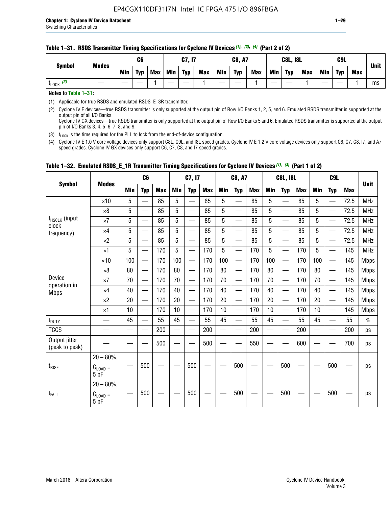#### **Table 1–31. RSDS Transmitter Timing Specifications for Cyclone IV Devices** *(1)***,** *(2)***,** *(4)* **(Part 2 of 2)**

**Notes to Table 1–31:**

(1) Applicable for true RSDS and emulated RSDS\_E\_3R transmitter.

(2) Cyclone IV E devices—true RSDS transmitter is only supported at the output pin of Row I/O Banks 1, 2, 5, and 6. Emulated RSDS transmitter is supported at the output pin of all I/O Banks. Cyclone IV GX devices—true RSDS transmitter is only supported at the output pin of Row I/O Banks 5 and 6. Emulated RSDS transmitter is supported at the output

pin of I/O Banks 3, 4, 5, 6, 7, 8, and 9.

(3)  $t_{\text{LOCK}}$  is the time required for the PLL to lock from the end-of-device configuration.

(4) Cyclone IV E 1.0 V core voltage devices only support C8L, C9L, and I8L speed grades. Cyclone IV E 1.2 V core voltage devices only support C6, C7, C8, I7, and A7 speed grades. Cyclone IV GX devices only support C6, C7, C8, and I7 speed grades.

| <b>Symbol</b>                   |                                              |     | C <sub>6</sub>           |     |            | C7, I7                   |            |                                                                                                                                                                                                                                | <b>C8, A7</b>                  |            |            | <b>C8L, I8L</b>          |            |            | C <sub>9</sub> L         |            | <b>Unit</b>   |
|---------------------------------|----------------------------------------------|-----|--------------------------|-----|------------|--------------------------|------------|--------------------------------------------------------------------------------------------------------------------------------------------------------------------------------------------------------------------------------|--------------------------------|------------|------------|--------------------------|------------|------------|--------------------------|------------|---------------|
|                                 | <b>Modes</b>                                 | Min | <b>Typ</b>               | Max | <b>Min</b> | <b>Typ</b>               | <b>Max</b> | <b>Min</b>                                                                                                                                                                                                                     | <b>Typ</b>                     | <b>Max</b> | <b>Min</b> | <b>Typ</b>               | <b>Max</b> | <b>Min</b> | <b>Typ</b>               | <b>Max</b> |               |
|                                 | $\times$ 10                                  | 5   | $\equiv$                 | 85  | 5          |                          | 85         | 5                                                                                                                                                                                                                              | $\overline{\phantom{0}}$       | 85         | 5          | $\overline{\phantom{0}}$ | 85         | 5          |                          | 72.5       | <b>MHz</b>    |
|                                 | $\times 8$                                   | 5   | $\equiv$                 | 85  | 5          | $\sim$                   | 85         | 5                                                                                                                                                                                                                              | —                              | 85         | 5          | $\overline{\phantom{0}}$ | 85         | 5          |                          | 72.5       | <b>MHz</b>    |
| f <sub>HSCLK</sub> (input       | $\times 7$                                   | 5   | $\overline{\phantom{0}}$ | 85  | 5          |                          | 85         | 5                                                                                                                                                                                                                              | —                              | 85         | 5          | —                        | 85         | 5          |                          | 72.5       | <b>MHz</b>    |
| clock<br>frequency)             | $\times$ 4                                   | 5   | —                        | 85  | 5          | $\overline{\phantom{a}}$ | 85         | 5                                                                                                                                                                                                                              | $\overline{\phantom{0}}$       | 85         | 5          | $\overline{\phantom{0}}$ | 85         | 5          |                          | 72.5       | <b>MHz</b>    |
|                                 | $\times 2$                                   | 5   | $\overline{\phantom{0}}$ | 85  | 5          | $\sim$                   | 85         | 5                                                                                                                                                                                                                              | $\overline{\phantom{0}}$       | 85         | 5          | $\overline{\phantom{0}}$ | 85         | 5          |                          | 72.5       | <b>MHz</b>    |
|                                 | $\times$ 1                                   | 5   | —                        | 170 | 5          |                          | 170        | 5                                                                                                                                                                                                                              | $\overline{\phantom{0}}$       | 170        | 5          | $\overline{\phantom{0}}$ | 170        | 5          |                          | 145        | <b>MHz</b>    |
|                                 | $\times$ 10                                  | 100 | $\overline{\phantom{0}}$ | 170 | 100        |                          | 170        | 100                                                                                                                                                                                                                            | $\overline{\phantom{0}}$       | 170        | 100        | $\overline{\phantom{0}}$ | 170        | 100        |                          | 145        | <b>Mbps</b>   |
|                                 | $\times 8$                                   | 80  | $\overline{\phantom{0}}$ | 170 | 80         | $\overline{\phantom{0}}$ | 170        | 80                                                                                                                                                                                                                             | $\overline{\phantom{0}}$       | 170        | 80         | $\overline{\phantom{0}}$ | 170        | 80         |                          | 145        | <b>Mbps</b>   |
| Device                          | $\times 7$                                   | 70  | $\qquad \qquad$          | 170 | 70         | —                        | 170        | 70                                                                                                                                                                                                                             | $\qquad \qquad \longleftarrow$ | 170        | 70         | $\overline{\phantom{0}}$ | 170        | 70         | $\hspace{0.05cm}$        | 145        | <b>Mbps</b>   |
| operation in<br><b>Mbps</b>     | $\times$ 4                                   | 40  | $\qquad \qquad$          | 170 | 40         | —                        | 170        | 40                                                                                                                                                                                                                             | $\overline{\phantom{0}}$       | 170        | 40         | $\overline{\phantom{0}}$ | 170        | 40         |                          | 145        | <b>Mbps</b>   |
|                                 | $\times 2$                                   | 20  | $\overline{\phantom{0}}$ | 170 | 20         | —<br>—                   | 170        | 20                                                                                                                                                                                                                             | $\overline{\phantom{0}}$       | 170        | 20         | $\overline{\phantom{0}}$ | 170        | 20         | $\overline{\phantom{0}}$ | 145        | <b>Mbps</b>   |
|                                 | $\times$ 1                                   | 10  | $\overline{\phantom{0}}$ | 170 | 10         | $\overline{\phantom{0}}$ | 170        | 10                                                                                                                                                                                                                             | $\overline{\phantom{0}}$       | 170        | 10         | $\overline{\phantom{0}}$ | 170        | 10         | $\overline{\phantom{0}}$ | 145        | <b>Mbps</b>   |
| $t_{\text{DUTY}}$               |                                              | 45  |                          | 55  | 45         |                          | 55         | 45                                                                                                                                                                                                                             |                                | 55         | 45         | $\overline{\phantom{0}}$ | 55         | 45         |                          | 55         | $\frac{0}{0}$ |
| <b>TCCS</b>                     |                                              |     |                          | 200 |            |                          | 200        | e de la provincia de la provincia de la provincia de la provincia de la provincia de la provincia de la provincia de la provincia de la provincia de la provincia de la provincia de la provincia de la provincia de la provin |                                | 200        |            | $\overline{\phantom{0}}$ | 200        |            |                          | 200        | ps            |
| Output jitter<br>(peak to peak) |                                              |     |                          | 500 |            |                          | 500        |                                                                                                                                                                                                                                |                                | 550        |            |                          | 600        |            |                          | 700        | ps            |
| $t_{\text{RISE}}$               | $20 - 80\%$ ,<br>$C_{\text{LOAD}} =$<br>5 pF |     | 500                      |     |            | 500                      |            |                                                                                                                                                                                                                                | 500                            |            |            | 500                      |            |            | 500                      |            | ps            |
| $t_{FALL}$                      | $20 - 80\%$ ,<br>$C_{LOAD} =$<br>5 pF        |     | 500                      |     |            | 500                      |            |                                                                                                                                                                                                                                | 500                            |            |            | 500                      |            |            | 500                      |            | ps            |

# **Table 1–32. Emulated RSDS\_E\_1R Transmitter Timing Specifications for Cyclone IV Devices** *(1), (3)* **(Part 1 of 2)**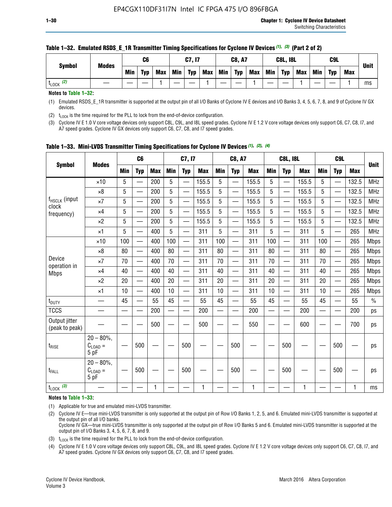| <b>Symbol</b>         | <b>Modes</b> |            | C <sub>6</sub> |     |            | C7, I7     |            |            | <b>C8, A7</b> |            |            | <b>C8L, I8L</b> |            |     | C <sub>9</sub> L |            | <b>Unit</b> |
|-----------------------|--------------|------------|----------------|-----|------------|------------|------------|------------|---------------|------------|------------|-----------------|------------|-----|------------------|------------|-------------|
|                       |              | <b>Min</b> | <b>Typ</b>     | Max | <b>Min</b> | <b>Typ</b> | <b>Max</b> | <b>Min</b> | <b>Typ</b>    | <b>Max</b> | <b>Min</b> | <b>Typ</b>      | <b>Max</b> | Min | <b>Typ</b>       | <b>Max</b> |             |
| $t_{\text{LOCK}}$ (2) |              |            |                |     |            |            |            |            |               |            |            |                 |            |     |                  |            | ms          |

### **Table 1–32. Emulated RSDS\_E\_1R Transmitter Timing Specifications for Cyclone IV Devices** *(1), (3)* **(Part 2 of 2)**

**Notes to Table 1–32:**

(1) Emulated RSDS\_E\_1R transmitter is supported at the output pin of all I/O Banks of Cyclone IV E devices and I/O Banks 3, 4, 5, 6, 7, 8, and 9 of Cyclone IV GX devices.

(2)  $t_{\text{LOCK}}$  is the time required for the PLL to lock from the end-of-device configuration.

(3) Cyclone IV E 1.0 V core voltage devices only support C8L, C9L, and I8L speed grades. Cyclone IV E 1.2 V core voltage devices only support C6, C7, C8, I7, and A7 speed grades. Cyclone IV GX devices only support C6, C7, C8, and I7 speed grades.

| <b>Symbol</b>                      |                                            |            | C <sub>6</sub>                   |            |                          | C7, I7     |            |            | <b>C8, A7</b>            |              |            | <b>C8L, I8L</b>          |            |            | C <sub>9L</sub>          |            |             |
|------------------------------------|--------------------------------------------|------------|----------------------------------|------------|--------------------------|------------|------------|------------|--------------------------|--------------|------------|--------------------------|------------|------------|--------------------------|------------|-------------|
|                                    | <b>Modes</b>                               | <b>Min</b> | <b>Typ</b>                       | <b>Max</b> | <b>Min</b>               | <b>Typ</b> | <b>Max</b> | <b>Min</b> | <b>Typ</b>               | <b>Max</b>   | <b>Min</b> | <b>Typ</b>               | <b>Max</b> | <b>Min</b> | <b>Typ</b>               | <b>Max</b> | <b>Unit</b> |
|                                    | $\times$ 10                                | 5          | $\overline{\phantom{0}}$         | 200        | 5                        | —          | 155.5      | 5          | $\overline{\phantom{0}}$ | 155.5        | 5          | $\overline{\phantom{0}}$ | 155.5      | 5          | <u>—</u>                 | 132.5      | <b>MHz</b>  |
|                                    | $\times 8$                                 | 5          |                                  | 200        | 5                        |            | 155.5      | 5          | e.                       | 155.5        | 5          |                          | 155.5      | 5          |                          | 132.5      | <b>MHz</b>  |
| f <sub>HSCLK</sub> (input<br>clock | $\times 7$                                 | 5          | $\qquad \qquad \overbrace{ }^{}$ | 200        | 5                        | —          | 155.5      | 5          | —                        | 155.5        | 5          | —                        | 155.5      | 5          | —                        | 132.5      | <b>MHz</b>  |
| frequency)                         | $\times$ 4                                 | 5          | $\overline{\phantom{0}}$         | 200        | 5                        | —          | 155.5      | 5          | $\overline{\phantom{0}}$ | 155.5        | 5          |                          | 155.5      | 5          | —                        | 132.5      | MHz         |
|                                    | $\times 2$                                 | 5          | $\overline{\phantom{0}}$         | 200        | 5                        | —          | 155.5      | 5          | —<br>——                  | 155.5        | 5          |                          | 155.5      | 5          | $\overline{\phantom{0}}$ | 132.5      | <b>MHz</b>  |
|                                    | $\times$ 1                                 | 5          | $\overline{\phantom{0}}$         | 400        | 5                        | —          | 311        | 5          | —                        | 311          | 5          | $\overline{\phantom{0}}$ | 311        | 5          |                          | 265        | MHz         |
|                                    | $\times$ 10                                | 100        | $\overline{\phantom{0}}$         | 400        | 100                      |            | 311        | 100        | $\overline{\phantom{0}}$ | 311          | 100        |                          | 311        | 100        |                          | 265        | <b>Mbps</b> |
|                                    | $\times 8$                                 | 80         |                                  | 400        | 80                       | $\equiv$   | 311        | 80         | $\overline{\phantom{0}}$ | 311          | 80         |                          | 311        | 80         |                          | 265        | <b>Mbps</b> |
| Device                             | $\times 7$                                 | 70         |                                  | 400        | 70                       |            | 311        | 70         | $\overline{\phantom{0}}$ | 311          | 70         |                          | 311        | 70         |                          | 265        | <b>Mbps</b> |
| operation in<br><b>Mbps</b>        | $\times 4$                                 | 40         | $\overline{\phantom{0}}$         | 400        | 40                       | —          | 311        | 40         | $\overline{\phantom{0}}$ | 311          | 40         | $\overline{\phantom{0}}$ | 311        | 40         |                          | 265        | <b>Mbps</b> |
|                                    | $\times 2$                                 | 20         |                                  | 400        | 20                       |            | 311        | 20         | $\overline{\phantom{0}}$ | 311          | 20         |                          | 311        | 20         |                          | 265        | <b>Mbps</b> |
|                                    | $\times$ 1                                 | 10         |                                  | 400        | 10                       | —          | 311        | 10         | —                        | 311          | 10         | —                        | 311        | 10         |                          | 265        | <b>Mbps</b> |
| t <sub>DUTY</sub>                  |                                            | 45         |                                  | 55         | 45                       |            | 55         | 45         | —                        | 55           | 45         | —                        | 55         | 45         |                          | 55         | $\%$        |
| <b>TCCS</b>                        |                                            |            |                                  | 200        | $\overline{\phantom{0}}$ | —          | 200        | —          | $\overline{\phantom{0}}$ | 200          |            | —                        | 200        | —          |                          | 200        | ps          |
| Output jitter<br>(peak to peak)    |                                            |            |                                  | 500        |                          |            | 500        |            |                          | 550          |            |                          | 600        |            |                          | 700        | ps          |
| $t_{\text{RISE}}$                  | $20 - 80\%$ ,<br>$C_{LOAD} =$<br>5 pF      |            | 500                              |            |                          | 500        |            |            | 500                      |              |            | 500                      |            |            | 500                      |            | ps          |
| t <sub>FALL</sub>                  | $20 - 80\%$<br>$C_{\text{LOAD}} =$<br>5 pF |            | 500                              |            |                          | 500        |            |            | 500                      |              |            | 500                      |            |            | 500                      |            | ps          |
| $t_{\text{LOCK}}$ (3)              |                                            |            |                                  | 1          |                          |            | 1          |            |                          | $\mathbf{1}$ |            |                          | 1          |            |                          | 1          | ms          |

**Table 1–33. Mini-LVDS Transmitter Timing Specifications for Cyclone IV Devices** *(1)***,** *(2)***,** *(4)*

**Notes to Table 1–33:**

(1) Applicable for true and emulated mini-LVDS transmitter.

(2) Cyclone IV E—true mini-LVDS transmitter is only supported at the output pin of Row I/O Banks 1, 2, 5, and 6. Emulated mini-LVDS transmitter is supported at the output pin of all I/O banks.

Cyclone IV GX—true mini-LVDS transmitter is only supported at the output pin of Row I/O Banks 5 and 6. Emulated mini-LVDS transmitter is supported at the output pin of I/O Banks 3, 4, 5, 6, 7, 8, and 9.

(3)  $t_{\text{LOCK}}$  is the time required for the PLL to lock from the end-of-device configuration.

(4) Cyclone IV E 1.0 V core voltage devices only support C8L, C9L, and I8L speed grades. Cyclone IV E 1.2 V core voltage devices only support C6, C7, C8, I7, and A7 speed grades. Cyclone IV GX devices only support C6, C7, C8, and I7 speed grades.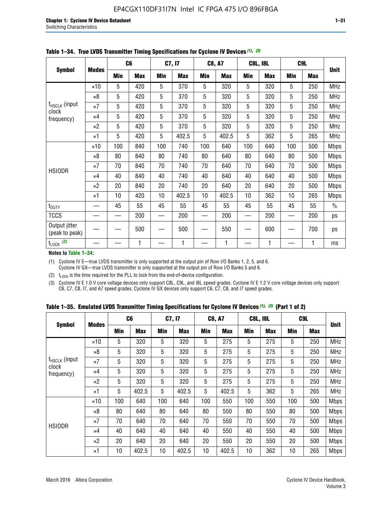|                                 |              |     | C <sub>6</sub> |     | C7, I7     |     | <b>C8, A7</b> |     | <b>C8L, I8L</b> |            | C <sub>9</sub> L |               |
|---------------------------------|--------------|-----|----------------|-----|------------|-----|---------------|-----|-----------------|------------|------------------|---------------|
| <b>Symbol</b>                   | <b>Modes</b> | Min | <b>Max</b>     | Min | <b>Max</b> | Min | <b>Max</b>    | Min | <b>Max</b>      | <b>Min</b> | <b>Max</b>       | <b>Unit</b>   |
|                                 | $\times$ 10  | 5   | 420            | 5   | 370        | 5   | 320           | 5   | 320             | 5          | 250              | <b>MHz</b>    |
|                                 | $\times 8$   | 5   | 420            | 5   | 370        | 5   | 320           | 5   | 320             | 5          | 250              | <b>MHz</b>    |
| f <sub>HSCLK</sub> (input       | $\times 7$   | 5   | 420            | 5   | 370        | 5   | 320           | 5   | 320             | 5          | 250              | MHz           |
| clock<br>frequency)             | $\times$ 4   | 5   | 420            | 5   | 370        | 5   | 320           | 5   | 320             | 5          | 250              | <b>MHz</b>    |
|                                 | $\times 2$   | 5   | 420            | 5   | 370        | 5   | 320           | 5   | 320             | 5          | 250              | <b>MHz</b>    |
|                                 | $\times$ 1   | 5   | 420            | 5   | 402.5      | 5   | 402.5         | 5   | 362             | 5          | 265              | <b>MHz</b>    |
|                                 | $\times$ 10  | 100 | 840            | 100 | 740        | 100 | 640           | 100 | 640             | 100        | 500              | <b>Mbps</b>   |
|                                 | $\times 8$   | 80  | 840            | 80  | 740        | 80  | 640           | 80  | 640             | 80         | 500              | <b>Mbps</b>   |
| <b>HSIODR</b>                   | $\times 7$   | 70  | 840            | 70  | 740        | 70  | 640           | 70  | 640             | 70         | 500              | <b>Mbps</b>   |
|                                 | $\times$ 4   | 40  | 840            | 40  | 740        | 40  | 640           | 40  | 640             | 40         | 500              | <b>Mbps</b>   |
|                                 | $\times 2$   | 20  | 840            | 20  | 740        | 20  | 640           | 20  | 640             | 20         | 500              | <b>Mbps</b>   |
|                                 | $\times$ 1   | 10  | 420            | 10  | 402.5      | 10  | 402.5         | 10  | 362             | 10         | 265              | <b>Mbps</b>   |
| t <sub>DUTY</sub>               |              | 45  | 55             | 45  | 55         | 45  | 55            | 45  | 55              | 45         | 55               | $\frac{0}{0}$ |
| <b>TCCS</b>                     |              |     | 200            |     | 200        |     | 200           |     | 200             |            | 200              | ps            |
| Output jitter<br>(peak to peak) |              |     | 500            |     | 500        |     | 550           |     | 600             |            | 700              | ps            |
| $t_{\text{LOCK}}$ (2)           |              |     | 1              |     | 1          |     | 1             |     | 1               |            | 1                | ms            |

**Table 1–34. True LVDS Transmitter Timing Specifications for Cyclone IV Devices** *(1)***,** *(3)*

**Notes to Table 1–34:**

(1) Cyclone IV E—true LVDS transmitter is only supported at the output pin of Row I/O Banks 1, 2, 5, and 6. Cyclone IV GX—true LVDS transmitter is only supported at the output pin of Row I/O Banks 5 and 6.

(2)  $t_{\text{LOCK}}$  is the time required for the PLL to lock from the end-of-device configuration.

(3) Cyclone IV E 1.0 V core voltage devices only support C8L, C9L, and I8L speed grades. Cyclone IV E 1.2 V core voltage devices only support C6, C7, C8, I7, and A7 speed grades. Cyclone IV GX devices only support C6, C7, C8, and I7 speed grades.

|  |  |  |  | Table 1–35. Emulated LVDS Transmitter Timing Specifications for Cyclone IV Devices <sup>(1), (3)</sup> (Part 1 of 2) |  |  |
|--|--|--|--|----------------------------------------------------------------------------------------------------------------------|--|--|
|--|--|--|--|----------------------------------------------------------------------------------------------------------------------|--|--|

| <b>Symbol</b><br>$f_{HSCLK}$ (input<br>clock<br>frequency)<br><b>HSIODR</b> |             | Min                                                                                                                                                                                                                                                                                                                                                                                                                                                                                                                                                                                                                                                                                                                                                                                                                                 | <b>Max</b> | Min | <b>Max</b> | Min | <b>Max</b> | Min | <b>Max</b> | <b>Min</b> | <b>Max</b> | <b>Unit</b> |
|-----------------------------------------------------------------------------|-------------|-------------------------------------------------------------------------------------------------------------------------------------------------------------------------------------------------------------------------------------------------------------------------------------------------------------------------------------------------------------------------------------------------------------------------------------------------------------------------------------------------------------------------------------------------------------------------------------------------------------------------------------------------------------------------------------------------------------------------------------------------------------------------------------------------------------------------------------|------------|-----|------------|-----|------------|-----|------------|------------|------------|-------------|
|                                                                             | $\times$ 10 | 5                                                                                                                                                                                                                                                                                                                                                                                                                                                                                                                                                                                                                                                                                                                                                                                                                                   | 320        | 5   | 320        | 5   | 275        | 5   | 275        | 5          | 250        | <b>MHz</b>  |
|                                                                             | $\times 8$  | C <sub>6</sub><br>C <sub>9</sub> L<br>C7, I7<br><b>C8, A7</b><br><b>C8L, I8L</b><br><b>Modes</b><br>5<br>5<br>5<br>5<br>5<br>275<br>320<br>320<br>275<br>250<br>5<br>5<br>5<br>5<br>275<br>5<br>320<br>320<br>275<br>250<br>5<br>5<br>5<br>5<br>5<br>275<br>320<br>320<br>275<br>250<br>5<br>5<br>5<br>5<br>5<br>275<br>320<br>320<br>275<br>250<br>5<br>5<br>5<br>5<br>5<br>362<br>402.5<br>402.5<br>402.5<br>265<br>100<br>100<br>100<br>640<br>100<br>640<br>550<br>100<br>550<br>500<br>80<br>80<br>550<br>80<br>80<br>640<br>640<br>80<br>550<br>500<br>70<br>640<br>70<br>70<br>70<br>640<br>550<br>70<br>550<br>500<br>640<br>640<br>40<br>550<br>40<br>40<br>40<br>550<br>40<br>500<br>20<br>20<br>640<br>20<br>550<br>20<br>550<br>20<br>640<br>500<br>10<br>362<br>10<br>402.5<br>10<br>402.5<br>402.5<br>10<br>10<br>265 | <b>MHz</b> |     |            |     |            |     |            |            |            |             |
|                                                                             | $\times 7$  |                                                                                                                                                                                                                                                                                                                                                                                                                                                                                                                                                                                                                                                                                                                                                                                                                                     |            |     |            |     |            |     |            |            |            | <b>MHz</b>  |
|                                                                             | $\times$ 4  |                                                                                                                                                                                                                                                                                                                                                                                                                                                                                                                                                                                                                                                                                                                                                                                                                                     |            |     |            |     |            |     |            |            |            | <b>MHz</b>  |
|                                                                             | $\times 2$  |                                                                                                                                                                                                                                                                                                                                                                                                                                                                                                                                                                                                                                                                                                                                                                                                                                     |            |     |            |     |            |     |            |            |            | <b>MHz</b>  |
|                                                                             | ×1          |                                                                                                                                                                                                                                                                                                                                                                                                                                                                                                                                                                                                                                                                                                                                                                                                                                     |            |     |            |     |            |     |            |            |            | <b>MHz</b>  |
|                                                                             | $\times$ 10 |                                                                                                                                                                                                                                                                                                                                                                                                                                                                                                                                                                                                                                                                                                                                                                                                                                     |            |     |            |     |            |     |            |            |            | <b>Mbps</b> |
|                                                                             | $\times 8$  |                                                                                                                                                                                                                                                                                                                                                                                                                                                                                                                                                                                                                                                                                                                                                                                                                                     |            |     |            |     |            |     |            |            |            | <b>Mbps</b> |
|                                                                             | $\times 7$  |                                                                                                                                                                                                                                                                                                                                                                                                                                                                                                                                                                                                                                                                                                                                                                                                                                     |            |     |            |     |            |     |            |            |            | <b>Mbps</b> |
|                                                                             | $\times$ 4  |                                                                                                                                                                                                                                                                                                                                                                                                                                                                                                                                                                                                                                                                                                                                                                                                                                     |            |     |            |     |            |     |            |            |            | <b>Mbps</b> |
|                                                                             | $\times 2$  |                                                                                                                                                                                                                                                                                                                                                                                                                                                                                                                                                                                                                                                                                                                                                                                                                                     |            |     |            |     |            |     |            |            |            | <b>Mbps</b> |
|                                                                             | ×1          |                                                                                                                                                                                                                                                                                                                                                                                                                                                                                                                                                                                                                                                                                                                                                                                                                                     |            |     |            |     |            |     |            |            |            | <b>Mbps</b> |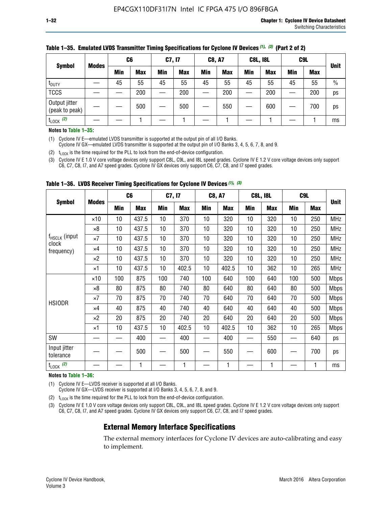|                                 |              | C <sub>6</sub> |            | C7, I7 |            | <b>C8, A7</b> |            | <b>C8L, I8L</b> |            | C <sub>9</sub> L |            |             |
|---------------------------------|--------------|----------------|------------|--------|------------|---------------|------------|-----------------|------------|------------------|------------|-------------|
| <b>Symbol</b>                   | <b>Modes</b> | Min            | <b>Max</b> | Min    | <b>Max</b> | Min           | <b>Max</b> | Min             | <b>Max</b> | Min              | <b>Max</b> | <b>Unit</b> |
| t <sub>DUTY</sub>               |              | 45             | 55         | 45     | 55         | 45            | 55         | 45              | 55         | 45               | 55         | $\%$        |
| <b>TCCS</b>                     |              |                | 200        |        | 200        |               | 200        |                 | 200        | __               | 200        | ps          |
| Output jitter<br>(peak to peak) |              |                | 500        |        | 500        |               | 550        |                 | 600        |                  | 700        | ps          |
| $t_{\text{LOCK}}$ (2)           |              |                |            |        |            |               |            |                 |            |                  |            | ms          |

#### **Table 1–35. Emulated LVDS Transmitter Timing Specifications for Cyclone IV Devices** *(1)***,** *(3)* **(Part 2 of 2)**

#### **Notes to Table 1–35:**

(1) Cyclone IV E—emulated LVDS transmitter is supported at the output pin of all I/O Banks.

Cyclone IV GX—emulated LVDS transmitter is supported at the output pin of I/O Banks 3, 4, 5, 6, 7, 8, and 9.

(2)  $t_{\text{LOCK}}$  is the time required for the PLL to lock from the end-of-device configuration.

(3) Cyclone IV E 1.0 V core voltage devices only support C8L, C9L, and I8L speed grades. Cyclone IV E 1.2 V core voltage devices only support C6, C7, C8, I7, and A7 speed grades. Cyclone IV GX devices only support C6, C7, C8, and I7 speed grades.

|                                    |              |     | C <sub>6</sub> | C7, I7          |            | <b>C8, A7</b> |            |     | <b>C8L, I8L</b> | C <sub>9</sub> L |            |             |
|------------------------------------|--------------|-----|----------------|-----------------|------------|---------------|------------|-----|-----------------|------------------|------------|-------------|
| <b>Symbol</b>                      | <b>Modes</b> | Min | <b>Max</b>     | <b>Min</b>      | <b>Max</b> | Min           | <b>Max</b> | Min | <b>Max</b>      | Min              | <b>Max</b> | <b>Unit</b> |
|                                    | $\times$ 10  | 10  | 437.5          | 10 <sup>°</sup> | 370        | 10            | 320        | 10  | 320             | 10               | 250        | <b>MHz</b>  |
|                                    | $\times 8$   | 10  | 437.5          | 10              | 370        | 10            | 320        | 10  | 320             | 10               | 250        | <b>MHz</b>  |
| f <sub>HSCLK</sub> (input<br>clock | $\times 7$   | 10  | 437.5          | 10              | 370        | 10            | 320        | 10  | 320             | 10               | 250        | <b>MHz</b>  |
| frequency)                         | $\times 4$   | 10  | 437.5          | 10              | 370        | 10            | 320        | 10  | 320             | 10               | 250        | <b>MHz</b>  |
|                                    | $\times 2$   | 10  | 437.5          | 10              | 370        | 10            | 320        | 10  | 320             | 10               | 250        | <b>MHz</b>  |
|                                    | ×1           | 10  | 437.5          | 10              | 402.5      | 10            | 402.5      | 10  | 362             | 10               | 265        | <b>MHz</b>  |
|                                    | $\times$ 10  | 100 | 875            | 100             | 740        | 100           | 640        | 100 | 640             | 100              | 500        | <b>Mbps</b> |
|                                    | $\times 8$   | 80  | 875            | 80              | 740        | 80            | 640        | 80  | 640             | 80               | 500        | <b>Mbps</b> |
| <b>HSIODR</b>                      | $\times 7$   | 70  | 875            | 70              | 740        | 70            | 640        | 70  | 640             | 70               | 500        | <b>Mbps</b> |
|                                    | $\times 4$   | 40  | 875            | 40              | 740        | 40            | 640        | 40  | 640             | 40               | 500        | <b>Mbps</b> |
|                                    | $\times 2$   | 20  | 875            | 20              | 740        | 20            | 640        | 20  | 640             | 20               | 500        | <b>Mbps</b> |
|                                    | ×1           | 10  | 437.5          | 10              | 402.5      | 10            | 402.5      | 10  | 362             | 10               | 265        | <b>Mbps</b> |
| SW                                 |              |     | 400            |                 | 400        |               | 400        |     | 550             |                  | 640        | ps          |
| Input jitter<br>tolerance          |              |     | 500            |                 | 500        |               | 550        |     | 600             |                  | 700        | ps          |
| $t_{\text{LOCK}}$ (2)              |              |     | 1              |                 | 1          |               | 1          |     | 1               |                  | 1          | ms          |

**Table 1–36. LVDS Receiver Timing Specifications for Cyclone IV Devices** *(1)***,** *(3)*

#### **Notes to Table 1–36:**

(1) Cyclone IV E—LVDS receiver is supported at all I/O Banks.

Cyclone IV GX—LVDS receiver is supported at I/O Banks 3, 4, 5, 6, 7, 8, and 9.

(2)  $t_{\text{LOCK}}$  is the time required for the PLL to lock from the end-of-device configuration.

(3) Cyclone IV E 1.0 V core voltage devices only support C8L, C9L, and I8L speed grades. Cyclone IV E 1.2 V core voltage devices only support C6, C7, C8, I7, and A7 speed grades. Cyclone IV GX devices only support C6, C7, C8, and I7 speed grades.

# **External Memory Interface Specifications**

The external memory interfaces for Cyclone IV devices are auto-calibrating and easy to implement.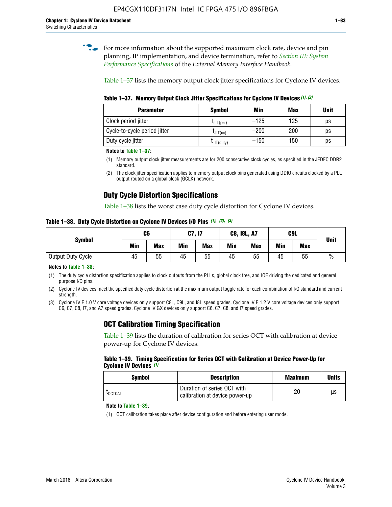**for more information about the supported maximum clock rate, device and pin** planning, IP implementation, and device termination, refer to *[Section III: System](http://www.altera.com/literature/hb/external-memory/emi_intro_specs.pdf)  [Performance Specifications](http://www.altera.com/literature/hb/external-memory/emi_intro_specs.pdf)* of the *External Memory Interface Handbook*.

Table 1–37 lists the memory output clock jitter specifications for Cyclone IV devices.

**Table 1–37. Memory Output Clock Jitter Specifications for Cyclone IV Devices** *(1)***,** *(2)*

| <b>Parameter</b>             | <b>Symbol</b>  | Min    | <b>Max</b> | <b>Unit</b> |
|------------------------------|----------------|--------|------------|-------------|
| Clock period jitter          | $L$ JIT(per)   | $-125$ | 125        | ps          |
| Cycle-to-cycle period jitter | $L$ JIT $(cc)$ | $-200$ | 200        | ps          |
| Duty cycle jitter            | LJIT(duty)     | $-150$ | 150        | рs          |

**Notes to Table 1–37:**

(1) Memory output clock jitter measurements are for 200 consecutive clock cycles, as specified in the JEDEC DDR2 standard.

# **Duty Cycle Distortion Specifications**

Table 1–38 lists the worst case duty cycle distortion for Cyclone IV devices.

**Table 1–38. Duty Cycle Distortion on Cyclone IV Devices I/O Pins** *(1)***,** *(2), (3)*

| <b>Symbol</b>     | C6  |            | C7, I7     |            | <b>C8, I8L, A7</b> |            |            | C9L        | <b>Unit</b>   |
|-------------------|-----|------------|------------|------------|--------------------|------------|------------|------------|---------------|
|                   | Min | <b>Max</b> | <b>Min</b> | <b>Max</b> | Min                | <b>Max</b> | <b>Min</b> | <b>Max</b> |               |
| Output Duty Cycle | 45  | 55         | 45         | 55         | 45                 | 55         | 45         | 55         | $\frac{0}{0}$ |

**Notes to Table 1–38:**

(1) The duty cycle distortion specification applies to clock outputs from the PLLs, global clock tree, and IOE driving the dedicated and general purpose I/O pins.

(2) Cyclone IV devices meet the specified duty cycle distortion at the maximum output toggle rate for each combination of I/O standard and current strength.

(3) Cyclone IV E 1.0 V core voltage devices only support C8L, C9L, and I8L speed grades. Cyclone IV E 1.2 V core voltage devices only support C6, C7, C8, I7, and A7 speed grades. Cyclone IV GX devices only support C6, C7, C8, and I7 speed grades.

# **OCT Calibration Timing Specification**

Table 1–39 lists the duration of calibration for series OCT with calibration at device power-up for Cyclone IV devices.

#### **Table 1–39. Timing Specification for Series OCT with Calibration at Device Power-Up for Cyclone IV Devices** *(1)*

| Symbol  | <b>Description</b>                                            | <b>Maximum</b> | <b>Units</b> |
|---------|---------------------------------------------------------------|----------------|--------------|
| LOCTCAL | Duration of series OCT with<br>calibration at device power-up | 20             | μs           |

#### **Note to Table 1–39***:*

(1) OCT calibration takes place after device configuration and before entering user mode.

<sup>(2)</sup> The clock jitter specification applies to memory output clock pins generated using DDIO circuits clocked by a PLL output routed on a global clock (GCLK) network.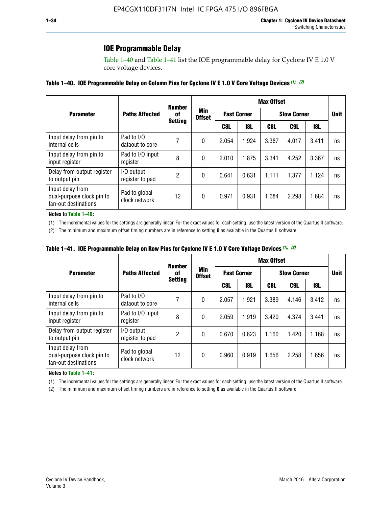# **IOE Programmable Delay**

Table 1–40 and Table 1–41 list the IOE programmable delay for Cyclone IV E 1.0 V core voltage devices.

| Table 1–40. IOE Programmable Delay on Column Pins for Cyclone IV E 1.0 V Core Voltage Devices (1), (2) |  |  |
|--------------------------------------------------------------------------------------------------------|--|--|
|--------------------------------------------------------------------------------------------------------|--|--|

|                                                                       |                                | <b>Number</b><br>0f |                      | <b>Max Offset</b>  |            |                    |             |       |    |  |
|-----------------------------------------------------------------------|--------------------------------|---------------------|----------------------|--------------------|------------|--------------------|-------------|-------|----|--|
| <b>Parameter</b>                                                      | <b>Paths Affected</b>          |                     | Min<br><b>Offset</b> | <b>Fast Corner</b> |            | <b>Slow Corner</b> | <b>Unit</b> |       |    |  |
|                                                                       |                                | <b>Setting</b>      |                      | C8L                | <b>18L</b> | C8L                | C9L         | 18L   |    |  |
| Input delay from pin to<br>internal cells                             | Pad to I/O<br>dataout to core  | 7                   | 0                    | 2.054              | 1.924      | 3.387              | 4.017       | 3.411 | ns |  |
| Input delay from pin to<br>input register                             | Pad to I/O input<br>register   | 8                   | 0                    | 2.010              | 1.875      | 3.341              | 4.252       | 3.367 | ns |  |
| Delay from output register<br>to output pin                           | I/O output<br>register to pad  | 2                   | 0                    | 0.641              | 0.631      | 1.111              | 1.377       | 1.124 | ns |  |
| Input delay from<br>dual-purpose clock pin to<br>fan-out destinations | Pad to global<br>clock network | 12                  | 0                    | 0.971              | 0.931      | 1.684              | 2.298       | 1.684 | ns |  |

#### **Notes to Table 1–40:**

(1) The incremental values for the settings are generally linear. For the exact values for each setting, use the latest version of the Quartus II software.

(2) The minimum and maximum offset timing numbers are in reference to setting **0** as available in the Quartus II software.

| Table 1–41. IOE Programmable Delay on Row Pins for Cyclone IV E 1.0 V Core Voltage Devices (1), (2) |  |  |
|-----------------------------------------------------------------------------------------------------|--|--|
|-----------------------------------------------------------------------------------------------------|--|--|

|                                                                       |                                | <b>Number</b>  | Min<br><b>Offset</b> | <b>Max Offset</b> |                    |                    |                 |       |    |  |
|-----------------------------------------------------------------------|--------------------------------|----------------|----------------------|-------------------|--------------------|--------------------|-----------------|-------|----|--|
| <b>Parameter</b>                                                      | <b>Paths Affected</b>          | of             |                      |                   | <b>Fast Corner</b> | <b>Slow Corner</b> | <b>Unit</b>     |       |    |  |
|                                                                       |                                | <b>Setting</b> |                      | C8L               | <b>18L</b>         | C8L                | C <sub>9L</sub> | 18L   |    |  |
| Input delay from pin to<br>internal cells                             | Pad to I/O<br>dataout to core  | 7              | 0                    | 2.057             | 1.921              | 3.389              | 4.146           | 3.412 | ns |  |
| Input delay from pin to<br>input register                             | Pad to I/O input<br>register   | 8              | 0                    | 2.059             | 1.919              | 3.420              | 4.374           | 3.441 | ns |  |
| Delay from output register<br>to output pin                           | I/O output<br>register to pad  | 2              | 0                    | 0.670             | 0.623              | 1.160              | 1.420           | 1.168 | ns |  |
| Input delay from<br>dual-purpose clock pin to<br>fan-out destinations | Pad to global<br>clock network | 12             | 0                    | 0.960             | 0.919              | 1.656              | 2.258           | 1.656 | ns |  |

#### **Notes to Table 1–41:**

(1) The incremental values for the settings are generally linear. For the exact values for each setting, use the latest version of the Quartus II software.

(2) The minimum and maximum offset timing numbers are in reference to setting **0** as available in the Quartus II software.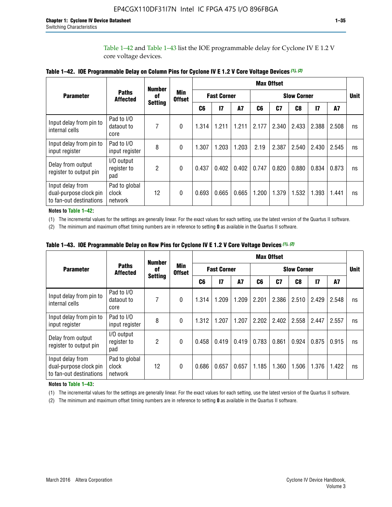Table 1–42 and Table 1–43 list the IOE programmable delay for Cyclone IV E 1.2 V core voltage devices.

|                                                                       |                                   | <b>Number</b>        | <b>Max Offset</b>           |                    |                 |           |       |                    |       |       |           |    |
|-----------------------------------------------------------------------|-----------------------------------|----------------------|-----------------------------|--------------------|-----------------|-----------|-------|--------------------|-------|-------|-----------|----|
| <b>Parameter</b>                                                      | <b>Paths</b><br><b>Affected</b>   | 0f<br><b>Setting</b> | <b>Min</b><br><b>Offset</b> | <b>Fast Corner</b> |                 |           |       | <b>Slow Corner</b> |       |       |           |    |
|                                                                       |                                   |                      |                             | C <sub>6</sub>     | $\overline{17}$ | <b>A7</b> | C6    | C7                 | C8    | 17    | <b>A7</b> |    |
| Input delay from pin to<br>internal cells                             | Pad to I/O<br>dataout to<br>core  | 7                    | $\Omega$                    | 1.314              | 1.211           | 1.211     | 2.177 | 2.340              | 2.433 | 2.388 | 2.508     | ns |
| Input delay from pin to<br>input register                             | Pad to I/O<br>input register      | 8                    | $\Omega$                    | 1.307              | 1.203           | 1.203     | 2.19  | 2.387              | 2.540 | 2.430 | 2.545     | ns |
| Delay from output<br>register to output pin                           | I/O output<br>register to<br>pad  | 2                    | $\Omega$                    | 0.437              | 0.402           | 0.402     | 0.747 | 0.820              | 0.880 | 0.834 | 0.873     | ns |
| Input delay from<br>dual-purpose clock pin<br>to fan-out destinations | Pad to global<br>clock<br>network | 12                   | 0                           | 0.693              | 0.665           | 0.665     | 1.200 | 1.379              | 1.532 | 1.393 | 1.441     | ns |

**Table 1–42. IOE Programmable Delay on Column Pins for Cyclone IV E 1.2 V Core Voltage Devices** *(1)***,** *(2)*

**Notes to Table 1–42:**

(1) The incremental values for the settings are generally linear. For the exact values for each setting, use the latest version of the Quartus II software.

(2) The minimum and maximum offset timing numbers are in reference to setting **0** as available in the Quartus II software.

|                                                                       |                                   | <b>Number</b>  |                      | <b>Max Offset</b> |                    |       |                    |                |       |               |       |             |
|-----------------------------------------------------------------------|-----------------------------------|----------------|----------------------|-------------------|--------------------|-------|--------------------|----------------|-------|---------------|-------|-------------|
| <b>Parameter</b>                                                      | <b>Paths</b><br><b>Affected</b>   | 0f             | Min<br><b>Offset</b> |                   | <b>Fast Corner</b> |       | <b>Slow Corner</b> |                |       |               |       | <b>Unit</b> |
|                                                                       |                                   | <b>Setting</b> |                      | C6                | 17                 | A7    | C6                 | C <sub>7</sub> | C8    | $\mathsf{I}7$ | A7    |             |
| Input delay from pin to<br>internal cells                             | Pad to I/O<br>dataout to<br>core  | 7              | 0                    | 1.314             | 1.209              | 1.209 | 2.201              | 2.386          | 2.510 | 2.429         | 2.548 | ns          |
| Input delay from pin to<br>input register                             | Pad to I/O<br>input register      | 8              | $\theta$             | 1.312             | 1.207              | 1.207 | 2.202              | 2.402          | 2.558 | 2.447         | 2.557 | ns          |
| Delay from output<br>register to output pin                           | I/O output<br>register to<br>pad  | 2              | $\Omega$             | 0.458             | 0.419              | 0.419 | 0.783              | 0.861          | 0.924 | 0.875         | 0.915 | ns          |
| Input delay from<br>dual-purpose clock pin<br>to fan-out destinations | Pad to global<br>clock<br>network | 12             | 0                    | 0.686             | 0.657              | 0.657 | 1.185              | 1.360          | 1.506 | 1.376         | 1.422 | ns          |

**Table 1–43. IOE Programmable Delay on Row Pins for Cyclone IV E 1.2 V Core Voltage Devices** *(1)***,** *(2)*

#### **Notes to Table 1–43:**

(1) The incremental values for the settings are generally linear. For the exact values for each setting, use the latest version of the Quartus II software.

(2) The minimum and maximum offset timing numbers are in reference to setting **0** as available in the Quartus II software.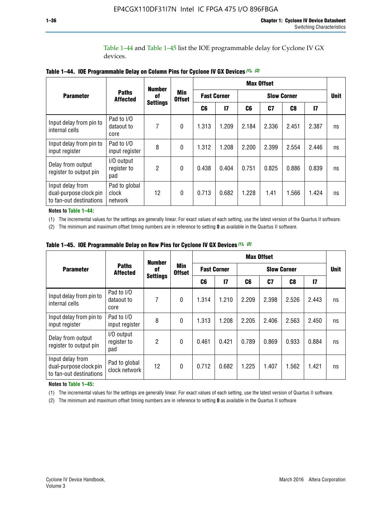Table 1–44 and Table 1–45 list the IOE programmable delay for Cyclone IV GX devices.

|                                                                       |                                   | <b>Number</b>         | <b>Min</b><br><b>Offset</b> | <b>Max Offset</b>  |              |                    |                |                |               |             |  |
|-----------------------------------------------------------------------|-----------------------------------|-----------------------|-----------------------------|--------------------|--------------|--------------------|----------------|----------------|---------------|-------------|--|
| <b>Parameter</b>                                                      | <b>Paths</b><br><b>Affected</b>   | 0f<br><b>Settings</b> |                             | <b>Fast Corner</b> |              | <b>Slow Corner</b> |                |                |               | <b>Unit</b> |  |
|                                                                       |                                   |                       |                             | C6                 | $\mathbf{I}$ | C6                 | C <sub>7</sub> | C <sub>8</sub> | $\mathsf{I}7$ |             |  |
| Input delay from pin to<br>internal cells                             | Pad to I/O<br>dataout to<br>core  | 7                     | $\boldsymbol{0}$            | 1.313              | 1.209        | 2.184              | 2.336          | 2.451          | 2.387         | ns          |  |
| Input delay from pin to<br>input register                             | Pad to I/O<br>input register      | 8                     | $\Omega$                    | 1.312              | 1.208        | 2.200              | 2.399          | 2.554          | 2.446         | ns          |  |
| Delay from output<br>register to output pin                           | I/O output<br>register to<br>pad  | 2                     | $\mathbf{0}$                | 0.438              | 0.404        | 0.751              | 0.825          | 0.886          | 0.839         | ns          |  |
| Input delay from<br>dual-purpose clock pin<br>to fan-out destinations | Pad to global<br>clock<br>network | 12                    | 0                           | 0.713              | 0.682        | 1.228              | 1.41           | 1.566          | 1.424         | ns          |  |

**Table 1–44. IOE Programmable Delay on Column Pins for Cyclone IV GX Devices** *(1)***,** *(2)*

**Notes to Table 1–44:**

(1) The incremental values for the settings are generally linear. For exact values of each setting, use the latest version of the Quartus II software.

(2) The minimum and maximum offset timing numbers are in reference to setting **0** as available in the Quartus II software.

|                                                                       |                                  | <b>Number</b>         | Min<br><b>Offset</b> | <b>Max Offset</b>  |       |       |             |       |               |    |  |
|-----------------------------------------------------------------------|----------------------------------|-----------------------|----------------------|--------------------|-------|-------|-------------|-------|---------------|----|--|
| <b>Parameter</b>                                                      | <b>Paths</b><br><b>Affected</b>  | 0f<br><b>Settings</b> |                      | <b>Fast Corner</b> |       |       | <b>Unit</b> |       |               |    |  |
|                                                                       |                                  |                       |                      | C6                 | 17    | C6    | C7          | C8    | $\mathsf{I}7$ |    |  |
| Input delay from pin to<br>internal cells                             | Pad to I/O<br>dataout to<br>core | 7                     | $\mathbf{0}$         | 1.314              | 1.210 | 2.209 | 2.398       | 2.526 | 2.443         | ns |  |
| Input delay from pin to<br>input register                             | Pad to I/O<br>input register     | 8                     | $\mathbf{0}$         | 1.313              | 1.208 | 2.205 | 2.406       | 2.563 | 2.450         | ns |  |
| Delay from output<br>register to output pin                           | I/O output<br>register to<br>pad | $\overline{2}$        | $\mathbf{0}$         | 0.461              | 0.421 | 0.789 | 0.869       | 0.933 | 0.884         | ns |  |
| Input delay from<br>dual-purpose clock pin<br>to fan-out destinations | Pad to global<br>clock network   | 12                    | $\mathbf{0}$         | 0.712              | 0.682 | 1.225 | 1.407       | 1.562 | 1.421         | ns |  |

**Table 1–45. IOE Programmable Delay on Row Pins for Cyclone IV GX Devices** *(1)***,** *(2)*

#### **Notes to Table 1–45:**

(1) The incremental values for the settings are generally linear. For exact values of each setting, use the latest version of Quartus II software.

(2) The minimum and maximum offset timing numbers are in reference to setting **0** as available in the Quartus II software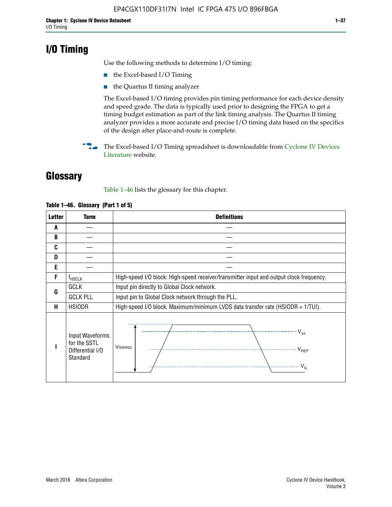# **I/O Timing**

Use the following methods to determine I/O timing:

- the Excel-based I/O Timing
- the Quartus II timing analyzer

The Excel-based I/O timing provides pin timing performance for each device density and speed grade. The data is typically used prior to designing the FPGA to get a timing budget estimation as part of the link timing analysis. The Quartus II timing analyzer provides a more accurate and precise I/O timing data based on the specifics of the design after place-and-route is complete.

**For The Excel-based I/O Timing spreadsheet is downloadable from Cyclone IV Devices** [Literature](http://www.altera.com/literature/lit-cyclone-iv.jsp) website.

# **Glossary**

Table 1–46 lists the glossary for this chapter.

| <b>Letter</b> | Term                                                            | <b>Definitions</b>                                                                                                                                                                                                                                                                                                                                                                                                                                                |  |  |  |  |  |  |  |
|---------------|-----------------------------------------------------------------|-------------------------------------------------------------------------------------------------------------------------------------------------------------------------------------------------------------------------------------------------------------------------------------------------------------------------------------------------------------------------------------------------------------------------------------------------------------------|--|--|--|--|--|--|--|
| A             |                                                                 |                                                                                                                                                                                                                                                                                                                                                                                                                                                                   |  |  |  |  |  |  |  |
| B             |                                                                 |                                                                                                                                                                                                                                                                                                                                                                                                                                                                   |  |  |  |  |  |  |  |
| C             |                                                                 |                                                                                                                                                                                                                                                                                                                                                                                                                                                                   |  |  |  |  |  |  |  |
| D             |                                                                 |                                                                                                                                                                                                                                                                                                                                                                                                                                                                   |  |  |  |  |  |  |  |
| E             |                                                                 |                                                                                                                                                                                                                                                                                                                                                                                                                                                                   |  |  |  |  |  |  |  |
| F             | $f_{HSCLK}$                                                     | High-speed I/O block: High-speed receiver/transmitter input and output clock frequency.                                                                                                                                                                                                                                                                                                                                                                           |  |  |  |  |  |  |  |
| G             | <b>GCLK</b>                                                     | Input pin directly to Global Clock network.                                                                                                                                                                                                                                                                                                                                                                                                                       |  |  |  |  |  |  |  |
|               | <b>GCLK PLL</b>                                                 | Input pin to Global Clock network through the PLL.                                                                                                                                                                                                                                                                                                                                                                                                                |  |  |  |  |  |  |  |
| н             | <b>HSIODR</b>                                                   | High-speed I/O block: Maximum/minimum LVDS data transfer rate (HSIODR = 1/TUI).                                                                                                                                                                                                                                                                                                                                                                                   |  |  |  |  |  |  |  |
|               | Input Waveforms<br>for the SSTL<br>Differential I/O<br>Standard | $\frac{1}{1 + \frac{1}{1 + \frac{1}{1 + \frac{1}{1 + \frac{1}{1 + \frac{1}{1 + \frac{1}{1 + \frac{1}{1 + \frac{1}{1 + \frac{1}{1 + \frac{1}{1 + \frac{1}{1 + \frac{1}{1 + \frac{1}{1 + \frac{1}{1 + \frac{1}{1 + \frac{1}{1 + \frac{1}{1 + \frac{1}{1 + \frac{1}{1 + \frac{1}{1 + \frac{1}{1 + \frac{1}{1 + \frac{1}{1 + \frac{1}{1 + \frac{1}{1 + \frac{1}{1 + \frac{1}{1 + \frac{1}{1 + \frac{1}{1 + \frac{1}{1 + \frac{$<br><b>V</b> swing<br>V <sub>REF</sub> |  |  |  |  |  |  |  |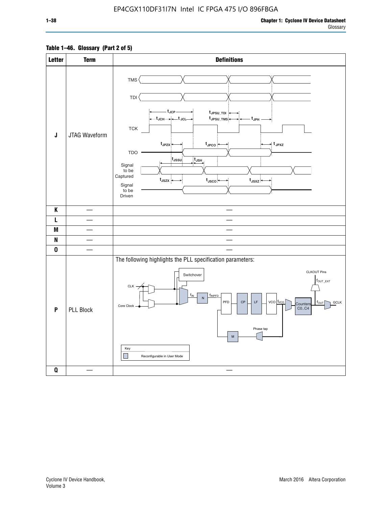# **Table 1–46. Glossary (Part 2 of 5)**

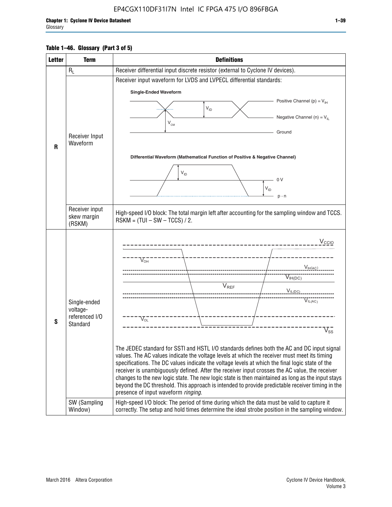# **Table 1–46. Glossary (Part 3 of 5)**

| <b>Letter</b> | <b>Term</b>              | <b>Definitions</b>                                                                                                                                                                              |  |  |  |  |  |  |  |  |
|---------------|--------------------------|-------------------------------------------------------------------------------------------------------------------------------------------------------------------------------------------------|--|--|--|--|--|--|--|--|
|               | $R_L$                    | Receiver differential input discrete resistor (external to Cyclone IV devices).                                                                                                                 |  |  |  |  |  |  |  |  |
|               |                          | Receiver input waveform for LVDS and LVPECL differential standards:                                                                                                                             |  |  |  |  |  |  |  |  |
|               |                          | <b>Single-Ended Waveform</b>                                                                                                                                                                    |  |  |  |  |  |  |  |  |
|               |                          | Positive Channel (p) = $V_{\text{H}}$                                                                                                                                                           |  |  |  |  |  |  |  |  |
|               |                          | $V_{ID}$                                                                                                                                                                                        |  |  |  |  |  |  |  |  |
|               |                          | Negative Channel (n) = $V_{\parallel}$<br>$V_{CM}$                                                                                                                                              |  |  |  |  |  |  |  |  |
|               | Receiver Input           | Ground                                                                                                                                                                                          |  |  |  |  |  |  |  |  |
| R             | Waveform                 |                                                                                                                                                                                                 |  |  |  |  |  |  |  |  |
|               |                          | Differential Waveform (Mathematical Function of Positive & Negative Channel)                                                                                                                    |  |  |  |  |  |  |  |  |
|               |                          |                                                                                                                                                                                                 |  |  |  |  |  |  |  |  |
|               |                          | $V_{ID}$                                                                                                                                                                                        |  |  |  |  |  |  |  |  |
|               |                          | 0V<br>$\mathsf{V}_{\mathsf{ID}}$                                                                                                                                                                |  |  |  |  |  |  |  |  |
|               |                          | $p - n$                                                                                                                                                                                         |  |  |  |  |  |  |  |  |
|               | Receiver input           |                                                                                                                                                                                                 |  |  |  |  |  |  |  |  |
|               | skew margin              | High-speed I/O block: The total margin left after accounting for the sampling window and TCCS.<br>$RSKM = (TUI - SW - TCCS) / 2.$                                                               |  |  |  |  |  |  |  |  |
|               | (RSKM)                   |                                                                                                                                                                                                 |  |  |  |  |  |  |  |  |
|               |                          | $V_{CCIO}$                                                                                                                                                                                      |  |  |  |  |  |  |  |  |
|               |                          |                                                                                                                                                                                                 |  |  |  |  |  |  |  |  |
|               |                          | $V_{\text{OH}}$                                                                                                                                                                                 |  |  |  |  |  |  |  |  |
|               |                          | V <sub>IH(AC)</sub>                                                                                                                                                                             |  |  |  |  |  |  |  |  |
|               |                          | $V_{IH(DC)}$<br>$V_{REF}$                                                                                                                                                                       |  |  |  |  |  |  |  |  |
|               |                          | $V_{IL(DC)}$                                                                                                                                                                                    |  |  |  |  |  |  |  |  |
|               | Single-ended<br>voltage- | VIL(AC)                                                                                                                                                                                         |  |  |  |  |  |  |  |  |
|               | referenced I/O           | $V_{OL}$                                                                                                                                                                                        |  |  |  |  |  |  |  |  |
| S             | Standard                 | $\overline{\mathsf{V}}_\mathsf{SS}^-$                                                                                                                                                           |  |  |  |  |  |  |  |  |
|               |                          |                                                                                                                                                                                                 |  |  |  |  |  |  |  |  |
|               |                          | The JEDEC standard for SSTI and HSTL I/O standards defines both the AC and DC input signal                                                                                                      |  |  |  |  |  |  |  |  |
|               |                          | values. The AC values indicate the voltage levels at which the receiver must meet its timing<br>specifications. The DC values indicate the voltage levels at which the final logic state of the |  |  |  |  |  |  |  |  |
|               |                          | receiver is unambiguously defined. After the receiver input crosses the AC value, the receiver                                                                                                  |  |  |  |  |  |  |  |  |
|               |                          | changes to the new logic state. The new logic state is then maintained as long as the input stays                                                                                               |  |  |  |  |  |  |  |  |
|               |                          | beyond the DC threshold. This approach is intended to provide predictable receiver timing in the<br>presence of input waveform ringing.                                                         |  |  |  |  |  |  |  |  |
|               | SW (Sampling             | High-speed I/O block: The period of time during which the data must be valid to capture it                                                                                                      |  |  |  |  |  |  |  |  |
|               | Window)                  | correctly. The setup and hold times determine the ideal strobe position in the sampling window.                                                                                                 |  |  |  |  |  |  |  |  |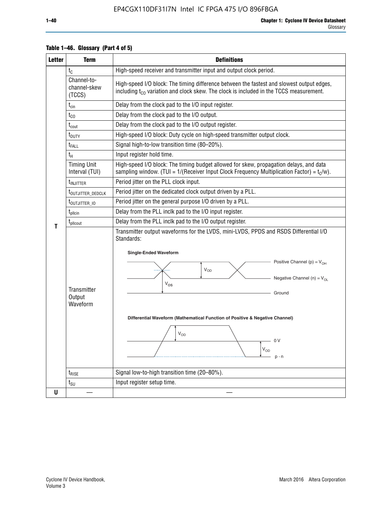| <b>Letter</b> | <b>Term</b>                                                                    | <b>Definitions</b>                                                                                                                                                                                                                                                                                                                                              |  |  |  |  |  |
|---------------|--------------------------------------------------------------------------------|-----------------------------------------------------------------------------------------------------------------------------------------------------------------------------------------------------------------------------------------------------------------------------------------------------------------------------------------------------------------|--|--|--|--|--|
|               | $t_{C}$                                                                        | High-speed receiver and transmitter input and output clock period.                                                                                                                                                                                                                                                                                              |  |  |  |  |  |
|               | Channel-to-<br>channel-skew<br>(TCCS)                                          | High-speed I/O block: The timing difference between the fastest and slowest output edges,<br>including $t_{C0}$ variation and clock skew. The clock is included in the TCCS measurement.                                                                                                                                                                        |  |  |  |  |  |
|               | $t_{\text{cin}}$                                                               | Delay from the clock pad to the I/O input register.                                                                                                                                                                                                                                                                                                             |  |  |  |  |  |
|               | $t_{CO}$                                                                       | Delay from the clock pad to the I/O output.                                                                                                                                                                                                                                                                                                                     |  |  |  |  |  |
|               | $t_{\text{cout}}$                                                              | Delay from the clock pad to the I/O output register.                                                                                                                                                                                                                                                                                                            |  |  |  |  |  |
|               | $t_{\text{DUTY}}$                                                              | High-speed I/O block: Duty cycle on high-speed transmitter output clock.                                                                                                                                                                                                                                                                                        |  |  |  |  |  |
|               | t <sub>FALL</sub>                                                              | Signal high-to-low transition time (80-20%).                                                                                                                                                                                                                                                                                                                    |  |  |  |  |  |
|               | $t_H$                                                                          | Input register hold time.                                                                                                                                                                                                                                                                                                                                       |  |  |  |  |  |
|               | <b>Timing Unit</b><br>Interval (TUI)                                           | High-speed I/O block: The timing budget allowed for skew, propagation delays, and data<br>sampling window. (TUI = $1/($ Receiver Input Clock Frequency Multiplication Factor) = $tC/w$ ).                                                                                                                                                                       |  |  |  |  |  |
|               | t <sub>injitter</sub>                                                          | Period jitter on the PLL clock input.                                                                                                                                                                                                                                                                                                                           |  |  |  |  |  |
|               | t <sub>outjitter_dedclk</sub>                                                  | Period jitter on the dedicated clock output driven by a PLL.                                                                                                                                                                                                                                                                                                    |  |  |  |  |  |
|               | t <sub>outjitter_io</sub>                                                      | Period jitter on the general purpose I/O driven by a PLL.                                                                                                                                                                                                                                                                                                       |  |  |  |  |  |
|               | Delay from the PLL inclk pad to the I/O input register.<br>$t_{\text{pllcin}}$ |                                                                                                                                                                                                                                                                                                                                                                 |  |  |  |  |  |
|               | t <sub>plicout</sub>                                                           | Delay from the PLL inclk pad to the I/O output register.                                                                                                                                                                                                                                                                                                        |  |  |  |  |  |
| Т             | Transmitter<br>Output<br>Waveform                                              | Transmitter output waveforms for the LVDS, mini-LVDS, PPDS and RSDS Differential I/O<br>Standards:<br><b>Single-Ended Waveform</b><br>Positive Channel (p) = $V_{OH}$<br>VOD<br>Negative Channel (n) = $V_{OL}$<br>$V_{OS}$<br>Ground<br>Differential Waveform (Mathematical Function of Positive & Negative Channel)<br>$V_{OD}$<br>0 V<br>$V_{OD}$<br>$p - n$ |  |  |  |  |  |
|               | $t_{\text{RISE}}$                                                              | Signal low-to-high transition time (20-80%).                                                                                                                                                                                                                                                                                                                    |  |  |  |  |  |
|               | $t_{\scriptstyle\text{SU}}$                                                    | Input register setup time.                                                                                                                                                                                                                                                                                                                                      |  |  |  |  |  |
| U             |                                                                                |                                                                                                                                                                                                                                                                                                                                                                 |  |  |  |  |  |

# **Table 1–46. Glossary (Part 4 of 5)**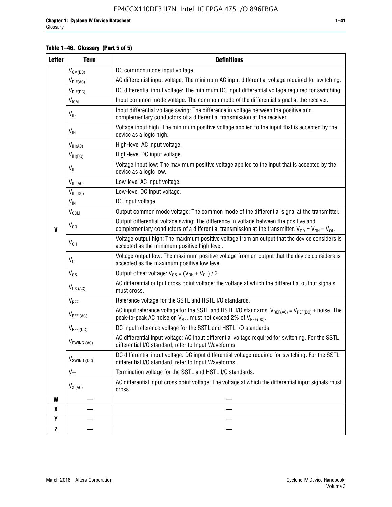# **Table 1–46. Glossary (Part 5 of 5)**

| <b>Letter</b> | <b>Term</b>                 | <b>Definitions</b>                                                                                                                                                                                |  |  |
|---------------|-----------------------------|---------------------------------------------------------------------------------------------------------------------------------------------------------------------------------------------------|--|--|
|               | $V_{CM(DC)}$                | DC common mode input voltage.                                                                                                                                                                     |  |  |
|               | $V_{DIF(AC)}$               | AC differential input voltage: The minimum AC input differential voltage required for switching.                                                                                                  |  |  |
|               | $V_{DIF(DC)}$               | DC differential input voltage: The minimum DC input differential voltage required for switching.                                                                                                  |  |  |
|               | $\rm V_{IGM}$               | Input common mode voltage: The common mode of the differential signal at the receiver.                                                                                                            |  |  |
|               | $V_{ID}$                    | Input differential voltage swing: The difference in voltage between the positive and<br>complementary conductors of a differential transmission at the receiver.                                  |  |  |
|               | $V_{\text{IH}}$             | Voltage input high: The minimum positive voltage applied to the input that is accepted by the<br>device as a logic high.                                                                          |  |  |
|               | $V_{IH(AC)}$                | High-level AC input voltage.                                                                                                                                                                      |  |  |
|               | $V_{IH(DC)}$                | High-level DC input voltage.                                                                                                                                                                      |  |  |
|               | $V_{IL}$                    | Voltage input low: The maximum positive voltage applied to the input that is accepted by the<br>device as a logic low.                                                                            |  |  |
|               | $V_{IL(AC)}$                | Low-level AC input voltage.                                                                                                                                                                       |  |  |
|               | $V_{IL(DC)}$                | Low-level DC input voltage.                                                                                                                                                                       |  |  |
|               | $V_{\text{IN}}$             | DC input voltage.                                                                                                                                                                                 |  |  |
|               | $\rm V_{\rm OCM}$           | Output common mode voltage: The common mode of the differential signal at the transmitter.                                                                                                        |  |  |
| $\mathbf{V}$  | $V_{OD}$                    | Output differential voltage swing: The difference in voltage between the positive and<br>complementary conductors of a differential transmission at the transmitter. $V_{OD} = V_{OH} - V_{OL}$ . |  |  |
|               | $V_{OH}$                    | Voltage output high: The maximum positive voltage from an output that the device considers is<br>accepted as the minimum positive high level.                                                     |  |  |
|               | $V_{OL}$                    | Voltage output low: The maximum positive voltage from an output that the device considers is<br>accepted as the maximum positive low level.                                                       |  |  |
|               | $V_{OS}$                    | Output offset voltage: $V_{OS} = (V_{OH} + V_{OL}) / 2$ .                                                                                                                                         |  |  |
|               | $V_{OX (AC)}$               | AC differential output cross point voltage: the voltage at which the differential output signals<br>must cross.                                                                                   |  |  |
|               | $\mathsf{V}_{\mathsf{REF}}$ | Reference voltage for the SSTL and HSTL I/O standards.                                                                                                                                            |  |  |
|               | $V_{REF\,(AC)}$             | AC input reference voltage for the SSTL and HSTL I/O standards. $V_{REF(AC)} = V_{REF(DC)} +$ noise. The<br>peak-to-peak AC noise on $V_{REF}$ must not exceed 2% of $V_{REF(DC)}$ .              |  |  |
|               | $V_{REF(DC)}$               | DC input reference voltage for the SSTL and HSTL I/O standards.                                                                                                                                   |  |  |
|               | $V_{\textrm{SWING (AC)}}$   | AC differential input voltage: AC input differential voltage required for switching. For the SSTL<br>differential I/O standard, refer to Input Waveforms.                                         |  |  |
|               | $V_{SWING (DC)}$            | DC differential input voltage: DC input differential voltage required for switching. For the SSTL<br>differential I/O standard, refer to Input Waveforms.                                         |  |  |
|               | $V_{TT}$                    | Termination voltage for the SSTL and HSTL I/O standards.                                                                                                                                          |  |  |
|               | $V_{X(AC)}$                 | AC differential input cross point voltage: The voltage at which the differential input signals must<br>cross.                                                                                     |  |  |
| W             |                             |                                                                                                                                                                                                   |  |  |
| X             |                             |                                                                                                                                                                                                   |  |  |
| Y             |                             |                                                                                                                                                                                                   |  |  |
| Z             |                             |                                                                                                                                                                                                   |  |  |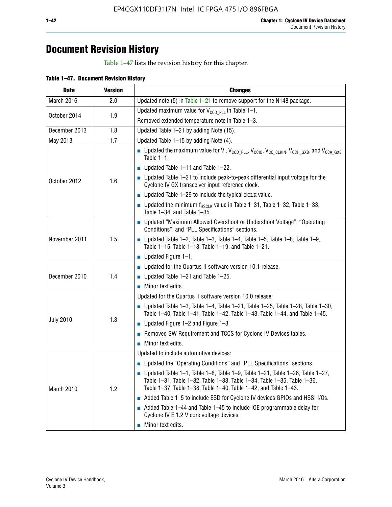# **Document Revision History**

Table 1–47 lists the revision history for this chapter.

| <b>Date</b>      | <b>Version</b> | <b>Changes</b>                                                                                                                                                                                                                            |
|------------------|----------------|-------------------------------------------------------------------------------------------------------------------------------------------------------------------------------------------------------------------------------------------|
| March 2016       | 2.0            | Updated note (5) in Table $1-21$ to remove support for the N148 package.                                                                                                                                                                  |
| October 2014     | 1.9            | Updated maximum value for $V_{CCD, PL}$ in Table 1-1.                                                                                                                                                                                     |
|                  |                | Removed extended temperature note in Table 1-3.                                                                                                                                                                                           |
| December 2013    | 1.8            | Updated Table 1-21 by adding Note (15).                                                                                                                                                                                                   |
| May 2013         | 1.7            | Updated Table 1-15 by adding Note (4).                                                                                                                                                                                                    |
|                  | 1.6            | <b>D</b> Updated the maximum value for $V_1$ , $V_{CCD}$ <sub>PLL</sub> , $V_{CC10}$ , $V_{CC_1CLKIN}$ , $V_{CCH_GXB}$ , and $V_{CCA_GXB}$<br>Table $1-1$ .                                                                               |
|                  |                | $\blacksquare$ Updated Table 1-11 and Table 1-22.                                                                                                                                                                                         |
| October 2012     |                | $\blacksquare$ Updated Table 1-21 to include peak-to-peak differential input voltage for the<br>Cyclone IV GX transceiver input reference clock.                                                                                          |
|                  |                | $\blacksquare$ Updated Table 1-29 to include the typical DCLK value.                                                                                                                                                                      |
|                  |                | <b>Updated the minimum f<sub>HSCLK</sub></b> value in Table 1-31, Table 1-32, Table 1-33,<br>Table 1-34, and Table 1-35.                                                                                                                  |
|                  | 1.5            | ■ Updated "Maximum Allowed Overshoot or Undershoot Voltage", "Operating<br>Conditions", and "PLL Specifications" sections.                                                                                                                |
| November 2011    |                | Updated Table 1-2, Table 1-3, Table 1-4, Table 1-5, Table 1-8, Table 1-9,<br>Table 1-15, Table 1-18, Table 1-19, and Table 1-21.                                                                                                          |
|                  |                | ■ Updated Figure $1-1$ .                                                                                                                                                                                                                  |
|                  | 1.4            | • Updated for the Quartus II software version 10.1 release.                                                                                                                                                                               |
| December 2010    |                | $\blacksquare$ Updated Table 1-21 and Table 1-25.                                                                                                                                                                                         |
|                  |                | $\blacksquare$ Minor text edits.                                                                                                                                                                                                          |
|                  | 1.3            | Updated for the Quartus II software version 10.0 release:                                                                                                                                                                                 |
|                  |                | Updated Table 1-3, Table 1-4, Table 1-21, Table 1-25, Table 1-28, Table 1-30,<br>Table 1-40, Table 1-41, Table 1-42, Table 1-43, Table 1-44, and Table 1-45.                                                                              |
| <b>July 2010</b> |                | ■ Updated Figure $1-2$ and Figure $1-3$ .                                                                                                                                                                                                 |
|                  |                | Removed SW Requirement and TCCS for Cyclone IV Devices tables.                                                                                                                                                                            |
|                  |                | $\blacksquare$ Minor text edits.                                                                                                                                                                                                          |
|                  | 1.2            | Updated to include automotive devices:                                                                                                                                                                                                    |
|                  |                | • Updated the "Operating Conditions" and "PLL Specifications" sections.                                                                                                                                                                   |
| March 2010       |                | $\blacksquare$ Updated Table 1-1, Table 1-8, Table 1-9, Table 1-21, Table 1-26, Table 1-27,<br>Table 1-31, Table 1-32, Table 1-33, Table 1-34, Table 1-35, Table 1-36,<br>Table 1-37, Table 1-38, Table 1-40, Table 1-42, and Table 1-43. |
|                  |                | Added Table 1-5 to include ESD for Cyclone IV devices GPIOs and HSSI I/Os.                                                                                                                                                                |
|                  |                | Added Table 1-44 and Table 1-45 to include IOE programmable delay for<br>Cyclone IV E 1.2 V core voltage devices.                                                                                                                         |
|                  |                | Minor text edits.                                                                                                                                                                                                                         |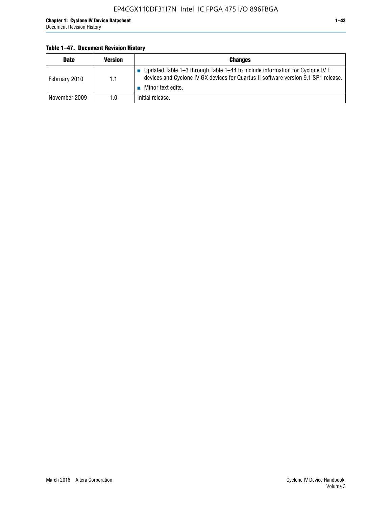# **Table 1–47. Document Revision History**

| <b>Date</b>   | <b>Version</b> | <b>Changes</b>                                                                                                                                                                          |
|---------------|----------------|-----------------------------------------------------------------------------------------------------------------------------------------------------------------------------------------|
| February 2010 | 1.1            | Updated Table 1-3 through Table 1-44 to include information for Cyclone IV E<br>devices and Cyclone IV GX devices for Quartus II software version 9.1 SP1 release.<br>Minor text edits. |
| November 2009 | 1.0            | Initial release.                                                                                                                                                                        |